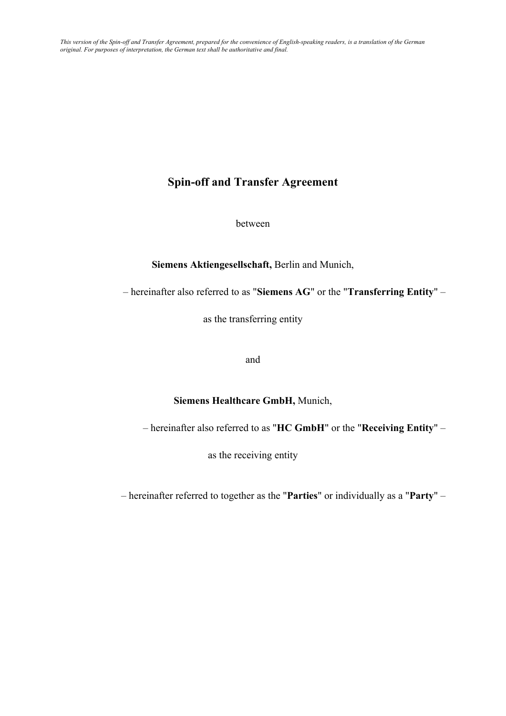### **Spin-off and Transfer Agreement**

between

**Siemens Aktiengesellschaft,** Berlin and Munich,

– hereinafter also referred to as "**Siemens AG**" or the "**Transferring Entity**" –

as the transferring entity

and

#### **Siemens Healthcare GmbH,** Munich,

– hereinafter also referred to as "**HC GmbH**" or the "**Receiving Entity**" –

as the receiving entity

– hereinafter referred to together as the "**Parties**" or individually as a "**Party**" –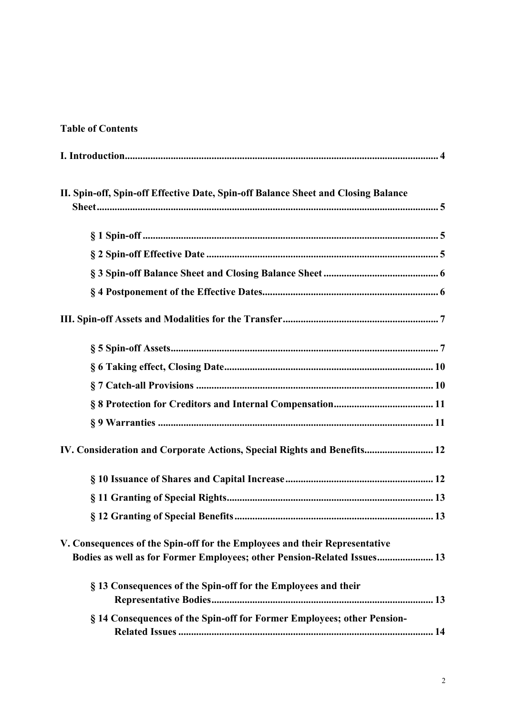### **Table of Contents**

| II. Spin-off, Spin-off Effective Date, Spin-off Balance Sheet and Closing Balance                                                                     |
|-------------------------------------------------------------------------------------------------------------------------------------------------------|
|                                                                                                                                                       |
|                                                                                                                                                       |
|                                                                                                                                                       |
|                                                                                                                                                       |
|                                                                                                                                                       |
|                                                                                                                                                       |
|                                                                                                                                                       |
|                                                                                                                                                       |
|                                                                                                                                                       |
|                                                                                                                                                       |
| IV. Consideration and Corporate Actions, Special Rights and Benefits 12                                                                               |
|                                                                                                                                                       |
|                                                                                                                                                       |
|                                                                                                                                                       |
| V. Consequences of the Spin-off for the Employees and their Representative<br>Bodies as well as for Former Employees; other Pension-Related Issues 13 |
| § 13 Consequences of the Spin-off for the Employees and their                                                                                         |
| § 14 Consequences of the Spin-off for Former Employees; other Pension-                                                                                |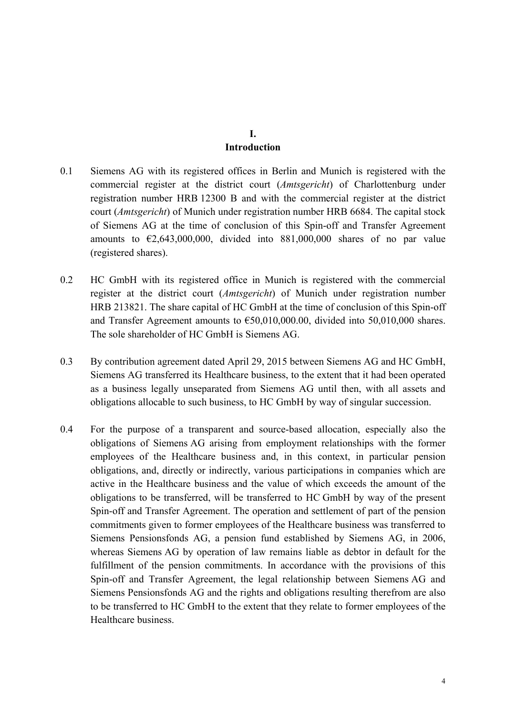#### **I. Introduction**

- 0.1 Siemens AG with its registered offices in Berlin and Munich is registered with the commercial register at the district court (*Amtsgericht*) of Charlottenburg under registration number HRB 12300 B and with the commercial register at the district court (*Amtsgericht*) of Munich under registration number HRB 6684. The capital stock of Siemens AG at the time of conclusion of this Spin-off and Transfer Agreement amounts to  $\epsilon$ 2,643,000,000, divided into 881,000,000 shares of no par value (registered shares).
- 0.2 HC GmbH with its registered office in Munich is registered with the commercial register at the district court (*Amtsgericht*) of Munich under registration number HRB 213821. The share capital of HC GmbH at the time of conclusion of this Spin-off and Transfer Agreement amounts to  $\epsilon$ 50,010,000.00, divided into 50,010,000 shares. The sole shareholder of HC GmbH is Siemens AG.
- 0.3 By contribution agreement dated April 29, 2015 between Siemens AG and HC GmbH, Siemens AG transferred its Healthcare business, to the extent that it had been operated as a business legally unseparated from Siemens AG until then, with all assets and obligations allocable to such business, to HC GmbH by way of singular succession.
- 0.4 For the purpose of a transparent and source-based allocation, especially also the obligations of Siemens AG arising from employment relationships with the former employees of the Healthcare business and, in this context, in particular pension obligations, and, directly or indirectly, various participations in companies which are active in the Healthcare business and the value of which exceeds the amount of the obligations to be transferred, will be transferred to HC GmbH by way of the present Spin-off and Transfer Agreement. The operation and settlement of part of the pension commitments given to former employees of the Healthcare business was transferred to Siemens Pensionsfonds AG, a pension fund established by Siemens AG, in 2006, whereas Siemens AG by operation of law remains liable as debtor in default for the fulfillment of the pension commitments. In accordance with the provisions of this Spin-off and Transfer Agreement, the legal relationship between Siemens AG and Siemens Pensionsfonds AG and the rights and obligations resulting therefrom are also to be transferred to HC GmbH to the extent that they relate to former employees of the Healthcare business.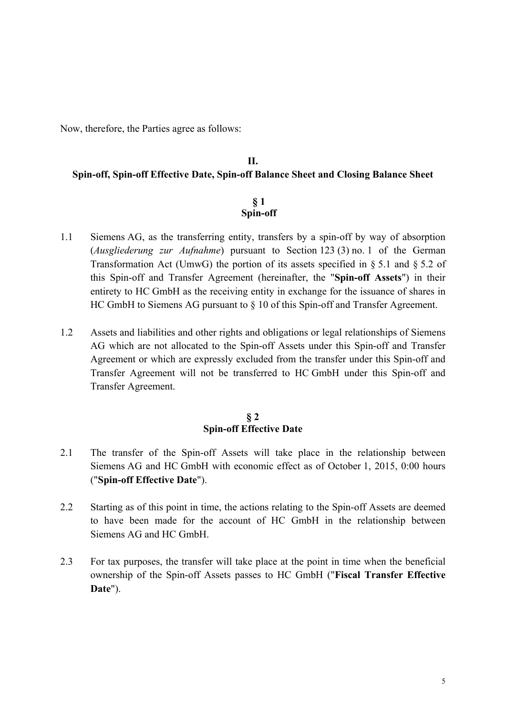Now, therefore, the Parties agree as follows:

### **II. Spin-off, Spin-off Effective Date, Spin-off Balance Sheet and Closing Balance Sheet**

#### **§ 1 Spin-off**

- 1.1 Siemens AG, as the transferring entity, transfers by a spin-off by way of absorption (*Ausgliederung zur Aufnahme*) pursuant to Section 123 (3) no. 1 of the German Transformation Act (UmwG) the portion of its assets specified in § 5.1 and § 5.2 of this Spin-off and Transfer Agreement (hereinafter, the "**Spin-off Assets**") in their entirety to HC GmbH as the receiving entity in exchange for the issuance of shares in HC GmbH to Siemens AG pursuant to § 10 of this Spin-off and Transfer Agreement.
- 1.2 Assets and liabilities and other rights and obligations or legal relationships of Siemens AG which are not allocated to the Spin-off Assets under this Spin-off and Transfer Agreement or which are expressly excluded from the transfer under this Spin-off and Transfer Agreement will not be transferred to HC GmbH under this Spin-off and Transfer Agreement.

#### **§ 2 Spin-off Effective Date**

- 2.1 The transfer of the Spin-off Assets will take place in the relationship between Siemens AG and HC GmbH with economic effect as of October 1, 2015, 0:00 hours ("**Spin-off Effective Date**").
- 2.2 Starting as of this point in time, the actions relating to the Spin-off Assets are deemed to have been made for the account of HC GmbH in the relationship between Siemens AG and HC GmbH.
- 2.3 For tax purposes, the transfer will take place at the point in time when the beneficial ownership of the Spin-off Assets passes to HC GmbH ("**Fiscal Transfer Effective Date**").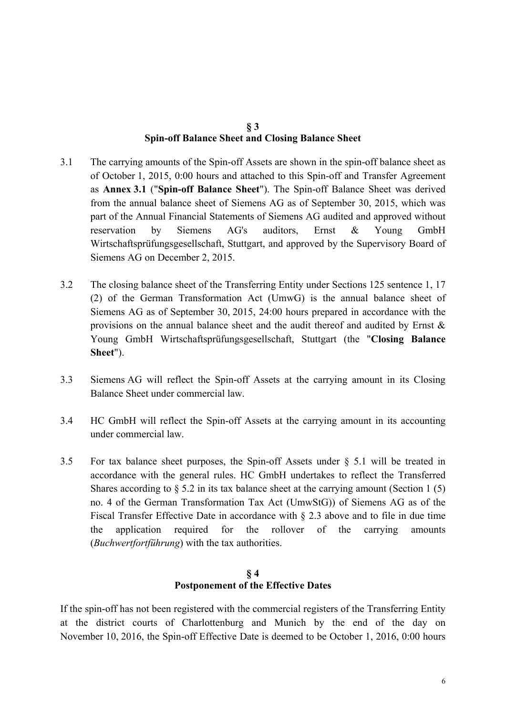#### **§ 3 Spin-off Balance Sheet and Closing Balance Sheet**

- 3.1 The carrying amounts of the Spin-off Assets are shown in the spin-off balance sheet as of October 1, 2015, 0:00 hours and attached to this Spin-off and Transfer Agreement as **Annex 3.1** ("**Spin-off Balance Sheet**"). The Spin-off Balance Sheet was derived from the annual balance sheet of Siemens AG as of September 30, 2015, which was part of the Annual Financial Statements of Siemens AG audited and approved without reservation by Siemens AG's auditors, Ernst & Young GmbH Wirtschaftsprüfungsgesellschaft, Stuttgart, and approved by the Supervisory Board of Siemens AG on December 2, 2015.
- 3.2 The closing balance sheet of the Transferring Entity under Sections 125 sentence 1, 17 (2) of the German Transformation Act (UmwG) is the annual balance sheet of Siemens AG as of September 30, 2015, 24:00 hours prepared in accordance with the provisions on the annual balance sheet and the audit thereof and audited by Ernst & Young GmbH Wirtschaftsprüfungsgesellschaft, Stuttgart (the "**Closing Balance Sheet**").
- 3.3 Siemens AG will reflect the Spin-off Assets at the carrying amount in its Closing Balance Sheet under commercial law.
- 3.4 HC GmbH will reflect the Spin-off Assets at the carrying amount in its accounting under commercial law.
- 3.5 For tax balance sheet purposes, the Spin-off Assets under § 5.1 will be treated in accordance with the general rules. HC GmbH undertakes to reflect the Transferred Shares according to  $\S$  5.2 in its tax balance sheet at the carrying amount (Section 1 (5) no. 4 of the German Transformation Tax Act (UmwStG)) of Siemens AG as of the Fiscal Transfer Effective Date in accordance with § 2.3 above and to file in due time the application required for the rollover of the carrying amounts (*Buchwertfortführung*) with the tax authorities.

#### **§ 4 Postponement of the Effective Dates**

If the spin-off has not been registered with the commercial registers of the Transferring Entity at the district courts of Charlottenburg and Munich by the end of the day on November 10, 2016, the Spin-off Effective Date is deemed to be October 1, 2016, 0:00 hours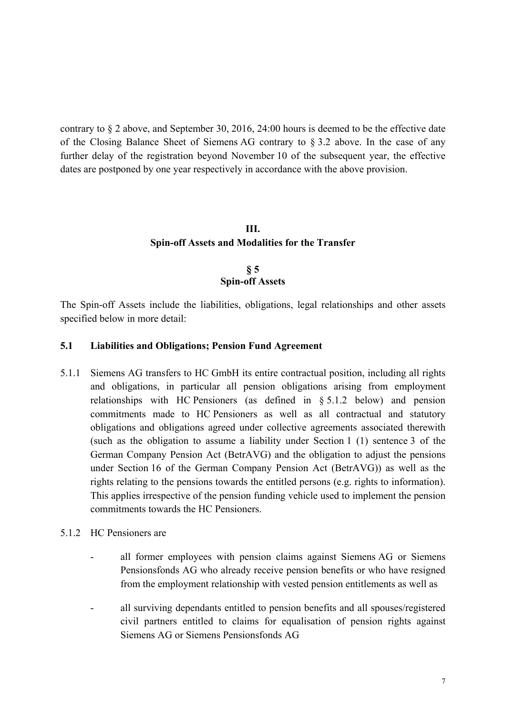contrary to § 2 above, and September 30, 2016, 24:00 hours is deemed to be the effective date of the Closing Balance Sheet of Siemens AG contrary to § 3.2 above. In the case of any further delay of the registration beyond November 10 of the subsequent year, the effective dates are postponed by one year respectively in accordance with the above provision.

## **III. Spin-off Assets and Modalities for the Transfer**

#### **§ 5 Spin-off Assets**

The Spin-off Assets include the liabilities, obligations, legal relationships and other assets specified below in more detail:

#### **5.1 Liabilities and Obligations; Pension Fund Agreement**

- 5.1.1 Siemens AG transfers to HC GmbH its entire contractual position, including all rights and obligations, in particular all pension obligations arising from employment relationships with HC Pensioners (as defined in § 5.1.2 below) and pension commitments made to HC Pensioners as well as all contractual and statutory obligations and obligations agreed under collective agreements associated therewith (such as the obligation to assume a liability under Section 1 (1) sentence 3 of the German Company Pension Act (BetrAVG) and the obligation to adjust the pensions under Section 16 of the German Company Pension Act (BetrAVG)) as well as the rights relating to the pensions towards the entitled persons (e.g. rights to information). This applies irrespective of the pension funding vehicle used to implement the pension commitments towards the HC Pensioners.
- 5.1.2 HC Pensioners are
	- all former employees with pension claims against Siemens AG or Siemens Pensionsfonds AG who already receive pension benefits or who have resigned from the employment relationship with vested pension entitlements as well as
	- all surviving dependants entitled to pension benefits and all spouses/registered civil partners entitled to claims for equalisation of pension rights against Siemens AG or Siemens Pensionsfonds AG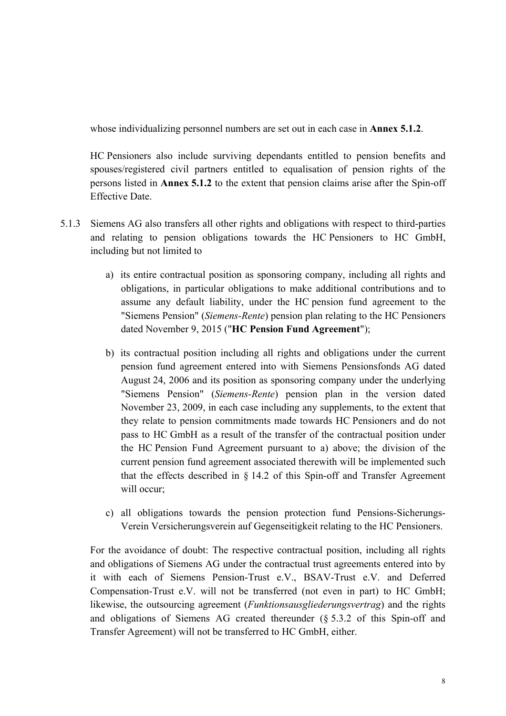whose individualizing personnel numbers are set out in each case in **Annex 5.1.2**.

HC Pensioners also include surviving dependants entitled to pension benefits and spouses/registered civil partners entitled to equalisation of pension rights of the persons listed in **Annex 5.1.2** to the extent that pension claims arise after the Spin-off Effective Date.

- 5.1.3 Siemens AG also transfers all other rights and obligations with respect to third-parties and relating to pension obligations towards the HC Pensioners to HC GmbH, including but not limited to
	- a) its entire contractual position as sponsoring company, including all rights and obligations, in particular obligations to make additional contributions and to assume any default liability, under the HC pension fund agreement to the "Siemens Pension" (*Siemens-Rente*) pension plan relating to the HC Pensioners dated November 9, 2015 ("**HC Pension Fund Agreement**");
	- b) its contractual position including all rights and obligations under the current pension fund agreement entered into with Siemens Pensionsfonds AG dated August 24, 2006 and its position as sponsoring company under the underlying "Siemens Pension" (*Siemens-Rente*) pension plan in the version dated November 23, 2009, in each case including any supplements, to the extent that they relate to pension commitments made towards HC Pensioners and do not pass to HC GmbH as a result of the transfer of the contractual position under the HC Pension Fund Agreement pursuant to a) above; the division of the current pension fund agreement associated therewith will be implemented such that the effects described in § 14.2 of this Spin-off and Transfer Agreement will occur;
	- c) all obligations towards the pension protection fund Pensions-Sicherungs-Verein Versicherungsverein auf Gegenseitigkeit relating to the HC Pensioners.

 For the avoidance of doubt: The respective contractual position, including all rights and obligations of Siemens AG under the contractual trust agreements entered into by it with each of Siemens Pension-Trust e.V., BSAV-Trust e.V. and Deferred Compensation-Trust e.V. will not be transferred (not even in part) to HC GmbH; likewise, the outsourcing agreement (*Funktionsausgliederungsvertrag*) and the rights and obligations of Siemens AG created thereunder (§ 5.3.2 of this Spin-off and Transfer Agreement) will not be transferred to HC GmbH, either.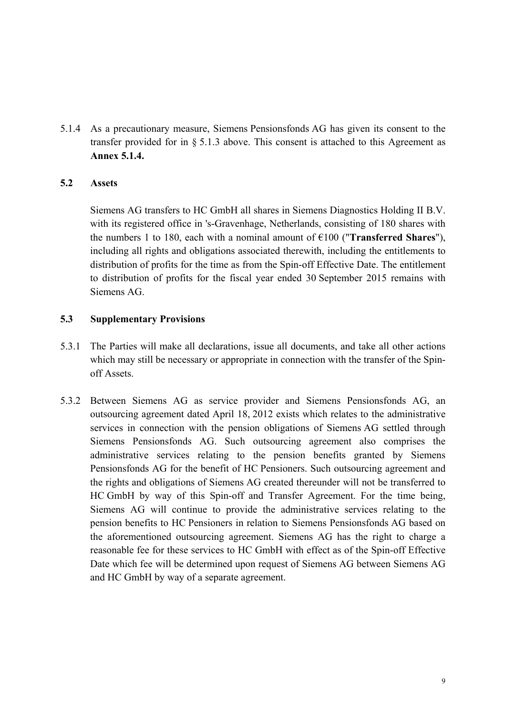5.1.4 As a precautionary measure, Siemens Pensionsfonds AG has given its consent to the transfer provided for in  $\S$  5.1.3 above. This consent is attached to this Agreement as **Annex 5.1.4.**

#### **5.2 Assets**

 Siemens AG transfers to HC GmbH all shares in Siemens Diagnostics Holding II B.V. with its registered office in 's-Gravenhage, Netherlands, consisting of 180 shares with the numbers 1 to 180, each with a nominal amount of €100 ("**Transferred Shares**"), including all rights and obligations associated therewith, including the entitlements to distribution of profits for the time as from the Spin-off Effective Date. The entitlement to distribution of profits for the fiscal year ended 30 September 2015 remains with Siemens AG.

#### **5.3 Supplementary Provisions**

- 5.3.1 The Parties will make all declarations, issue all documents, and take all other actions which may still be necessary or appropriate in connection with the transfer of the Spinoff Assets.
- 5.3.2 Between Siemens AG as service provider and Siemens Pensionsfonds AG, an outsourcing agreement dated April 18, 2012 exists which relates to the administrative services in connection with the pension obligations of Siemens AG settled through Siemens Pensionsfonds AG. Such outsourcing agreement also comprises the administrative services relating to the pension benefits granted by Siemens Pensionsfonds AG for the benefit of HC Pensioners. Such outsourcing agreement and the rights and obligations of Siemens AG created thereunder will not be transferred to HC GmbH by way of this Spin-off and Transfer Agreement. For the time being, Siemens AG will continue to provide the administrative services relating to the pension benefits to HC Pensioners in relation to Siemens Pensionsfonds AG based on the aforementioned outsourcing agreement. Siemens AG has the right to charge a reasonable fee for these services to HC GmbH with effect as of the Spin-off Effective Date which fee will be determined upon request of Siemens AG between Siemens AG and HC GmbH by way of a separate agreement.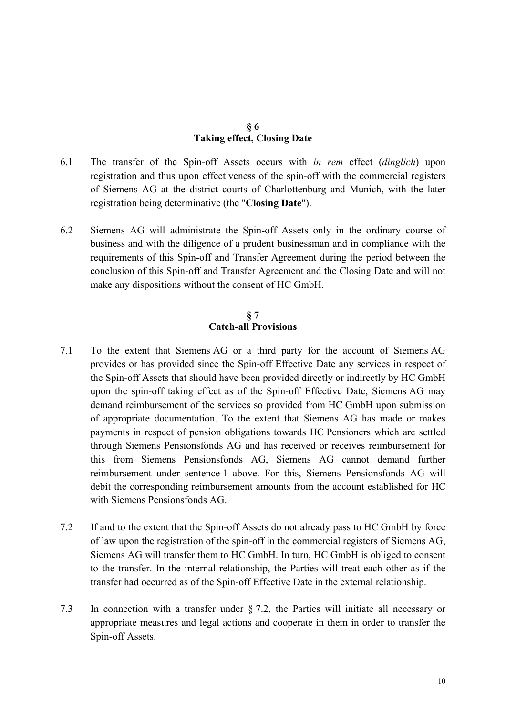#### **§ 6 Taking effect, Closing Date**

- 6.1 The transfer of the Spin-off Assets occurs with *in rem* effect (*dinglich*) upon registration and thus upon effectiveness of the spin-off with the commercial registers of Siemens AG at the district courts of Charlottenburg and Munich, with the later registration being determinative (the "**Closing Date**").
- 6.2 Siemens AG will administrate the Spin-off Assets only in the ordinary course of business and with the diligence of a prudent businessman and in compliance with the requirements of this Spin-off and Transfer Agreement during the period between the conclusion of this Spin-off and Transfer Agreement and the Closing Date and will not make any dispositions without the consent of HC GmbH.

#### **§ 7 Catch-all Provisions**

- 7.1 To the extent that Siemens AG or a third party for the account of Siemens AG provides or has provided since the Spin-off Effective Date any services in respect of the Spin-off Assets that should have been provided directly or indirectly by HC GmbH upon the spin-off taking effect as of the Spin-off Effective Date, Siemens AG may demand reimbursement of the services so provided from HC GmbH upon submission of appropriate documentation. To the extent that Siemens AG has made or makes payments in respect of pension obligations towards HC Pensioners which are settled through Siemens Pensionsfonds AG and has received or receives reimbursement for this from Siemens Pensionsfonds AG, Siemens AG cannot demand further reimbursement under sentence 1 above. For this, Siemens Pensionsfonds AG will debit the corresponding reimbursement amounts from the account established for HC with Siemens Pensionsfonds AG.
- 7.2 If and to the extent that the Spin-off Assets do not already pass to HC GmbH by force of law upon the registration of the spin-off in the commercial registers of Siemens AG, Siemens AG will transfer them to HC GmbH. In turn, HC GmbH is obliged to consent to the transfer. In the internal relationship, the Parties will treat each other as if the transfer had occurred as of the Spin-off Effective Date in the external relationship.
- 7.3 In connection with a transfer under § 7.2, the Parties will initiate all necessary or appropriate measures and legal actions and cooperate in them in order to transfer the Spin-off Assets.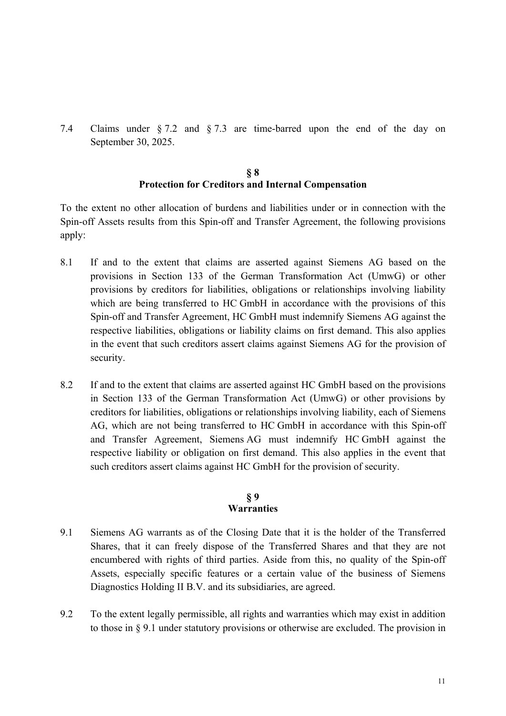7.4 Claims under § 7.2 and § 7.3 are time-barred upon the end of the day on September 30, 2025.

#### **§ 8 Protection for Creditors and Internal Compensation**

To the extent no other allocation of burdens and liabilities under or in connection with the Spin-off Assets results from this Spin-off and Transfer Agreement, the following provisions apply:

- 8.1 If and to the extent that claims are asserted against Siemens AG based on the provisions in Section 133 of the German Transformation Act (UmwG) or other provisions by creditors for liabilities, obligations or relationships involving liability which are being transferred to HC GmbH in accordance with the provisions of this Spin-off and Transfer Agreement, HC GmbH must indemnify Siemens AG against the respective liabilities, obligations or liability claims on first demand. This also applies in the event that such creditors assert claims against Siemens AG for the provision of security.
- 8.2 If and to the extent that claims are asserted against HC GmbH based on the provisions in Section 133 of the German Transformation Act (UmwG) or other provisions by creditors for liabilities, obligations or relationships involving liability, each of Siemens AG, which are not being transferred to HC GmbH in accordance with this Spin-off and Transfer Agreement, Siemens AG must indemnify HC GmbH against the respective liability or obligation on first demand. This also applies in the event that such creditors assert claims against HC GmbH for the provision of security.

#### **§ 9 Warranties**

- 9.1 Siemens AG warrants as of the Closing Date that it is the holder of the Transferred Shares, that it can freely dispose of the Transferred Shares and that they are not encumbered with rights of third parties. Aside from this, no quality of the Spin-off Assets, especially specific features or a certain value of the business of Siemens Diagnostics Holding II B.V. and its subsidiaries, are agreed.
- 9.2 To the extent legally permissible, all rights and warranties which may exist in addition to those in § 9.1 under statutory provisions or otherwise are excluded. The provision in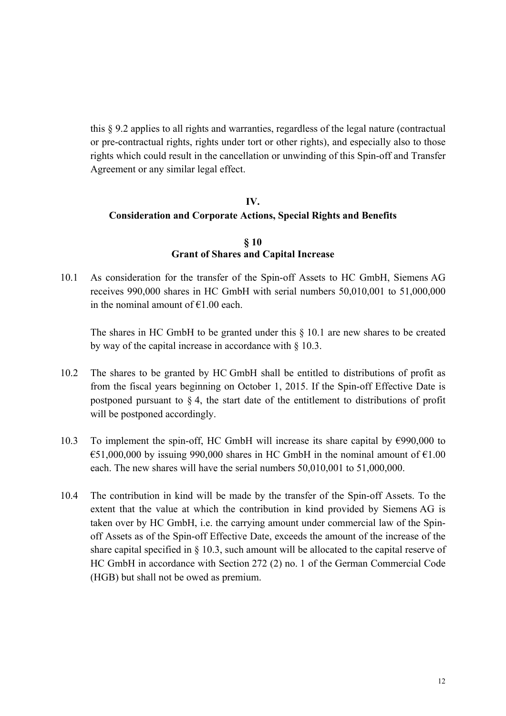this § 9.2 applies to all rights and warranties, regardless of the legal nature (contractual or pre-contractual rights, rights under tort or other rights), and especially also to those rights which could result in the cancellation or unwinding of this Spin-off and Transfer Agreement or any similar legal effect.

#### **IV. Consideration and Corporate Actions, Special Rights and Benefits**

#### **§ 10 Grant of Shares and Capital Increase**

10.1 As consideration for the transfer of the Spin-off Assets to HC GmbH, Siemens AG receives 990,000 shares in HC GmbH with serial numbers 50,010,001 to 51,000,000 in the nominal amount of  $\epsilon$ 1.00 each.

The shares in HC GmbH to be granted under this § 10.1 are new shares to be created by way of the capital increase in accordance with § 10.3.

- 10.2 The shares to be granted by HC GmbH shall be entitled to distributions of profit as from the fiscal years beginning on October 1, 2015. If the Spin-off Effective Date is postponed pursuant to  $\S 4$ , the start date of the entitlement to distributions of profit will be postponed accordingly.
- 10.3 To implement the spin-off, HC GmbH will increase its share capital by €990,000 to  $\text{\textsterling}51,000,000$  by issuing 990,000 shares in HC GmbH in the nominal amount of  $\text{\textsterling}1.00$ each. The new shares will have the serial numbers 50,010,001 to 51,000,000.
- 10.4 The contribution in kind will be made by the transfer of the Spin-off Assets. To the extent that the value at which the contribution in kind provided by Siemens AG is taken over by HC GmbH, i.e. the carrying amount under commercial law of the Spinoff Assets as of the Spin-off Effective Date, exceeds the amount of the increase of the share capital specified in  $\S$  10.3, such amount will be allocated to the capital reserve of HC GmbH in accordance with Section 272 (2) no. 1 of the German Commercial Code (HGB) but shall not be owed as premium.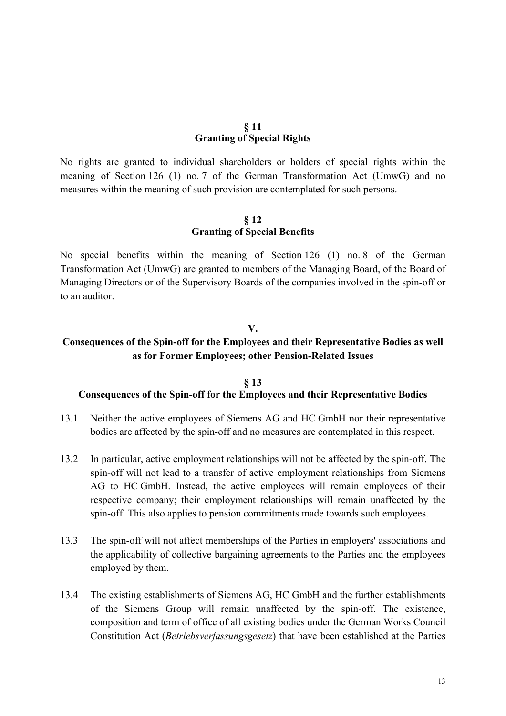#### **§ 11 Granting of Special Rights**

No rights are granted to individual shareholders or holders of special rights within the meaning of Section 126 (1) no. 7 of the German Transformation Act (UmwG) and no measures within the meaning of such provision are contemplated for such persons.

#### **§ 12 Granting of Special Benefits**

No special benefits within the meaning of Section 126 (1) no. 8 of the German Transformation Act (UmwG) are granted to members of the Managing Board, of the Board of Managing Directors or of the Supervisory Boards of the companies involved in the spin-off or to an auditor.

#### **V.**

#### **Consequences of the Spin-off for the Employees and their Representative Bodies as well as for Former Employees; other Pension-Related Issues**

#### **§ 13 Consequences of the Spin-off for the Employees and their Representative Bodies**

- 13.1 Neither the active employees of Siemens AG and HC GmbH nor their representative bodies are affected by the spin-off and no measures are contemplated in this respect.
- 13.2 In particular, active employment relationships will not be affected by the spin-off. The spin-off will not lead to a transfer of active employment relationships from Siemens AG to HC GmbH. Instead, the active employees will remain employees of their respective company; their employment relationships will remain unaffected by the spin-off. This also applies to pension commitments made towards such employees.
- 13.3 The spin-off will not affect memberships of the Parties in employers' associations and the applicability of collective bargaining agreements to the Parties and the employees employed by them.
- 13.4 The existing establishments of Siemens AG, HC GmbH and the further establishments of the Siemens Group will remain unaffected by the spin-off. The existence, composition and term of office of all existing bodies under the German Works Council Constitution Act (*Betriebsverfassungsgesetz*) that have been established at the Parties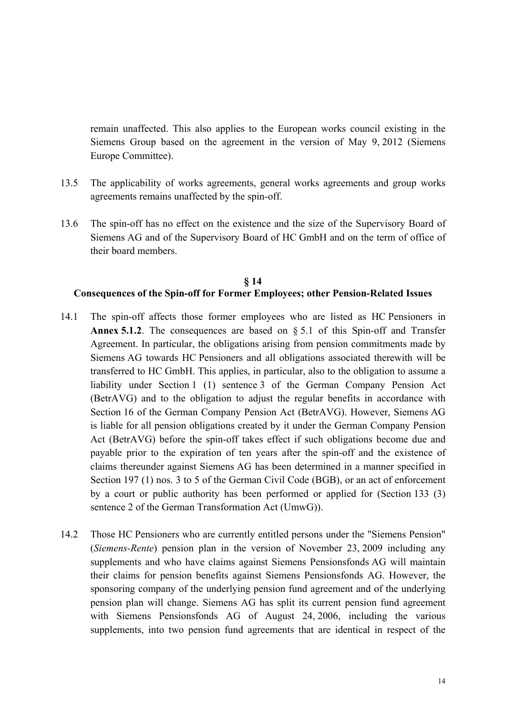remain unaffected. This also applies to the European works council existing in the Siemens Group based on the agreement in the version of May 9, 2012 (Siemens Europe Committee).

- 13.5 The applicability of works agreements, general works agreements and group works agreements remains unaffected by the spin-off.
- 13.6 The spin-off has no effect on the existence and the size of the Supervisory Board of Siemens AG and of the Supervisory Board of HC GmbH and on the term of office of their board members.

#### **§ 14 Consequences of the Spin-off for Former Employees; other Pension-Related Issues**

- 14.1 The spin-off affects those former employees who are listed as HC Pensioners in **Annex 5.1.2**. The consequences are based on § 5.1 of this Spin-off and Transfer Agreement. In particular, the obligations arising from pension commitments made by Siemens AG towards HC Pensioners and all obligations associated therewith will be transferred to HC GmbH. This applies, in particular, also to the obligation to assume a liability under Section 1 (1) sentence 3 of the German Company Pension Act (BetrAVG) and to the obligation to adjust the regular benefits in accordance with Section 16 of the German Company Pension Act (BetrAVG). However, Siemens AG is liable for all pension obligations created by it under the German Company Pension Act (BetrAVG) before the spin-off takes effect if such obligations become due and payable prior to the expiration of ten years after the spin-off and the existence of claims thereunder against Siemens AG has been determined in a manner specified in Section 197 (1) nos. 3 to 5 of the German Civil Code (BGB), or an act of enforcement by a court or public authority has been performed or applied for (Section 133 (3) sentence 2 of the German Transformation Act (UmwG)).
- 14.2 Those HC Pensioners who are currently entitled persons under the "Siemens Pension" (*Siemens-Rente*) pension plan in the version of November 23, 2009 including any supplements and who have claims against Siemens Pensionsfonds AG will maintain their claims for pension benefits against Siemens Pensionsfonds AG. However, the sponsoring company of the underlying pension fund agreement and of the underlying pension plan will change. Siemens AG has split its current pension fund agreement with Siemens Pensionsfonds AG of August 24, 2006, including the various supplements, into two pension fund agreements that are identical in respect of the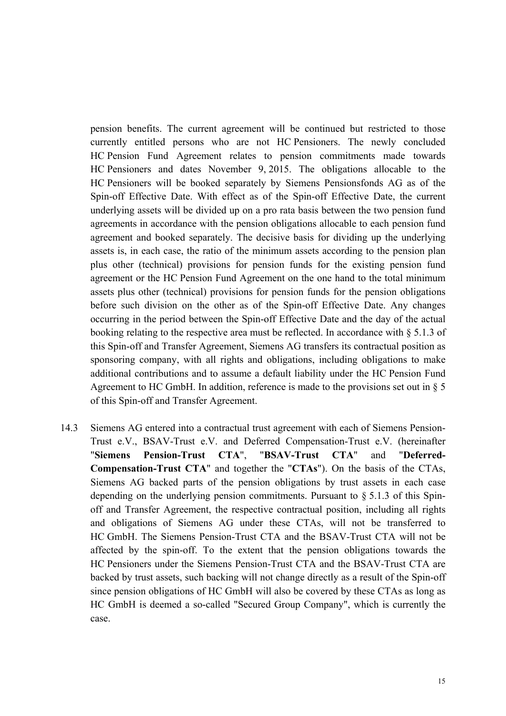pension benefits. The current agreement will be continued but restricted to those currently entitled persons who are not HC Pensioners. The newly concluded HC Pension Fund Agreement relates to pension commitments made towards HC Pensioners and dates November 9, 2015. The obligations allocable to the HC Pensioners will be booked separately by Siemens Pensionsfonds AG as of the Spin-off Effective Date. With effect as of the Spin-off Effective Date, the current underlying assets will be divided up on a pro rata basis between the two pension fund agreements in accordance with the pension obligations allocable to each pension fund agreement and booked separately. The decisive basis for dividing up the underlying assets is, in each case, the ratio of the minimum assets according to the pension plan plus other (technical) provisions for pension funds for the existing pension fund agreement or the HC Pension Fund Agreement on the one hand to the total minimum assets plus other (technical) provisions for pension funds for the pension obligations before such division on the other as of the Spin-off Effective Date. Any changes occurring in the period between the Spin-off Effective Date and the day of the actual booking relating to the respective area must be reflected. In accordance with § 5.1.3 of this Spin-off and Transfer Agreement, Siemens AG transfers its contractual position as sponsoring company, with all rights and obligations, including obligations to make additional contributions and to assume a default liability under the HC Pension Fund Agreement to HC GmbH. In addition, reference is made to the provisions set out in § 5 of this Spin-off and Transfer Agreement.

14.3 Siemens AG entered into a contractual trust agreement with each of Siemens Pension-Trust e.V., BSAV-Trust e.V. and Deferred Compensation-Trust e.V. (hereinafter "**Siemens Pension-Trust CTA**", "**BSAV-Trust CTA**" and "**Deferred-Compensation-Trust CTA**" and together the "**CTAs**"). On the basis of the CTAs, Siemens AG backed parts of the pension obligations by trust assets in each case depending on the underlying pension commitments. Pursuant to § 5.1.3 of this Spinoff and Transfer Agreement, the respective contractual position, including all rights and obligations of Siemens AG under these CTAs, will not be transferred to HC GmbH. The Siemens Pension-Trust CTA and the BSAV-Trust CTA will not be affected by the spin-off. To the extent that the pension obligations towards the HC Pensioners under the Siemens Pension-Trust CTA and the BSAV-Trust CTA are backed by trust assets, such backing will not change directly as a result of the Spin-off since pension obligations of HC GmbH will also be covered by these CTAs as long as HC GmbH is deemed a so-called "Secured Group Company", which is currently the case.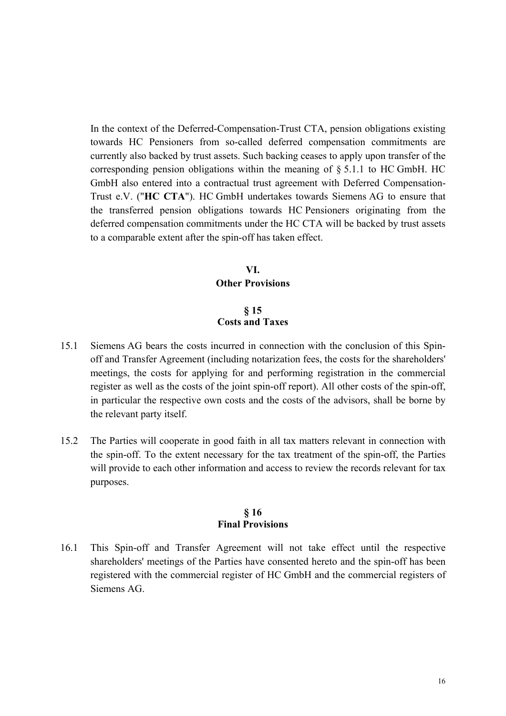In the context of the Deferred-Compensation-Trust CTA, pension obligations existing towards HC Pensioners from so-called deferred compensation commitments are currently also backed by trust assets. Such backing ceases to apply upon transfer of the corresponding pension obligations within the meaning of  $\S 5.1.1$  to HC GmbH. HC GmbH also entered into a contractual trust agreement with Deferred Compensation-Trust e.V. ("**HC CTA**"). HC GmbH undertakes towards Siemens AG to ensure that the transferred pension obligations towards HC Pensioners originating from the deferred compensation commitments under the HC CTA will be backed by trust assets to a comparable extent after the spin-off has taken effect.

### **VI. Other Provisions**

#### **§ 15 Costs and Taxes**

- 15.1 Siemens AG bears the costs incurred in connection with the conclusion of this Spinoff and Transfer Agreement (including notarization fees, the costs for the shareholders' meetings, the costs for applying for and performing registration in the commercial register as well as the costs of the joint spin-off report). All other costs of the spin-off, in particular the respective own costs and the costs of the advisors, shall be borne by the relevant party itself.
- 15.2 The Parties will cooperate in good faith in all tax matters relevant in connection with the spin-off. To the extent necessary for the tax treatment of the spin-off, the Parties will provide to each other information and access to review the records relevant for tax purposes.

#### **§ 16 Final Provisions**

16.1 This Spin-off and Transfer Agreement will not take effect until the respective shareholders' meetings of the Parties have consented hereto and the spin-off has been registered with the commercial register of HC GmbH and the commercial registers of Siemens AG.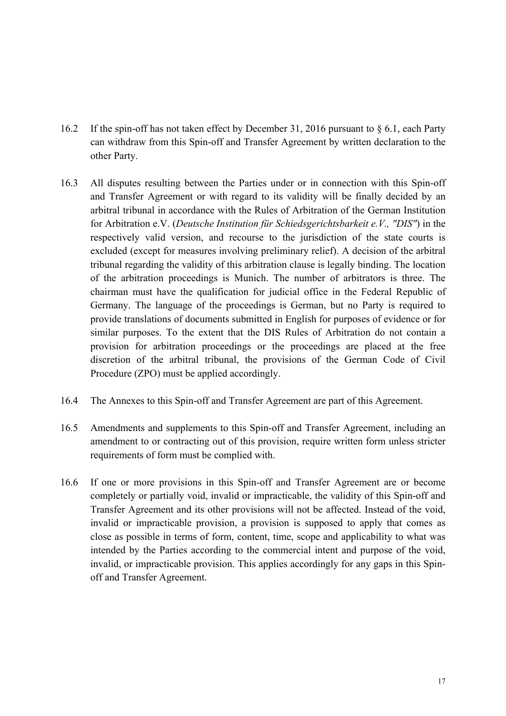- 16.2 If the spin-off has not taken effect by December 31, 2016 pursuant to § 6.1, each Party can withdraw from this Spin-off and Transfer Agreement by written declaration to the other Party.
- 16.3 All disputes resulting between the Parties under or in connection with this Spin-off and Transfer Agreement or with regard to its validity will be finally decided by an arbitral tribunal in accordance with the Rules of Arbitration of the German Institution for Arbitration e.V. (*Deutsche Institution für Schiedsgerichtsbarkeit e.V., "DIS"*) in the respectively valid version, and recourse to the jurisdiction of the state courts is excluded (except for measures involving preliminary relief). A decision of the arbitral tribunal regarding the validity of this arbitration clause is legally binding. The location of the arbitration proceedings is Munich. The number of arbitrators is three. The chairman must have the qualification for judicial office in the Federal Republic of Germany. The language of the proceedings is German, but no Party is required to provide translations of documents submitted in English for purposes of evidence or for similar purposes. To the extent that the DIS Rules of Arbitration do not contain a provision for arbitration proceedings or the proceedings are placed at the free discretion of the arbitral tribunal, the provisions of the German Code of Civil Procedure (ZPO) must be applied accordingly.
- 16.4 The Annexes to this Spin-off and Transfer Agreement are part of this Agreement.
- 16.5 Amendments and supplements to this Spin-off and Transfer Agreement, including an amendment to or contracting out of this provision, require written form unless stricter requirements of form must be complied with.
- 16.6 If one or more provisions in this Spin-off and Transfer Agreement are or become completely or partially void, invalid or impracticable, the validity of this Spin-off and Transfer Agreement and its other provisions will not be affected. Instead of the void, invalid or impracticable provision, a provision is supposed to apply that comes as close as possible in terms of form, content, time, scope and applicability to what was intended by the Parties according to the commercial intent and purpose of the void, invalid, or impracticable provision. This applies accordingly for any gaps in this Spinoff and Transfer Agreement.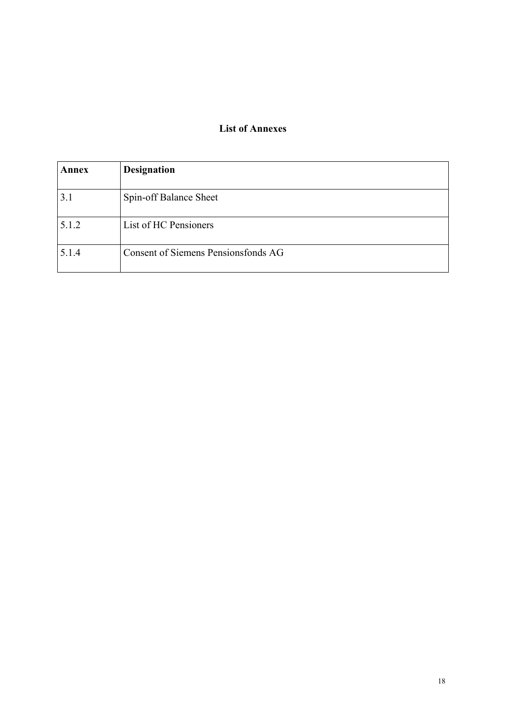#### **List of Annexes**

| Annex | <b>Designation</b>                  |
|-------|-------------------------------------|
| 3.1   | Spin-off Balance Sheet              |
| 5.1.2 | List of HC Pensioners               |
| 5.1.4 | Consent of Siemens Pensionsfonds AG |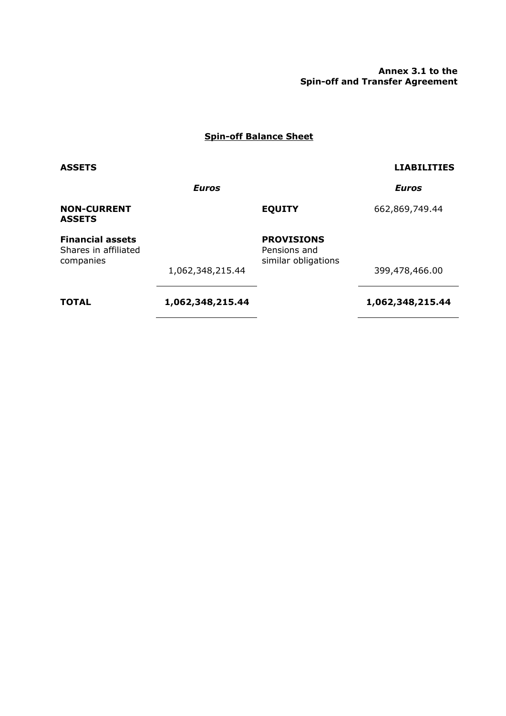**Annex 3.1 to the Spin-off and Transfer Agreement** 

#### **Spin-off Balance Sheet**

#### **ASSETS LIABILITIES**

*Euros Euros* 

#### **NON-CURRENT ASSETS**

**EQUITY** 662,869,749.44

## **Financial assets PROVISIONS**

Shares in affiliated companies

Pensions and similar obligations

399,478,466.00

**TOTAL 1,062,348,215.44 1,062,348,215.44** 

1,062,348,215.44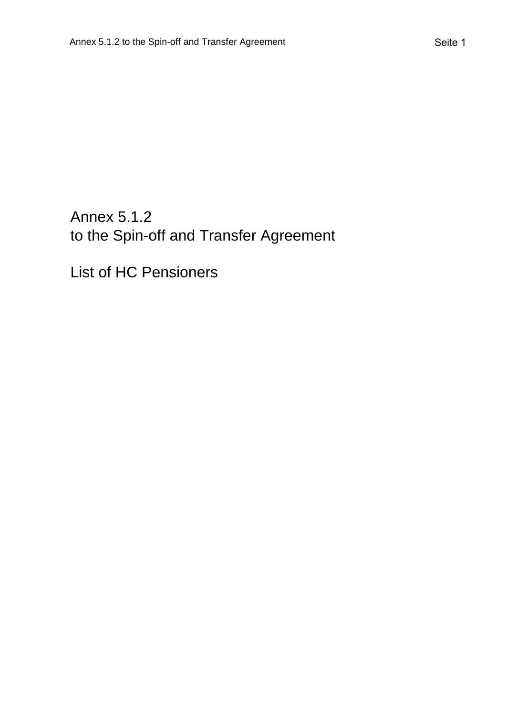# Annex 5.1.2 to the Spin-off and Transfer Agreement

List of HC Pensioners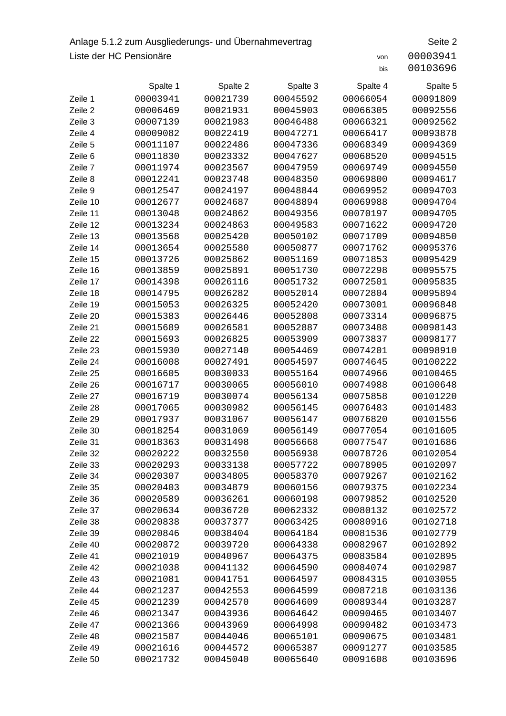## Anlage 5.1.2 zum Ausgliederungs- und Übernahmevertrag Seite 2 Liste der HC Pensionäre von 200003941

|          | Spalte 1 | Spalte 2 | Spalte 3 | Spalte 4 | Spalte 5 |
|----------|----------|----------|----------|----------|----------|
| Zeile 1  | 00003941 | 00021739 | 00045592 | 00066054 | 00091809 |
| Zeile 2  | 00006469 | 00021931 | 00045903 | 00066305 | 00092556 |
| Zeile 3  | 00007139 | 00021983 | 00046488 | 00066321 | 00092562 |
| Zeile 4  | 00009082 | 00022419 | 00047271 | 00066417 | 00093878 |
| Zeile 5  | 00011107 | 00022486 | 00047336 | 00068349 | 00094369 |
| Zeile 6  | 00011830 | 00023332 | 00047627 | 00068520 | 00094515 |
| Zeile 7  | 00011974 | 00023567 | 00047959 | 00069749 | 00094550 |
| Zeile 8  | 00012241 | 00023748 | 00048350 | 00069800 | 00094617 |
| Zeile 9  | 00012547 | 00024197 | 00048844 | 00069952 | 00094703 |
| Zeile 10 | 00012677 | 00024687 | 00048894 | 00069988 | 00094704 |
| Zeile 11 | 00013048 | 00024862 | 00049356 | 00070197 | 00094705 |
| Zeile 12 | 00013234 | 00024863 | 00049583 | 00071622 | 00094720 |
| Zeile 13 | 00013568 | 00025420 | 00050102 | 00071709 | 00094850 |
| Zeile 14 | 00013654 | 00025580 | 00050877 | 00071762 | 00095376 |
| Zeile 15 | 00013726 | 00025862 | 00051169 | 00071853 | 00095429 |
| Zeile 16 | 00013859 | 00025891 | 00051730 | 00072298 | 00095575 |
| Zeile 17 | 00014398 | 00026116 | 00051732 | 00072501 | 00095835 |
| Zeile 18 | 00014795 | 00026282 | 00052014 | 00072804 | 00095894 |
| Zeile 19 | 00015053 | 00026325 | 00052420 | 00073001 | 00096848 |
| Zeile 20 | 00015383 | 00026446 | 00052808 | 00073314 | 00096875 |
| Zeile 21 | 00015689 | 00026581 | 00052887 | 00073488 | 00098143 |
| Zeile 22 | 00015693 | 00026825 | 00053909 | 00073837 | 00098177 |
| Zeile 23 | 00015930 | 00027140 | 00054469 | 00074201 | 00098910 |
| Zeile 24 | 00016008 | 00027491 | 00054597 | 00074645 | 00100222 |
| Zeile 25 | 00016605 | 00030033 | 00055164 | 00074966 | 00100465 |
| Zeile 26 | 00016717 | 00030065 | 00056010 | 00074988 | 00100648 |
| Zeile 27 | 00016719 | 00030074 | 00056134 | 00075858 | 00101220 |
| Zeile 28 | 00017065 | 00030982 | 00056145 | 00076483 | 00101483 |
| Zeile 29 | 00017937 | 00031067 | 00056147 | 00076820 | 00101556 |
| Zeile 30 | 00018254 | 00031069 | 00056149 | 00077054 | 00101605 |
| Zeile 31 | 00018363 | 00031498 | 00056668 | 00077547 | 00101686 |
| Zeile 32 | 00020222 | 00032550 | 00056938 | 00078726 | 00102054 |
| Zeile 33 | 00020293 | 00033138 | 00057722 | 00078905 | 00102097 |
| Zeile 34 | 00020307 | 00034805 | 00058370 | 00079267 | 00102162 |
| Zeile 35 | 00020403 | 00034879 | 00060156 | 00079375 | 00102234 |
| Zeile 36 | 00020589 | 00036261 | 00060198 | 00079852 | 00102520 |
| Zeile 37 | 00020634 | 00036720 | 00062332 | 00080132 | 00102572 |
| Zeile 38 | 00020838 | 00037377 | 00063425 | 00080916 | 00102718 |
| Zeile 39 | 00020846 | 00038404 | 00064184 | 00081536 | 00102779 |
| Zeile 40 | 00020872 | 00039720 | 00064338 | 00082967 | 00102892 |
| Zeile 41 | 00021019 | 00040967 | 00064375 | 00083584 | 00102895 |
| Zeile 42 | 00021038 | 00041132 | 00064590 | 00084074 | 00102987 |
| Zeile 43 | 00021081 | 00041751 | 00064597 | 00084315 | 00103055 |
| Zeile 44 | 00021237 | 00042553 | 00064599 | 00087218 | 00103136 |
| Zeile 45 | 00021239 | 00042570 | 00064609 | 00089344 | 00103287 |
| Zeile 46 | 00021347 | 00043936 | 00064642 | 00090465 | 00103407 |
| Zeile 47 | 00021366 | 00043969 | 00064998 | 00090482 | 00103473 |
| Zeile 48 | 00021587 | 00044046 | 00065101 | 00090675 | 00103481 |
| Zeile 49 | 00021616 | 00044572 | 00065387 | 00091277 | 00103585 |
| Zeile 50 | 00021732 | 00045040 | 00065640 | 00091608 | 00103696 |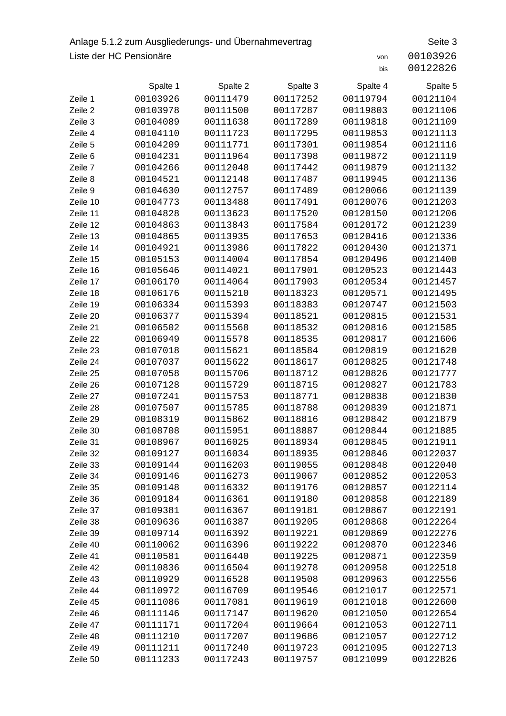## Anlage 5.1.2 zum Ausgliederungs- und Übernahmevertrag Seite 3 Liste der HC Pensionäre von 20103926

|          | Spalte 1 | Spalte 2 | Spalte 3 | Spalte 4 | Spalte 5 |
|----------|----------|----------|----------|----------|----------|
| Zeile 1  | 00103926 | 00111479 | 00117252 | 00119794 | 00121104 |
| Zeile 2  | 00103978 | 00111500 | 00117287 | 00119803 | 00121106 |
| Zeile 3  | 00104089 | 00111638 | 00117289 | 00119818 | 00121109 |
| Zeile 4  | 00104110 | 00111723 | 00117295 | 00119853 | 00121113 |
| Zeile 5  | 00104209 | 00111771 | 00117301 | 00119854 | 00121116 |
| Zeile 6  | 00104231 | 00111964 | 00117398 | 00119872 | 00121119 |
| Zeile 7  | 00104266 | 00112048 | 00117442 | 00119879 | 00121132 |
| Zeile 8  | 00104521 | 00112148 | 00117487 | 00119945 | 00121136 |
| Zeile 9  | 00104630 | 00112757 | 00117489 | 00120066 | 00121139 |
| Zeile 10 | 00104773 | 00113488 | 00117491 | 00120076 | 00121203 |
| Zeile 11 | 00104828 | 00113623 | 00117520 | 00120150 | 00121206 |
| Zeile 12 | 00104863 | 00113843 | 00117584 | 00120172 | 00121239 |
| Zeile 13 | 00104865 | 00113935 | 00117653 | 00120416 | 00121336 |
| Zeile 14 | 00104921 | 00113986 | 00117822 | 00120430 | 00121371 |
| Zeile 15 | 00105153 | 00114004 | 00117854 | 00120496 | 00121400 |
| Zeile 16 | 00105646 | 00114021 | 00117901 | 00120523 | 00121443 |
| Zeile 17 | 00106170 | 00114064 | 00117903 | 00120534 | 00121457 |
| Zeile 18 | 00106176 | 00115210 | 00118323 | 00120571 | 00121495 |
| Zeile 19 | 00106334 | 00115393 | 00118383 | 00120747 | 00121503 |
| Zeile 20 | 00106377 | 00115394 | 00118521 | 00120815 | 00121531 |
| Zeile 21 | 00106502 | 00115568 | 00118532 | 00120816 | 00121585 |
| Zeile 22 | 00106949 | 00115578 | 00118535 | 00120817 | 00121606 |
| Zeile 23 | 00107018 | 00115621 | 00118584 | 00120819 | 00121620 |
| Zeile 24 | 00107037 | 00115622 | 00118617 | 00120825 | 00121748 |
| Zeile 25 | 00107058 | 00115706 | 00118712 | 00120826 | 00121777 |
| Zeile 26 | 00107128 | 00115729 | 00118715 | 00120827 | 00121783 |
| Zeile 27 | 00107241 | 00115753 | 00118771 | 00120838 | 00121830 |
| Zeile 28 | 00107507 | 00115785 | 00118788 | 00120839 | 00121871 |
| Zeile 29 | 00108319 | 00115862 | 00118816 | 00120842 | 00121879 |
| Zeile 30 | 00108708 | 00115951 | 00118887 | 00120844 | 00121885 |
| Zeile 31 | 00108967 | 00116025 | 00118934 | 00120845 | 00121911 |
| Zeile 32 | 00109127 | 00116034 | 00118935 | 00120846 | 00122037 |
| Zeile 33 | 00109144 | 00116203 | 00119055 | 00120848 | 00122040 |
| Zeile 34 | 00109146 | 00116273 | 00119067 | 00120852 | 00122053 |
| Zeile 35 | 00109148 | 00116332 | 00119176 | 00120857 | 00122114 |
| Zeile 36 | 00109184 | 00116361 | 00119180 | 00120858 | 00122189 |
| Zeile 37 | 00109381 | 00116367 | 00119181 | 00120867 | 00122191 |
| Zeile 38 | 00109636 | 00116387 | 00119205 | 00120868 | 00122264 |
| Zeile 39 | 00109714 | 00116392 | 00119221 | 00120869 | 00122276 |
| Zeile 40 | 00110062 | 00116396 | 00119222 | 00120870 | 00122346 |
| Zeile 41 | 00110581 | 00116440 | 00119225 | 00120871 | 00122359 |
| Zeile 42 | 00110836 | 00116504 | 00119278 | 00120958 | 00122518 |
| Zeile 43 | 00110929 | 00116528 | 00119508 | 00120963 | 00122556 |
| Zeile 44 | 00110972 | 00116709 | 00119546 | 00121017 | 00122571 |
| Zeile 45 | 00111086 | 00117081 | 00119619 | 00121018 | 00122600 |
| Zeile 46 | 00111146 | 00117147 | 00119620 | 00121050 | 00122654 |
| Zeile 47 | 00111171 | 00117204 | 00119664 | 00121053 | 00122711 |
| Zeile 48 | 00111210 | 00117207 | 00119686 | 00121057 | 00122712 |
| Zeile 49 | 00111211 | 00117240 | 00119723 | 00121095 | 00122713 |
| Zeile 50 | 00111233 | 00117243 | 00119757 | 00121099 | 00122826 |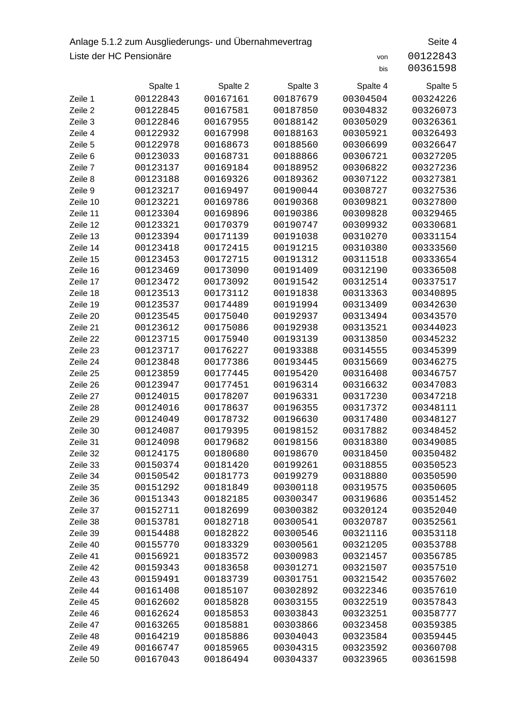### Anlage 5.1.2 zum Ausgliederungs- und Übernahmevertrag Seite 4 Liste der HC Pensionäre von 00122843

| 00122843 |  |
|----------|--|
| 00361598 |  |

|                      | Spalte 1             | Spalte 2             | Spalte 3             | Spalte 4             | Spalte 5             |
|----------------------|----------------------|----------------------|----------------------|----------------------|----------------------|
| Zeile 1              | 00122843             | 00167161             | 00187679             | 00304504             | 00324226             |
| Zeile 2              | 00122845             | 00167581             | 00187850             | 00304832             | 00326073             |
| Zeile 3              | 00122846             | 00167955             | 00188142             | 00305029             | 00326361             |
| Zeile 4              | 00122932             | 00167998             | 00188163             | 00305921             | 00326493             |
| Zeile 5              | 00122978             | 00168673             | 00188560             | 00306699             | 00326647             |
| Zeile 6              | 00123033             | 00168731             | 00188866             | 00306721             | 00327205             |
| Zeile 7              | 00123137             | 00169184             | 00188952             | 00306822             | 00327236             |
| Zeile 8              | 00123188             | 00169326             | 00189362             | 00307122             | 00327381             |
| Zeile 9              | 00123217             | 00169497             | 00190044             | 00308727             | 00327536             |
| Zeile 10             | 00123221             | 00169786             | 00190368             | 00309821             | 00327800             |
| Zeile 11             | 00123304             | 00169896             | 00190386             | 00309828             | 00329465             |
| Zeile 12             | 00123321             | 00170379             | 00190747             | 00309932             | 00330681             |
| Zeile 13             | 00123394             | 00171139             | 00191038             | 00310270             | 00331154             |
| Zeile 14             | 00123418             | 00172415             | 00191215             | 00310380             | 00333560             |
| Zeile 15             | 00123453             | 00172715             | 00191312             | 00311518             | 00333654             |
| Zeile 16             | 00123469             | 00173090             | 00191409             | 00312190             | 00336508             |
| Zeile 17             | 00123472             | 00173092             | 00191542             | 00312514             | 00337517             |
| Zeile 18             | 00123513             | 00173112             | 00191838             | 00313363             | 00340895             |
| Zeile 19             | 00123537             | 00174489             | 00191994             | 00313409             | 00342630             |
| Zeile 20             | 00123545             | 00175040             | 00192937             | 00313494             | 00343570             |
| Zeile 21             | 00123612             | 00175086             | 00192938             | 00313521             | 00344023             |
| Zeile 22             | 00123715             | 00175940             | 00193139             | 00313850             | 00345232             |
| Zeile 23             | 00123717             | 00176227             | 00193388             | 00314555             | 00345399             |
| Zeile 24             | 00123848             | 00177386             | 00193445             | 00315669             | 00346275             |
| Zeile 25             | 00123859             | 00177445             | 00195420             | 00316408             | 00346757             |
| Zeile 26             | 00123947             | 00177451             | 00196314             | 00316632             | 00347083             |
| Zeile 27             | 00124015             | 00178207             | 00196331             | 00317230             | 00347218             |
| Zeile 28             | 00124016             | 00178637             | 00196355             | 00317372             | 00348111             |
| Zeile 29             | 00124049             | 00178732             | 00196630             | 00317480             | 00348127             |
| Zeile 30             | 00124087             | 00179395             | 00198152             | 00317882             | 00348452             |
| Zeile 31             | 00124098             | 00179682             | 00198156             | 00318380             | 00349085             |
| Zeile 32             | 00124175             | 00180680             | 00198670             | 00318450             | 00350482             |
| Zeile 33             | 00150374             | 00181420             | 00199261             | 00318855             | 00350523             |
| Zeile 34             | 00150542             | 00181773             | 00199279             | 00318880             | 00350590             |
| Zeile 35             | 00151292             | 00181849             | 00300118             | 00319575             | 00350605             |
| Zeile 36             | 00151343             | 00182185             | 00300347             | 00319686             | 00351452             |
| Zeile 37             | 00152711             | 00182699             | 00300382             | 00320124             | 00352040             |
| Zeile 38             | 00153781             | 00182718             | 00300541             | 00320787             | 00352561             |
| Zeile 39<br>Zeile 40 | 00154488<br>00155770 | 00182822<br>00183329 | 00300546             | 00321116<br>00321205 | 00353118             |
| Zeile 41             | 00156921             | 00183572             | 00300561<br>00300983 | 00321457             | 00353788<br>00356785 |
| Zeile 42             | 00159343             | 00183658             | 00301271             | 00321507             | 00357510             |
| Zeile 43             | 00159491             | 00183739             | 00301751             | 00321542             | 00357602             |
| Zeile 44             | 00161408             | 00185107             | 00302892             | 00322346             | 00357610             |
| Zeile 45             | 00162602             | 00185828             | 00303155             | 00322519             | 00357843             |
| Zeile 46             | 00162624             | 00185853             | 00303843             | 00323251             | 00358777             |
| Zeile 47             | 00163265             | 00185881             | 00303866             | 00323458             | 00359385             |
| Zeile 48             | 00164219             | 00185886             | 00304043             | 00323584             | 00359445             |
| Zeile 49             | 00166747             | 00185965             | 00304315             | 00323592             | 00360708             |
| Zeile 50             | 00167043             | 00186494             | 00304337             | 00323965             | 00361598             |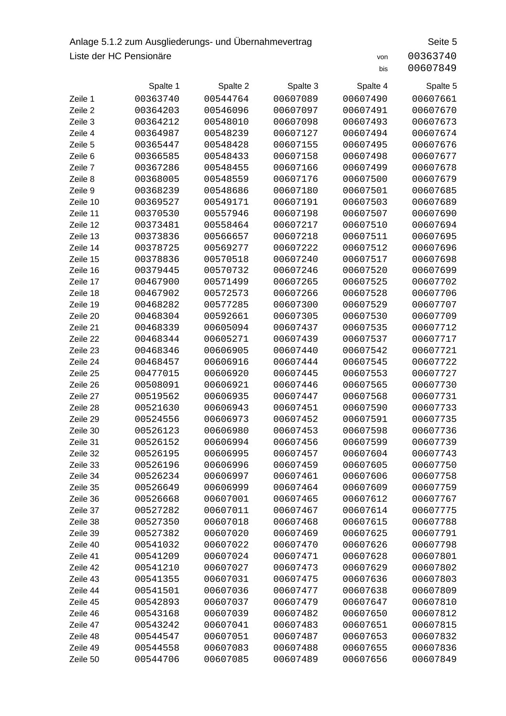## Anlage 5.1.2 zum Ausgliederungs- und Übernahmevertrag Seite 5 Liste der HC Pensionäre von 200363740

|                      | Spalte 1             | Spalte 2             | Spalte 3             | Spalte 4             | Spalte 5             |
|----------------------|----------------------|----------------------|----------------------|----------------------|----------------------|
| Zeile 1              | 00363740             | 00544764             | 00607089             | 00607490             |                      |
| Zeile 2              | 00364203             | 00546096             | 00607097             | 00607491             | 00607661<br>00607670 |
| Zeile 3              | 00364212             | 00548010             | 00607098             | 00607493             | 00607673             |
| Zeile 4              | 00364987             | 00548239             | 00607127             | 00607494             | 00607674             |
| Zeile 5              | 00365447             | 00548428             | 00607155             | 00607495             | 00607676             |
| Zeile 6              | 00366585             | 00548433             | 00607158             | 00607498             | 00607677             |
| Zeile 7              | 00367286             | 00548455             | 00607166             | 00607499             | 00607678             |
| Zeile 8              | 00368005             | 00548559             | 00607176             | 00607500             | 00607679             |
| Zeile 9              | 00368239             | 00548686             | 00607180             | 00607501             | 00607685             |
| Zeile 10             | 00369527             | 00549171             | 00607191             | 00607503             | 00607689             |
| Zeile 11             | 00370530             | 00557946             | 00607198             | 00607507             | 00607690             |
| Zeile 12             | 00373481             | 00558464             | 00607217             | 00607510             | 00607694             |
| Zeile 13             | 00373836             | 00566657             | 00607218             | 00607511             | 00607695             |
| Zeile 14             | 00378725             | 00569277             | 00607222             | 00607512             | 00607696             |
| Zeile 15             | 00378836             | 00570518             | 00607240             | 00607517             | 00607698             |
| Zeile 16             | 00379445             | 00570732             | 00607246             | 00607520             | 00607699             |
| Zeile 17             | 00467900             | 00571499             | 00607265             | 00607525             | 00607702             |
| Zeile 18             | 00467902             | 00572573             | 00607266             | 00607528             | 00607706             |
| Zeile 19             | 00468282             | 00577285             | 00607300             | 00607529             | 00607707             |
| Zeile 20             | 00468304             | 00592661             | 00607305             | 00607530             | 00607709             |
| Zeile 21             | 00468339             | 00605094             | 00607437             | 00607535             | 00607712             |
| Zeile 22             | 00468344             | 00605271             | 00607439             | 00607537             | 00607717             |
| Zeile 23             | 00468346             | 00606905             | 00607440             | 00607542             | 00607721             |
| Zeile 24             | 00468457             | 00606916             | 00607444             | 00607545             | 00607722             |
| Zeile 25             | 00477015             | 00606920             | 00607445             | 00607553             | 00607727             |
| Zeile 26             | 00508091             | 00606921             | 00607446             | 00607565             | 00607730             |
| Zeile 27             | 00519562             | 00606935             | 00607447             | 00607568             | 00607731             |
| Zeile 28             | 00521630             | 00606943             | 00607451             | 00607590             | 00607733             |
| Zeile 29             | 00524556             | 00606973             | 00607452             | 00607591             | 00607735             |
| Zeile 30             | 00526123             | 00606980             | 00607453             | 00607598             | 00607736             |
| Zeile 31             | 00526152             | 00606994             | 00607456             | 00607599             | 00607739             |
| Zeile 32             | 00526195             | 00606995             | 00607457             | 00607604             | 00607743             |
| Zeile 33             | 00526196             | 00606996             | 00607459             | 00607605             | 00607750             |
| Zeile 34             | 00526234             | 00606997             | 00607461             | 00607606             | 00607758             |
| Zeile 35             | 00526649             | 00606999             | 00607464             | 00607609             | 00607759             |
| Zeile 36             | 00526668             | 00607001             | 00607465             | 00607612             | 00607767             |
| Zeile 37             | 00527282             | 00607011             | 00607467             | 00607614             | 00607775             |
| Zeile 38             | 00527350             | 00607018             | 00607468             | 00607615             | 00607788             |
| Zeile 39             | 00527382             | 00607020             | 00607469             | 00607625             | 00607791             |
| Zeile 40             | 00541032             | 00607022<br>00607024 | 00607470             | 00607626<br>00607628 | 00607798             |
| Zeile 41             | 00541209             |                      | 00607471             |                      | 00607801             |
| Zeile 42             | 00541210             | 00607027             | 00607473             | 00607629             | 00607802             |
| Zeile 43<br>Zeile 44 | 00541355<br>00541501 | 00607031<br>00607036 | 00607475<br>00607477 | 00607636<br>00607638 | 00607803<br>00607809 |
|                      |                      |                      |                      | 00607647             | 00607810             |
| Zeile 45<br>Zeile 46 |                      |                      |                      |                      |                      |
|                      | 00542893             | 00607037             | 00607479             |                      |                      |
|                      | 00543168             | 00607039             | 00607482             | 00607650             | 00607812             |
| Zeile 47             | 00543242             | 00607041             | 00607483             | 00607651             | 00607815             |
| Zeile 48<br>Zeile 49 | 00544547<br>00544558 | 00607051<br>00607083 | 00607487<br>00607488 | 00607653<br>00607655 | 00607832<br>00607836 |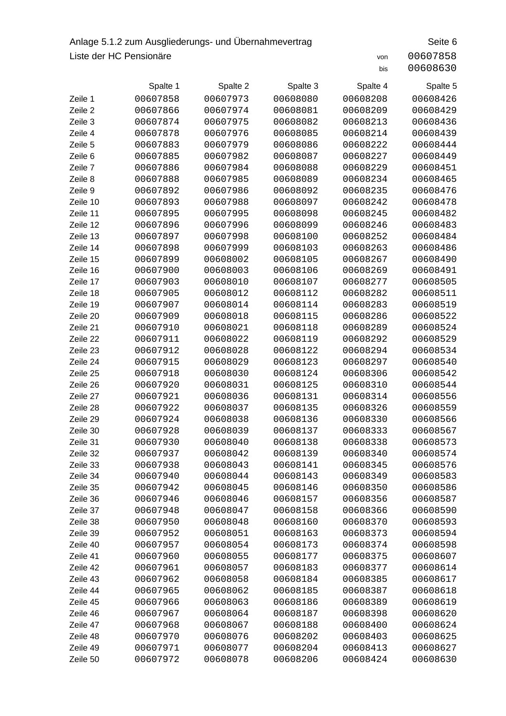## Anlage 5.1.2 zum Ausgliederungs- und Übernahmevertrag Seite 6 Liste der HC Pensionäre von 200607858

|                    | Spalte 1             | Spalte 2             | Spalte 3             | Spalte 4             | Spalte 5             |
|--------------------|----------------------|----------------------|----------------------|----------------------|----------------------|
| Zeile 1            | 00607858             | 00607973             | 00608080             | 00608208             | 00608426             |
| Zeile 2            | 00607866<br>00607874 | 00607974             | 00608081             | 00608209             | 00608429             |
| Zeile 3            |                      | 00607975             | 00608082             | 00608213             | 00608436             |
| Zeile 4            | 00607878             | 00607976             | 00608085             | 00608214             | 00608439             |
| Zeile 5<br>Zeile 6 | 00607883<br>00607885 | 00607979<br>00607982 | 00608086<br>00608087 | 00608222<br>00608227 | 00608444<br>00608449 |
| Zeile 7            | 00607886             | 00607984             | 00608088             | 00608229             | 00608451             |
| Zeile 8            | 00607888             | 00607985             | 00608089             | 00608234             | 00608465             |
| Zeile 9            | 00607892             | 00607986             | 00608092             | 00608235             | 00608476             |
| Zeile 10           | 00607893             | 00607988             | 00608097             | 00608242             | 00608478             |
| Zeile 11           | 00607895             | 00607995             | 00608098             | 00608245             | 00608482             |
| Zeile 12           | 00607896             | 00607996             | 00608099             | 00608246             | 00608483             |
| Zeile 13           | 00607897             | 00607998             | 00608100             | 00608252             | 00608484             |
| Zeile 14           | 00607898             | 00607999             | 00608103             | 00608263             | 00608486             |
| Zeile 15           | 00607899             | 00608002             | 00608105             | 00608267             | 00608490             |
| Zeile 16           | 00607900             | 00608003             | 00608106             | 00608269             | 00608491             |
| Zeile 17           | 00607903             | 00608010             | 00608107             | 00608277             | 00608505             |
| Zeile 18           | 00607905             | 00608012             | 00608112             | 00608282             | 00608511             |
| Zeile 19           | 00607907             | 00608014             | 00608114             | 00608283             | 00608519             |
| Zeile 20           | 00607909             | 00608018             | 00608115             | 00608286             | 00608522             |
| Zeile 21           | 00607910             | 00608021             | 00608118             | 00608289             | 00608524             |
| Zeile 22           | 00607911             | 00608022             | 00608119             | 00608292             | 00608529             |
| Zeile 23           | 00607912             | 00608028             | 00608122             | 00608294             | 00608534             |
| Zeile 24           | 00607915             | 00608029             | 00608123             | 00608297             | 00608540             |
| Zeile 25           | 00607918             | 00608030             | 00608124             | 00608306             | 00608542             |
| Zeile 26           | 00607920             | 00608031             | 00608125             | 00608310             | 00608544             |
| Zeile 27           | 00607921             | 00608036             | 00608131             | 00608314             | 00608556             |
| Zeile 28           | 00607922             | 00608037             | 00608135             | 00608326             | 00608559             |
| Zeile 29           | 00607924             | 00608038             | 00608136             | 00608330             | 00608566             |
| Zeile 30           | 00607928             | 00608039             | 00608137             | 00608333             | 00608567             |
| Zeile 31           | 00607930             | 00608040             | 00608138             | 00608338             | 00608573             |
| Zeile 32           | 00607937             | 00608042             | 00608139             | 00608340             | 00608574             |
| Zeile 33           | 00607938             | 00608043             | 00608141             | 00608345             | 00608576             |
| Zeile 34           | 00607940             | 00608044             | 00608143             | 00608349             | 00608583             |
| Zeile 35           | 00607942             | 00608045             | 00608146             | 00608350             | 00608586             |
| Zeile 36           | 00607946             | 00608046             | 00608157             | 00608356             | 00608587             |
| Zeile 37           | 00607948             | 00608047             | 00608158             | 00608366             | 00608590             |
| Zeile 38           | 00607950             | 00608048             | 00608160             | 00608370             | 00608593             |
| Zeile 39           | 00607952             | 00608051             | 00608163             | 00608373             | 00608594             |
| Zeile 40           | 00607957             | 00608054             | 00608173             | 00608374             | 00608598             |
| Zeile 41           | 00607960             | 00608055             | 00608177             | 00608375             | 00608607             |
| Zeile 42           | 00607961             | 00608057             | 00608183             | 00608377             | 00608614             |
| Zeile 43           | 00607962             | 00608058             | 00608184             | 00608385             | 00608617             |
| Zeile 44           | 00607965             | 00608062             | 00608185             | 00608387             | 00608618             |
| Zeile 45           | 00607966             | 00608063             | 00608186             | 00608389             | 00608619             |
| Zeile 46           | 00607967             | 00608064             | 00608187             | 00608398             | 00608620             |
| Zeile 47           | 00607968             | 00608067             | 00608188             | 00608400             | 00608624             |
| Zeile 48           | 00607970             | 00608076             | 00608202             | 00608403             | 00608625             |
| Zeile 49           | 00607971             | 00608077             | 00608204             | 00608413             | 00608627             |
| Zeile 50           | 00607972             | 00608078             | 00608206             | 00608424             | 00608630             |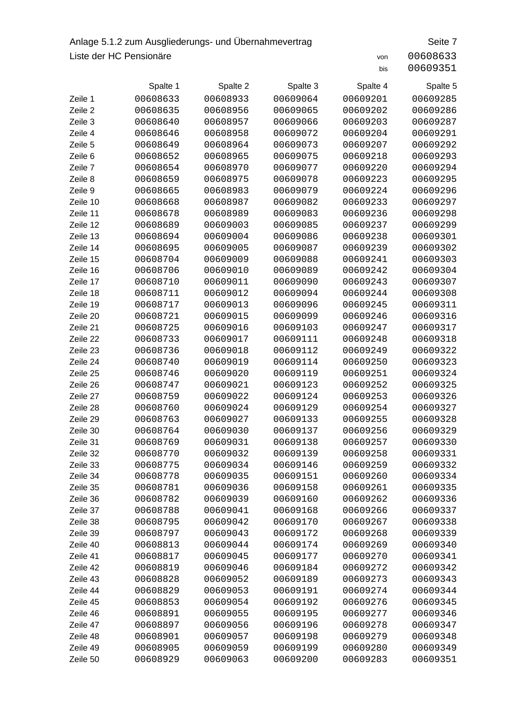## Anlage 5.1.2 zum Ausgliederungs- und Übernahmevertrag Seite 7.1.2 zum Ausgliederungs-Liste der HC Pensionäre von 200608633

|--|--|--|--|

|          | Spalte 1 | Spalte 2 | Spalte 3 | Spalte 4 | Spalte 5 |
|----------|----------|----------|----------|----------|----------|
| Zeile 1  | 00608633 | 00608933 | 00609064 | 00609201 | 00609285 |
| Zeile 2  | 00608635 | 00608956 | 00609065 | 00609202 | 00609286 |
| Zeile 3  | 00608640 | 00608957 | 00609066 | 00609203 | 00609287 |
| Zeile 4  | 00608646 | 00608958 | 00609072 | 00609204 | 00609291 |
| Zeile 5  | 00608649 | 00608964 | 00609073 | 00609207 | 00609292 |
| Zeile 6  | 00608652 | 00608965 | 00609075 | 00609218 | 00609293 |
| Zeile 7  | 00608654 | 00608970 | 00609077 | 00609220 | 00609294 |
| Zeile 8  | 00608659 | 00608975 | 00609078 | 00609223 | 00609295 |
| Zeile 9  | 00608665 | 00608983 | 00609079 | 00609224 | 00609296 |
| Zeile 10 | 00608668 | 00608987 | 00609082 | 00609233 | 00609297 |
| Zeile 11 | 00608678 | 00608989 | 00609083 | 00609236 | 00609298 |
| Zeile 12 | 00608689 | 00609003 | 00609085 | 00609237 | 00609299 |
| Zeile 13 | 00608694 | 00609004 | 00609086 | 00609238 | 00609301 |
| Zeile 14 | 00608695 | 00609005 | 00609087 | 00609239 | 00609302 |
| Zeile 15 | 00608704 | 00609009 | 00609088 | 00609241 | 00609303 |
| Zeile 16 | 00608706 | 00609010 | 00609089 | 00609242 | 00609304 |
| Zeile 17 | 00608710 | 00609011 | 00609090 | 00609243 | 00609307 |
| Zeile 18 | 00608711 | 00609012 | 00609094 | 00609244 | 00609308 |
| Zeile 19 | 00608717 | 00609013 | 00609096 | 00609245 | 00609311 |
| Zeile 20 | 00608721 | 00609015 | 00609099 | 00609246 | 00609316 |
| Zeile 21 | 00608725 | 00609016 | 00609103 | 00609247 | 00609317 |
| Zeile 22 | 00608733 | 00609017 | 00609111 | 00609248 | 00609318 |
| Zeile 23 | 00608736 | 00609018 | 00609112 | 00609249 | 00609322 |
| Zeile 24 | 00608740 | 00609019 | 00609114 | 00609250 | 00609323 |
| Zeile 25 | 00608746 | 00609020 | 00609119 | 00609251 | 00609324 |
| Zeile 26 | 00608747 | 00609021 | 00609123 | 00609252 | 00609325 |
| Zeile 27 | 00608759 | 00609022 | 00609124 | 00609253 | 00609326 |
| Zeile 28 | 00608760 | 00609024 | 00609129 | 00609254 | 00609327 |
| Zeile 29 | 00608763 | 00609027 | 00609133 | 00609255 | 00609328 |
| Zeile 30 | 00608764 | 00609030 | 00609137 | 00609256 | 00609329 |
| Zeile 31 | 00608769 | 00609031 | 00609138 | 00609257 | 00609330 |
| Zeile 32 | 00608770 | 00609032 | 00609139 | 00609258 | 00609331 |
| Zeile 33 | 00608775 | 00609034 | 00609146 | 00609259 | 00609332 |
| Zeile 34 | 00608778 | 00609035 | 00609151 | 00609260 | 00609334 |
| Zeile 35 | 00608781 | 00609036 | 00609158 | 00609261 | 00609335 |
| Zeile 36 | 00608782 | 00609039 | 00609160 | 00609262 | 00609336 |
| Zeile 37 | 00608788 | 00609041 | 00609168 | 00609266 | 00609337 |
| Zeile 38 | 00608795 | 00609042 | 00609170 | 00609267 | 00609338 |
| Zeile 39 | 00608797 | 00609043 | 00609172 | 00609268 | 00609339 |
| Zeile 40 | 00608813 | 00609044 | 00609174 | 00609269 | 00609340 |
| Zeile 41 | 00608817 | 00609045 | 00609177 | 00609270 | 00609341 |
| Zeile 42 | 00608819 | 00609046 | 00609184 | 00609272 | 00609342 |
| Zeile 43 | 00608828 | 00609052 | 00609189 | 00609273 | 00609343 |
| Zeile 44 | 00608829 | 00609053 | 00609191 | 00609274 | 00609344 |
| Zeile 45 | 00608853 | 00609054 | 00609192 | 00609276 | 00609345 |
| Zeile 46 | 00608891 | 00609055 | 00609195 | 00609277 | 00609346 |
| Zeile 47 | 00608897 | 00609056 | 00609196 | 00609278 | 00609347 |
| Zeile 48 | 00608901 | 00609057 | 00609198 | 00609279 | 00609348 |
| Zeile 49 | 00608905 | 00609059 | 00609199 | 00609280 | 00609349 |
| Zeile 50 | 00608929 | 00609063 | 00609200 | 00609283 | 00609351 |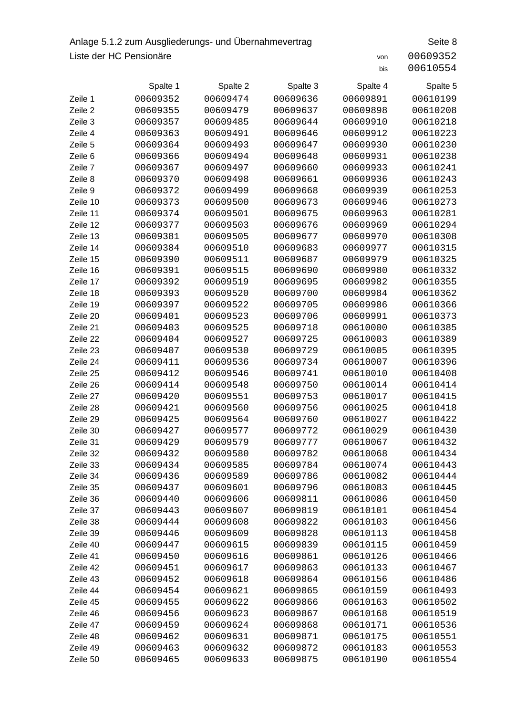## Anlage 5.1.2 zum Ausgliederungs- und Übernahmevertrag Seite 8 Liste der HC Pensionäre von 200609352

|          | Spalte 1 | Spalte 2 | Spalte 3 | Spalte 4 | Spalte 5 |
|----------|----------|----------|----------|----------|----------|
| Zeile 1  | 00609352 | 00609474 | 00609636 | 00609891 | 00610199 |
| Zeile 2  | 00609355 | 00609479 | 00609637 | 00609898 | 00610208 |
| Zeile 3  | 00609357 | 00609485 | 00609644 | 00609910 | 00610218 |
| Zeile 4  | 00609363 | 00609491 | 00609646 | 00609912 | 00610223 |
| Zeile 5  | 00609364 | 00609493 | 00609647 | 00609930 | 00610230 |
| Zeile 6  | 00609366 | 00609494 | 00609648 | 00609931 | 00610238 |
| Zeile 7  | 00609367 | 00609497 | 00609660 | 00609933 | 00610241 |
| Zeile 8  | 00609370 | 00609498 | 00609661 | 00609936 | 00610243 |
| Zeile 9  | 00609372 | 00609499 | 00609668 | 00609939 | 00610253 |
| Zeile 10 | 00609373 | 00609500 | 00609673 | 00609946 | 00610273 |
| Zeile 11 | 00609374 | 00609501 | 00609675 | 00609963 | 00610281 |
| Zeile 12 | 00609377 | 00609503 | 00609676 | 00609969 | 00610294 |
| Zeile 13 | 00609381 | 00609505 | 00609677 | 00609970 | 00610308 |
| Zeile 14 | 00609384 | 00609510 | 00609683 | 00609977 | 00610315 |
| Zeile 15 | 00609390 | 00609511 | 00609687 | 00609979 | 00610325 |
| Zeile 16 | 00609391 | 00609515 | 00609690 | 00609980 | 00610332 |
| Zeile 17 | 00609392 | 00609519 | 00609695 | 00609982 | 00610355 |
| Zeile 18 | 00609393 | 00609520 | 00609700 | 00609984 | 00610362 |
| Zeile 19 | 00609397 | 00609522 | 00609705 | 00609986 | 00610366 |
| Zeile 20 | 00609401 | 00609523 | 00609706 | 00609991 | 00610373 |
| Zeile 21 | 00609403 | 00609525 | 00609718 | 00610000 | 00610385 |
| Zeile 22 | 00609404 | 00609527 | 00609725 | 00610003 | 00610389 |
| Zeile 23 | 00609407 | 00609530 | 00609729 | 00610005 | 00610395 |
| Zeile 24 | 00609411 | 00609536 | 00609734 | 00610007 | 00610396 |
| Zeile 25 | 00609412 | 00609546 | 00609741 | 00610010 | 00610408 |
| Zeile 26 | 00609414 | 00609548 | 00609750 | 00610014 | 00610414 |
| Zeile 27 | 00609420 | 00609551 | 00609753 | 00610017 | 00610415 |
| Zeile 28 | 00609421 | 00609560 | 00609756 | 00610025 | 00610418 |
| Zeile 29 | 00609425 | 00609564 | 00609760 | 00610027 | 00610422 |
| Zeile 30 | 00609427 | 00609577 | 00609772 | 00610029 | 00610430 |
| Zeile 31 | 00609429 | 00609579 | 00609777 | 00610067 | 00610432 |
| Zeile 32 | 00609432 | 00609580 | 00609782 | 00610068 | 00610434 |
| Zeile 33 | 00609434 | 00609585 | 00609784 | 00610074 | 00610443 |
| Zeile 34 | 00609436 | 00609589 | 00609786 | 00610082 | 00610444 |
| Zeile 35 | 00609437 | 00609601 | 00609796 | 00610083 | 00610445 |
| Zeile 36 | 00609440 | 00609606 | 00609811 | 00610086 | 00610450 |
| Zeile 37 | 00609443 | 00609607 | 00609819 | 00610101 | 00610454 |
| Zeile 38 | 00609444 | 00609608 | 00609822 | 00610103 | 00610456 |
| Zeile 39 | 00609446 | 00609609 | 00609828 | 00610113 | 00610458 |
| Zeile 40 | 00609447 | 00609615 | 00609839 | 00610115 | 00610459 |
| Zeile 41 | 00609450 | 00609616 | 00609861 | 00610126 | 00610466 |
| Zeile 42 | 00609451 | 00609617 | 00609863 | 00610133 | 00610467 |
| Zeile 43 | 00609452 | 00609618 | 00609864 | 00610156 | 00610486 |
| Zeile 44 | 00609454 | 00609621 | 00609865 | 00610159 | 00610493 |
| Zeile 45 | 00609455 | 00609622 | 00609866 | 00610163 | 00610502 |
| Zeile 46 | 00609456 | 00609623 | 00609867 | 00610168 | 00610519 |
| Zeile 47 | 00609459 | 00609624 | 00609868 | 00610171 | 00610536 |
| Zeile 48 | 00609462 | 00609631 | 00609871 | 00610175 | 00610551 |
| Zeile 49 | 00609463 | 00609632 | 00609872 | 00610183 | 00610553 |
| Zeile 50 | 00609465 | 00609633 | 00609875 | 00610190 | 00610554 |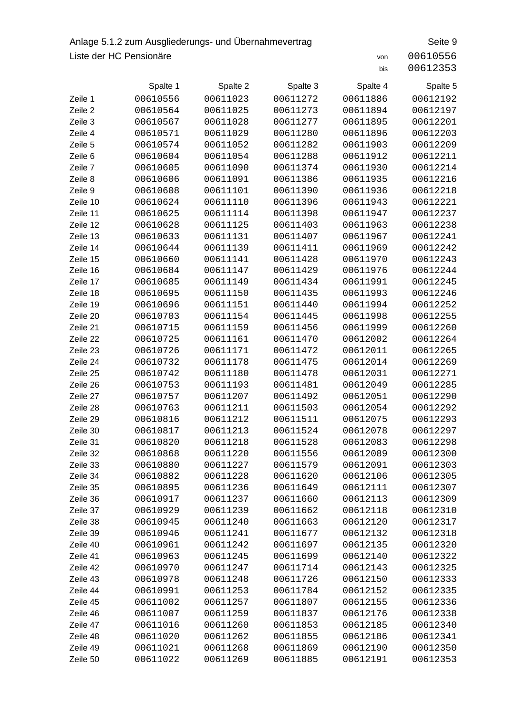## Anlage 5.1.2 zum Ausgliederungs- und Übernahmevertrag Seite 9 Liste der HC Pensionäre von 200610556

|          | Spalte 1 | Spalte 2 | Spalte 3 | Spalte 4 | Spalte 5 |
|----------|----------|----------|----------|----------|----------|
| Zeile 1  | 00610556 | 00611023 | 00611272 | 00611886 | 00612192 |
| Zeile 2  | 00610564 | 00611025 | 00611273 | 00611894 | 00612197 |
| Zeile 3  | 00610567 | 00611028 | 00611277 | 00611895 | 00612201 |
| Zeile 4  | 00610571 | 00611029 | 00611280 | 00611896 | 00612203 |
| Zeile 5  | 00610574 | 00611052 | 00611282 | 00611903 | 00612209 |
| Zeile 6  | 00610604 | 00611054 | 00611288 | 00611912 | 00612211 |
| Zeile 7  | 00610605 | 00611090 | 00611374 | 00611930 | 00612214 |
| Zeile 8  | 00610606 | 00611091 | 00611386 | 00611935 | 00612216 |
| Zeile 9  | 00610608 | 00611101 | 00611390 | 00611936 | 00612218 |
| Zeile 10 | 00610624 | 00611110 | 00611396 | 00611943 | 00612221 |
| Zeile 11 | 00610625 | 00611114 | 00611398 | 00611947 | 00612237 |
| Zeile 12 | 00610628 | 00611125 | 00611403 | 00611963 | 00612238 |
| Zeile 13 | 00610633 | 00611131 | 00611407 | 00611967 | 00612241 |
| Zeile 14 | 00610644 | 00611139 | 00611411 | 00611969 | 00612242 |
| Zeile 15 | 00610660 | 00611141 | 00611428 | 00611970 | 00612243 |
| Zeile 16 | 00610684 | 00611147 | 00611429 | 00611976 | 00612244 |
| Zeile 17 | 00610685 | 00611149 | 00611434 | 00611991 | 00612245 |
| Zeile 18 | 00610695 | 00611150 | 00611435 | 00611993 | 00612246 |
| Zeile 19 | 00610696 | 00611151 | 00611440 | 00611994 | 00612252 |
| Zeile 20 | 00610703 | 00611154 | 00611445 | 00611998 | 00612255 |
| Zeile 21 | 00610715 | 00611159 | 00611456 | 00611999 | 00612260 |
| Zeile 22 | 00610725 | 00611161 | 00611470 | 00612002 | 00612264 |
| Zeile 23 | 00610726 | 00611171 | 00611472 | 00612011 | 00612265 |
| Zeile 24 | 00610732 | 00611178 | 00611475 | 00612014 | 00612269 |
| Zeile 25 | 00610742 | 00611180 | 00611478 | 00612031 | 00612271 |
| Zeile 26 | 00610753 | 00611193 | 00611481 | 00612049 | 00612285 |
| Zeile 27 | 00610757 | 00611207 | 00611492 | 00612051 | 00612290 |
| Zeile 28 | 00610763 | 00611211 | 00611503 | 00612054 | 00612292 |
| Zeile 29 | 00610816 | 00611212 | 00611511 | 00612075 | 00612293 |
| Zeile 30 | 00610817 | 00611213 | 00611524 | 00612078 | 00612297 |
| Zeile 31 | 00610820 | 00611218 | 00611528 | 00612083 | 00612298 |
| Zeile 32 | 00610868 | 00611220 | 00611556 | 00612089 | 00612300 |
| Zeile 33 | 00610880 | 00611227 | 00611579 | 00612091 | 00612303 |
| Zeile 34 | 00610882 | 00611228 | 00611620 | 00612106 | 00612305 |
| Zeile 35 | 00610895 | 00611236 | 00611649 | 00612111 | 00612307 |
| Zeile 36 | 00610917 | 00611237 | 00611660 | 00612113 | 00612309 |
| Zeile 37 | 00610929 | 00611239 | 00611662 | 00612118 | 00612310 |
| Zeile 38 | 00610945 | 00611240 | 00611663 | 00612120 | 00612317 |
| Zeile 39 | 00610946 | 00611241 | 00611677 | 00612132 | 00612318 |
| Zeile 40 | 00610961 | 00611242 | 00611697 | 00612135 | 00612320 |
| Zeile 41 | 00610963 | 00611245 | 00611699 | 00612140 | 00612322 |
| Zeile 42 | 00610970 | 00611247 | 00611714 | 00612143 | 00612325 |
| Zeile 43 | 00610978 | 00611248 | 00611726 | 00612150 | 00612333 |
| Zeile 44 | 00610991 | 00611253 | 00611784 | 00612152 | 00612335 |
| Zeile 45 | 00611002 | 00611257 | 00611807 | 00612155 | 00612336 |
| Zeile 46 | 00611007 | 00611259 | 00611837 | 00612176 | 00612338 |
| Zeile 47 | 00611016 | 00611260 | 00611853 | 00612185 | 00612340 |
| Zeile 48 | 00611020 | 00611262 | 00611855 | 00612186 | 00612341 |
| Zeile 49 | 00611021 | 00611268 | 00611869 | 00612190 | 00612350 |
| Zeile 50 | 00611022 | 00611269 | 00611885 | 00612191 | 00612353 |
|          |          |          |          |          |          |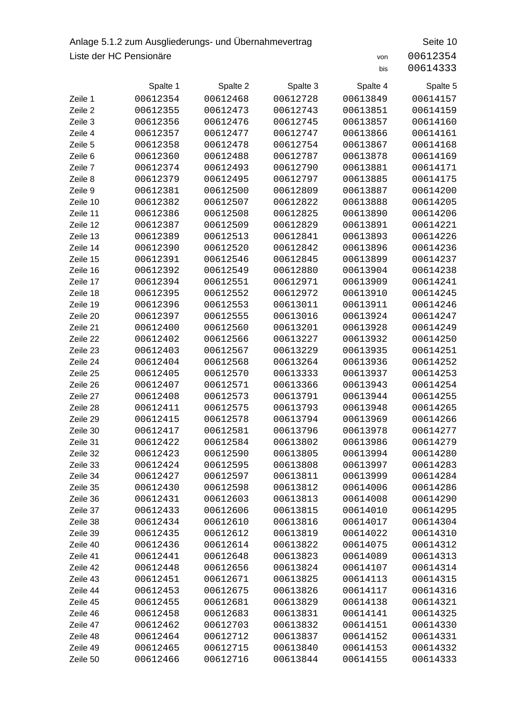## Anlage 5.1.2 zum Ausgliederungs- und Übernahmevertrag Seite 10 Liste der HC Pensionäre von 200612354

|          | Spalte 1 | Spalte 2 | Spalte 3 | Spalte 4 | Spalte 5 |
|----------|----------|----------|----------|----------|----------|
| Zeile 1  | 00612354 | 00612468 | 00612728 | 00613849 | 00614157 |
| Zeile 2  | 00612355 | 00612473 | 00612743 | 00613851 | 00614159 |
| Zeile 3  | 00612356 | 00612476 | 00612745 | 00613857 | 00614160 |
| Zeile 4  | 00612357 | 00612477 | 00612747 | 00613866 | 00614161 |
| Zeile 5  | 00612358 | 00612478 | 00612754 | 00613867 | 00614168 |
| Zeile 6  | 00612360 | 00612488 | 00612787 | 00613878 | 00614169 |
| Zeile 7  | 00612374 | 00612493 | 00612790 | 00613881 | 00614171 |
| Zeile 8  | 00612379 | 00612495 | 00612797 | 00613885 | 00614175 |
| Zeile 9  | 00612381 | 00612500 | 00612809 | 00613887 | 00614200 |
| Zeile 10 | 00612382 | 00612507 | 00612822 | 00613888 | 00614205 |
| Zeile 11 | 00612386 | 00612508 | 00612825 | 00613890 | 00614206 |
| Zeile 12 | 00612387 | 00612509 | 00612829 | 00613891 | 00614221 |
| Zeile 13 | 00612389 | 00612513 | 00612841 | 00613893 | 00614226 |
| Zeile 14 | 00612390 | 00612520 | 00612842 | 00613896 | 00614236 |
| Zeile 15 | 00612391 | 00612546 | 00612845 | 00613899 | 00614237 |
| Zeile 16 | 00612392 | 00612549 | 00612880 | 00613904 | 00614238 |
| Zeile 17 | 00612394 | 00612551 | 00612971 | 00613909 | 00614241 |
| Zeile 18 | 00612395 | 00612552 | 00612972 | 00613910 | 00614245 |
| Zeile 19 | 00612396 | 00612553 | 00613011 | 00613911 | 00614246 |
| Zeile 20 | 00612397 | 00612555 | 00613016 | 00613924 | 00614247 |
| Zeile 21 | 00612400 | 00612560 | 00613201 | 00613928 | 00614249 |
| Zeile 22 | 00612402 | 00612566 | 00613227 | 00613932 | 00614250 |
| Zeile 23 | 00612403 | 00612567 | 00613229 | 00613935 | 00614251 |
| Zeile 24 | 00612404 | 00612568 | 00613264 | 00613936 | 00614252 |
| Zeile 25 | 00612405 | 00612570 | 00613333 | 00613937 | 00614253 |
| Zeile 26 | 00612407 | 00612571 | 00613366 | 00613943 | 00614254 |
| Zeile 27 | 00612408 | 00612573 | 00613791 | 00613944 | 00614255 |
| Zeile 28 | 00612411 | 00612575 | 00613793 | 00613948 | 00614265 |
| Zeile 29 | 00612415 | 00612578 | 00613794 | 00613969 | 00614266 |
| Zeile 30 | 00612417 | 00612581 | 00613796 | 00613978 | 00614277 |
| Zeile 31 | 00612422 | 00612584 | 00613802 | 00613986 | 00614279 |
| Zeile 32 | 00612423 | 00612590 | 00613805 | 00613994 | 00614280 |
| Zeile 33 | 00612424 | 00612595 | 00613808 | 00613997 | 00614283 |
| Zeile 34 | 00612427 | 00612597 | 00613811 | 00613999 | 00614284 |
| Zeile 35 | 00612430 | 00612598 | 00613812 | 00614006 | 00614286 |
| Zeile 36 | 00612431 | 00612603 | 00613813 | 00614008 | 00614290 |
| Zeile 37 | 00612433 | 00612606 | 00613815 | 00614010 | 00614295 |
| Zeile 38 | 00612434 | 00612610 | 00613816 | 00614017 | 00614304 |
| Zeile 39 | 00612435 | 00612612 | 00613819 | 00614022 | 00614310 |
| Zeile 40 | 00612436 | 00612614 | 00613822 | 00614075 | 00614312 |
| Zeile 41 | 00612441 | 00612648 | 00613823 | 00614089 | 00614313 |
| Zeile 42 | 00612448 | 00612656 | 00613824 | 00614107 | 00614314 |
| Zeile 43 | 00612451 | 00612671 | 00613825 | 00614113 | 00614315 |
| Zeile 44 | 00612453 | 00612675 | 00613826 | 00614117 | 00614316 |
| Zeile 45 | 00612455 | 00612681 | 00613829 | 00614138 | 00614321 |
| Zeile 46 | 00612458 | 00612683 | 00613831 | 00614141 | 00614325 |
| Zeile 47 | 00612462 | 00612703 | 00613832 | 00614151 | 00614330 |
| Zeile 48 | 00612464 | 00612712 | 00613837 | 00614152 | 00614331 |
| Zeile 49 | 00612465 | 00612715 | 00613840 | 00614153 | 00614332 |
| Zeile 50 | 00612466 | 00612716 | 00613844 | 00614155 | 00614333 |
|          |          |          |          |          |          |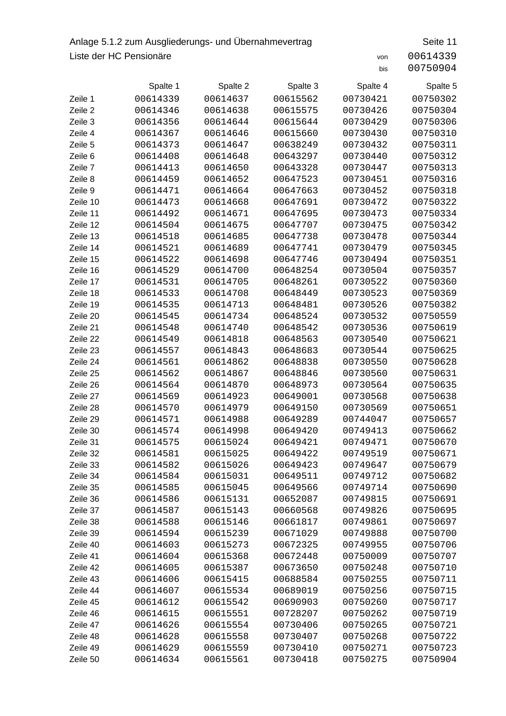## Anlage 5.1.2 zum Ausgliederungs- und Übernahmevertrag Seite 11 Liste der HC Pensionäre von 200614339

|          | Spalte 1 | Spalte 2 | Spalte 3 | Spalte 4 | Spalte 5 |
|----------|----------|----------|----------|----------|----------|
| Zeile 1  | 00614339 | 00614637 | 00615562 | 00730421 | 00750302 |
| Zeile 2  | 00614346 | 00614638 | 00615575 | 00730426 | 00750304 |
| Zeile 3  | 00614356 | 00614644 | 00615644 | 00730429 | 00750306 |
| Zeile 4  | 00614367 | 00614646 | 00615660 | 00730430 | 00750310 |
| Zeile 5  | 00614373 | 00614647 | 00638249 | 00730432 | 00750311 |
| Zeile 6  | 00614408 | 00614648 | 00643297 | 00730440 | 00750312 |
| Zeile 7  | 00614413 | 00614650 | 00643328 | 00730447 | 00750313 |
| Zeile 8  | 00614459 | 00614652 | 00647523 | 00730451 | 00750316 |
| Zeile 9  | 00614471 | 00614664 | 00647663 | 00730452 | 00750318 |
| Zeile 10 | 00614473 | 00614668 | 00647691 | 00730472 | 00750322 |
| Zeile 11 | 00614492 | 00614671 | 00647695 | 00730473 | 00750334 |
| Zeile 12 | 00614504 | 00614675 | 00647707 | 00730475 | 00750342 |
| Zeile 13 | 00614518 | 00614685 | 00647738 | 00730478 | 00750344 |
| Zeile 14 | 00614521 | 00614689 | 00647741 | 00730479 | 00750345 |
| Zeile 15 | 00614522 | 00614698 | 00647746 | 00730494 | 00750351 |
| Zeile 16 | 00614529 | 00614700 | 00648254 | 00730504 | 00750357 |
| Zeile 17 | 00614531 | 00614705 | 00648261 | 00730522 | 00750360 |
| Zeile 18 | 00614533 | 00614708 | 00648449 | 00730523 | 00750369 |
| Zeile 19 | 00614535 | 00614713 | 00648481 | 00730526 | 00750382 |
| Zeile 20 | 00614545 | 00614734 | 00648524 | 00730532 | 00750559 |
| Zeile 21 | 00614548 | 00614740 | 00648542 | 00730536 | 00750619 |
| Zeile 22 | 00614549 | 00614818 | 00648563 | 00730540 | 00750621 |
| Zeile 23 | 00614557 | 00614843 | 00648683 | 00730544 | 00750625 |
| Zeile 24 | 00614561 | 00614862 | 00648838 | 00730550 | 00750628 |
| Zeile 25 | 00614562 | 00614867 | 00648846 | 00730560 | 00750631 |
| Zeile 26 | 00614564 | 00614870 | 00648973 | 00730564 | 00750635 |
| Zeile 27 | 00614569 | 00614923 | 00649001 | 00730568 | 00750638 |
| Zeile 28 | 00614570 | 00614979 | 00649150 | 00730569 | 00750651 |
| Zeile 29 | 00614571 | 00614988 | 00649289 | 00744047 | 00750657 |
| Zeile 30 | 00614574 | 00614998 | 00649420 | 00749413 | 00750662 |
| Zeile 31 | 00614575 | 00615024 | 00649421 | 00749471 | 00750670 |
| Zeile 32 | 00614581 | 00615025 | 00649422 | 00749519 | 00750671 |
| Zeile 33 | 00614582 | 00615026 | 00649423 | 00749647 | 00750679 |
| Zeile 34 | 00614584 | 00615031 | 00649511 | 00749712 | 00750682 |
| Zeile 35 | 00614585 | 00615045 | 00649566 | 00749714 | 00750690 |
| Zeile 36 | 00614586 | 00615131 | 00652087 | 00749815 | 00750691 |
| Zeile 37 | 00614587 | 00615143 | 00660568 | 00749826 | 00750695 |
| Zeile 38 | 00614588 | 00615146 | 00661817 | 00749861 | 00750697 |
| Zeile 39 | 00614594 | 00615239 | 00671029 | 00749888 | 00750700 |
| Zeile 40 | 00614603 | 00615273 | 00672325 | 00749955 | 00750706 |
| Zeile 41 | 00614604 | 00615368 | 00672448 | 00750009 | 00750707 |
| Zeile 42 | 00614605 | 00615387 | 00673650 | 00750248 | 00750710 |
| Zeile 43 | 00614606 | 00615415 | 00688584 | 00750255 | 00750711 |
| Zeile 44 | 00614607 | 00615534 | 00689019 | 00750256 | 00750715 |
| Zeile 45 | 00614612 | 00615542 | 00690903 | 00750260 | 00750717 |
| Zeile 46 | 00614615 | 00615551 | 00728207 | 00750262 | 00750719 |
| Zeile 47 | 00614626 | 00615554 | 00730406 | 00750265 | 00750721 |
| Zeile 48 | 00614628 | 00615558 | 00730407 | 00750268 | 00750722 |
| Zeile 49 | 00614629 | 00615559 | 00730410 | 00750271 | 00750723 |
| Zeile 50 | 00614634 | 00615561 | 00730418 | 00750275 | 00750904 |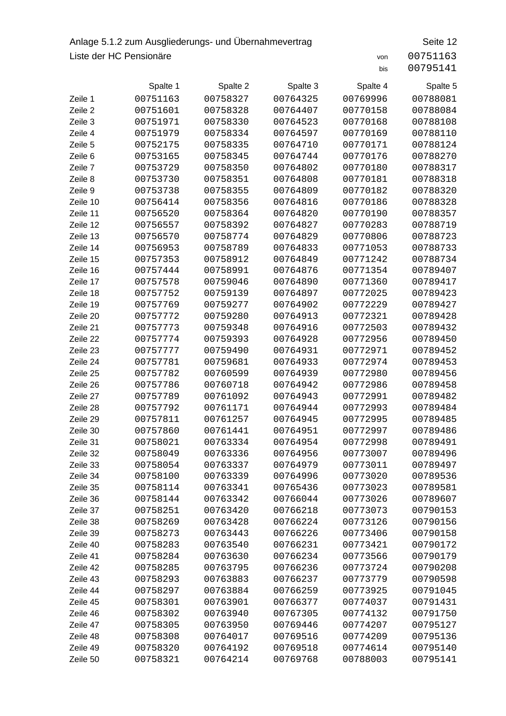## Anlage 5.1.2 zum Ausgliederungs- und Übernahmevertrag Seite 12 Liste der HC Pensionäre von 200751163

|          | Spalte 1 | Spalte 2 | Spalte 3 | Spalte 4 | Spalte 5 |
|----------|----------|----------|----------|----------|----------|
| Zeile 1  | 00751163 | 00758327 | 00764325 | 00769996 | 00788081 |
| Zeile 2  | 00751601 | 00758328 | 00764407 | 00770158 | 00788084 |
| Zeile 3  | 00751971 | 00758330 | 00764523 | 00770168 | 00788108 |
| Zeile 4  | 00751979 | 00758334 | 00764597 | 00770169 | 00788110 |
| Zeile 5  | 00752175 | 00758335 | 00764710 | 00770171 | 00788124 |
| Zeile 6  | 00753165 | 00758345 | 00764744 | 00770176 | 00788270 |
| Zeile 7  | 00753729 | 00758350 | 00764802 | 00770180 | 00788317 |
| Zeile 8  | 00753730 | 00758351 | 00764808 | 00770181 | 00788318 |
| Zeile 9  | 00753738 | 00758355 | 00764809 | 00770182 | 00788320 |
| Zeile 10 | 00756414 | 00758356 | 00764816 | 00770186 | 00788328 |
| Zeile 11 | 00756520 | 00758364 | 00764820 | 00770190 | 00788357 |
| Zeile 12 | 00756557 | 00758392 | 00764827 | 00770283 | 00788719 |
| Zeile 13 | 00756570 | 00758774 | 00764829 | 00770806 | 00788723 |
| Zeile 14 | 00756953 | 00758789 | 00764833 | 00771053 | 00788733 |
| Zeile 15 | 00757353 | 00758912 | 00764849 | 00771242 | 00788734 |
| Zeile 16 | 00757444 | 00758991 | 00764876 | 00771354 | 00789407 |
| Zeile 17 | 00757578 | 00759046 | 00764890 | 00771360 | 00789417 |
| Zeile 18 | 00757752 | 00759139 | 00764897 | 00772025 | 00789423 |
| Zeile 19 | 00757769 | 00759277 | 00764902 | 00772229 | 00789427 |
| Zeile 20 | 00757772 | 00759280 | 00764913 | 00772321 | 00789428 |
| Zeile 21 | 00757773 | 00759348 | 00764916 | 00772503 | 00789432 |
| Zeile 22 | 00757774 | 00759393 | 00764928 | 00772956 | 00789450 |
| Zeile 23 | 00757777 | 00759490 | 00764931 | 00772971 | 00789452 |
| Zeile 24 | 00757781 | 00759681 | 00764933 | 00772974 | 00789453 |
| Zeile 25 | 00757782 | 00760599 | 00764939 | 00772980 | 00789456 |
| Zeile 26 | 00757786 | 00760718 | 00764942 | 00772986 | 00789458 |
| Zeile 27 | 00757789 | 00761092 | 00764943 | 00772991 | 00789482 |
| Zeile 28 | 00757792 | 00761171 | 00764944 | 00772993 | 00789484 |
| Zeile 29 | 00757811 | 00761257 | 00764945 | 00772995 | 00789485 |
| Zeile 30 | 00757860 | 00761441 | 00764951 | 00772997 | 00789486 |
| Zeile 31 | 00758021 | 00763334 | 00764954 | 00772998 | 00789491 |
| Zeile 32 | 00758049 | 00763336 | 00764956 | 00773007 | 00789496 |
| Zeile 33 | 00758054 | 00763337 | 00764979 | 00773011 | 00789497 |
| Zeile 34 | 00758100 | 00763339 | 00764996 | 00773020 | 00789536 |
| Zeile 35 | 00758114 | 00763341 | 00765436 | 00773023 | 00789581 |
| Zeile 36 | 00758144 | 00763342 | 00766044 | 00773026 | 00789607 |
| Zeile 37 | 00758251 | 00763420 | 00766218 | 00773073 | 00790153 |
| Zeile 38 | 00758269 | 00763428 | 00766224 | 00773126 | 00790156 |
| Zeile 39 | 00758273 | 00763443 | 00766226 | 00773406 | 00790158 |
| Zeile 40 | 00758283 | 00763540 | 00766231 | 00773421 | 00790172 |
| Zeile 41 | 00758284 | 00763630 | 00766234 | 00773566 | 00790179 |
| Zeile 42 | 00758285 | 00763795 | 00766236 | 00773724 | 00790208 |
| Zeile 43 | 00758293 | 00763883 | 00766237 | 00773779 | 00790598 |
| Zeile 44 | 00758297 | 00763884 | 00766259 | 00773925 | 00791045 |
| Zeile 45 | 00758301 | 00763901 | 00766377 | 00774037 | 00791431 |
| Zeile 46 | 00758302 | 00763940 | 00767305 | 00774132 | 00791750 |
| Zeile 47 | 00758305 | 00763950 | 00769446 | 00774207 | 00795127 |
| Zeile 48 | 00758308 | 00764017 | 00769516 | 00774209 | 00795136 |
| Zeile 49 | 00758320 | 00764192 | 00769518 | 00774614 | 00795140 |
| Zeile 50 | 00758321 | 00764214 | 00769768 | 00788003 | 00795141 |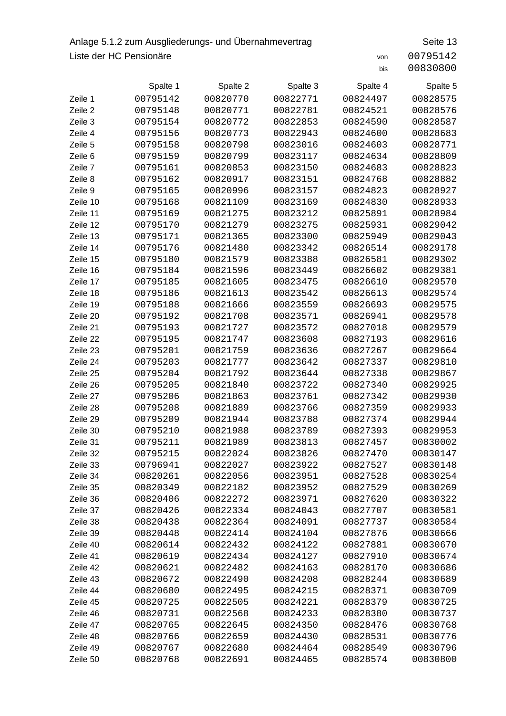## Anlage 5.1.2 zum Ausgliederungs- und Übernahmevertrag Seite 13 Liste der HC Pensionäre von 200795142

|          | Spalte 1 | Spalte 2 | Spalte 3 | Spalte 4 | Spalte 5 |
|----------|----------|----------|----------|----------|----------|
| Zeile 1  | 00795142 | 00820770 | 00822771 | 00824497 | 00828575 |
| Zeile 2  | 00795148 | 00820771 | 00822781 | 00824521 | 00828576 |
| Zeile 3  | 00795154 | 00820772 | 00822853 | 00824590 | 00828587 |
| Zeile 4  | 00795156 | 00820773 | 00822943 | 00824600 | 00828683 |
| Zeile 5  | 00795158 | 00820798 | 00823016 | 00824603 | 00828771 |
| Zeile 6  | 00795159 | 00820799 | 00823117 | 00824634 | 00828809 |
| Zeile 7  | 00795161 | 00820853 | 00823150 | 00824683 | 00828823 |
| Zeile 8  | 00795162 | 00820917 | 00823151 | 00824768 | 00828882 |
| Zeile 9  | 00795165 | 00820996 | 00823157 | 00824823 | 00828927 |
| Zeile 10 | 00795168 | 00821109 | 00823169 | 00824830 | 00828933 |
| Zeile 11 | 00795169 | 00821275 | 00823212 | 00825891 | 00828984 |
| Zeile 12 | 00795170 | 00821279 | 00823275 | 00825931 | 00829042 |
| Zeile 13 | 00795171 | 00821365 | 00823300 | 00825949 | 00829043 |
| Zeile 14 | 00795176 | 00821480 | 00823342 | 00826514 | 00829178 |
| Zeile 15 | 00795180 | 00821579 | 00823388 | 00826581 | 00829302 |
| Zeile 16 | 00795184 | 00821596 | 00823449 | 00826602 | 00829381 |
| Zeile 17 | 00795185 | 00821605 | 00823475 | 00826610 | 00829570 |
| Zeile 18 | 00795186 | 00821613 | 00823542 | 00826613 | 00829574 |
| Zeile 19 | 00795188 | 00821666 | 00823559 | 00826693 | 00829575 |
| Zeile 20 | 00795192 | 00821708 | 00823571 | 00826941 | 00829578 |
| Zeile 21 | 00795193 | 00821727 | 00823572 | 00827018 | 00829579 |
| Zeile 22 | 00795195 | 00821747 | 00823608 | 00827193 | 00829616 |
| Zeile 23 | 00795201 | 00821759 | 00823636 | 00827267 | 00829664 |
| Zeile 24 | 00795203 | 00821777 | 00823642 | 00827337 | 00829810 |
| Zeile 25 | 00795204 | 00821792 | 00823644 | 00827338 | 00829867 |
| Zeile 26 | 00795205 | 00821840 | 00823722 | 00827340 | 00829925 |
| Zeile 27 | 00795206 | 00821863 | 00823761 | 00827342 | 00829930 |
| Zeile 28 | 00795208 | 00821889 | 00823766 | 00827359 | 00829933 |
| Zeile 29 | 00795209 | 00821944 | 00823788 | 00827374 | 00829944 |
| Zeile 30 | 00795210 | 00821988 | 00823789 | 00827393 | 00829953 |
| Zeile 31 | 00795211 | 00821989 | 00823813 | 00827457 | 00830002 |
| Zeile 32 | 00795215 | 00822024 | 00823826 | 00827470 | 00830147 |
| Zeile 33 | 00796941 | 00822027 | 00823922 | 00827527 | 00830148 |
| Zeile 34 | 00820261 | 00822056 | 00823951 | 00827528 | 00830254 |
| Zeile 35 | 00820349 | 00822182 | 00823952 | 00827529 | 00830269 |
| Zeile 36 | 00820406 | 00822272 | 00823971 | 00827620 | 00830322 |
| Zeile 37 | 00820426 | 00822334 | 00824043 | 00827707 | 00830581 |
| Zeile 38 | 00820438 | 00822364 | 00824091 | 00827737 | 00830584 |
| Zeile 39 | 00820448 | 00822414 | 00824104 | 00827876 | 00830666 |
| Zeile 40 | 00820614 | 00822432 | 00824122 | 00827881 | 00830670 |
| Zeile 41 | 00820619 | 00822434 | 00824127 | 00827910 | 00830674 |
| Zeile 42 | 00820621 | 00822482 | 00824163 | 00828170 | 00830686 |
| Zeile 43 | 00820672 | 00822490 | 00824208 | 00828244 | 00830689 |
| Zeile 44 | 00820680 | 00822495 | 00824215 | 00828371 | 00830709 |
| Zeile 45 | 00820725 | 00822505 | 00824221 | 00828379 | 00830725 |
| Zeile 46 | 00820731 | 00822568 | 00824233 | 00828380 | 00830737 |
| Zeile 47 | 00820765 | 00822645 | 00824350 | 00828476 | 00830768 |
| Zeile 48 | 00820766 | 00822659 | 00824430 | 00828531 | 00830776 |
| Zeile 49 | 00820767 | 00822680 | 00824464 | 00828549 | 00830796 |
| Zeile 50 | 00820768 | 00822691 | 00824465 | 00828574 | 00830800 |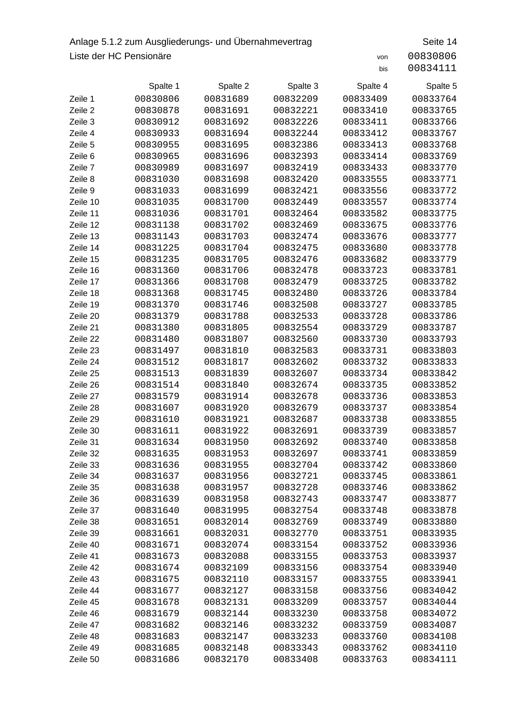## Anlage 5.1.2 zum Ausgliederungs- und Übernahmevertrag Seite 14 Liste der HC Pensionäre von 200830806

|          | Spalte 1 | Spalte 2 | Spalte 3 | Spalte 4 | Spalte 5 |
|----------|----------|----------|----------|----------|----------|
| Zeile 1  | 00830806 | 00831689 | 00832209 | 00833409 | 00833764 |
| Zeile 2  | 00830878 | 00831691 | 00832221 | 00833410 | 00833765 |
| Zeile 3  | 00830912 | 00831692 | 00832226 | 00833411 | 00833766 |
| Zeile 4  | 00830933 | 00831694 | 00832244 | 00833412 | 00833767 |
| Zeile 5  | 00830955 | 00831695 | 00832386 | 00833413 | 00833768 |
| Zeile 6  | 00830965 | 00831696 | 00832393 | 00833414 | 00833769 |
| Zeile 7  | 00830989 | 00831697 | 00832419 | 00833433 | 00833770 |
| Zeile 8  | 00831030 | 00831698 | 00832420 | 00833555 | 00833771 |
| Zeile 9  | 00831033 | 00831699 | 00832421 | 00833556 | 00833772 |
| Zeile 10 | 00831035 | 00831700 | 00832449 | 00833557 | 00833774 |
| Zeile 11 | 00831036 | 00831701 | 00832464 | 00833582 | 00833775 |
| Zeile 12 | 00831138 | 00831702 | 00832469 | 00833675 | 00833776 |
| Zeile 13 | 00831143 | 00831703 | 00832474 | 00833676 | 00833777 |
| Zeile 14 | 00831225 | 00831704 | 00832475 | 00833680 | 00833778 |
| Zeile 15 | 00831235 | 00831705 | 00832476 | 00833682 | 00833779 |
| Zeile 16 | 00831360 | 00831706 | 00832478 | 00833723 | 00833781 |
| Zeile 17 | 00831366 | 00831708 | 00832479 | 00833725 | 00833782 |
| Zeile 18 | 00831368 | 00831745 | 00832480 | 00833726 | 00833784 |
| Zeile 19 | 00831370 | 00831746 | 00832508 | 00833727 | 00833785 |
| Zeile 20 | 00831379 | 00831788 | 00832533 | 00833728 | 00833786 |
| Zeile 21 | 00831380 | 00831805 | 00832554 | 00833729 | 00833787 |
| Zeile 22 | 00831480 | 00831807 | 00832560 | 00833730 | 00833793 |
| Zeile 23 | 00831497 | 00831810 | 00832583 | 00833731 | 00833803 |
| Zeile 24 | 00831512 | 00831817 | 00832602 | 00833732 | 00833833 |
| Zeile 25 | 00831513 | 00831839 | 00832607 | 00833734 | 00833842 |
| Zeile 26 | 00831514 | 00831840 | 00832674 | 00833735 | 00833852 |
| Zeile 27 | 00831579 | 00831914 | 00832678 | 00833736 | 00833853 |
| Zeile 28 | 00831607 | 00831920 | 00832679 | 00833737 | 00833854 |
| Zeile 29 | 00831610 | 00831921 | 00832687 | 00833738 | 00833855 |
| Zeile 30 | 00831611 | 00831922 | 00832691 | 00833739 | 00833857 |
| Zeile 31 | 00831634 | 00831950 | 00832692 | 00833740 | 00833858 |
| Zeile 32 | 00831635 | 00831953 | 00832697 | 00833741 | 00833859 |
| Zeile 33 | 00831636 | 00831955 | 00832704 | 00833742 | 00833860 |
| Zeile 34 | 00831637 | 00831956 | 00832721 | 00833745 | 00833861 |
| Zeile 35 | 00831638 | 00831957 | 00832728 | 00833746 | 00833862 |
| Zeile 36 | 00831639 | 00831958 | 00832743 | 00833747 | 00833877 |
| Zeile 37 | 00831640 | 00831995 | 00832754 | 00833748 | 00833878 |
| Zeile 38 | 00831651 | 00832014 | 00832769 | 00833749 | 00833880 |
| Zeile 39 | 00831661 | 00832031 | 00832770 | 00833751 | 00833935 |
| Zeile 40 | 00831671 | 00832074 | 00833154 | 00833752 | 00833936 |
| Zeile 41 | 00831673 | 00832088 | 00833155 | 00833753 | 00833937 |
| Zeile 42 | 00831674 | 00832109 | 00833156 | 00833754 | 00833940 |
| Zeile 43 | 00831675 | 00832110 | 00833157 | 00833755 | 00833941 |
| Zeile 44 | 00831677 | 00832127 | 00833158 | 00833756 | 00834042 |
| Zeile 45 | 00831678 | 00832131 | 00833209 | 00833757 | 00834044 |
| Zeile 46 | 00831679 | 00832144 | 00833230 | 00833758 | 00834072 |
| Zeile 47 | 00831682 | 00832146 | 00833232 | 00833759 | 00834087 |
| Zeile 48 | 00831683 | 00832147 | 00833233 | 00833760 | 00834108 |
| Zeile 49 | 00831685 | 00832148 | 00833343 | 00833762 | 00834110 |
| Zeile 50 | 00831686 | 00832170 | 00833408 | 00833763 | 00834111 |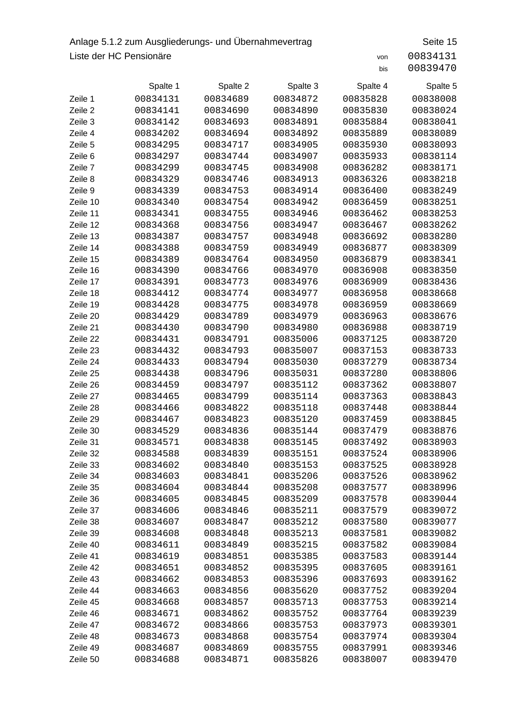## Anlage 5.1.2 zum Ausgliederungs- und Übernahmevertrag Seite 15 Liste der HC Pensionäre von 200834131

|          | Spalte 1 | Spalte 2 | Spalte 3 | Spalte 4 | Spalte 5 |
|----------|----------|----------|----------|----------|----------|
| Zeile 1  | 00834131 | 00834689 | 00834872 | 00835828 | 00838008 |
| Zeile 2  | 00834141 | 00834690 | 00834890 | 00835830 | 00838024 |
| Zeile 3  | 00834142 | 00834693 | 00834891 | 00835884 | 00838041 |
| Zeile 4  | 00834202 | 00834694 | 00834892 | 00835889 | 00838089 |
| Zeile 5  | 00834295 | 00834717 | 00834905 | 00835930 | 00838093 |
| Zeile 6  | 00834297 | 00834744 | 00834907 | 00835933 | 00838114 |
| Zeile 7  | 00834299 | 00834745 | 00834908 | 00836282 | 00838171 |
| Zeile 8  | 00834329 | 00834746 | 00834913 | 00836326 | 00838218 |
| Zeile 9  | 00834339 | 00834753 | 00834914 | 00836400 | 00838249 |
| Zeile 10 | 00834340 | 00834754 | 00834942 | 00836459 | 00838251 |
| Zeile 11 | 00834341 | 00834755 | 00834946 | 00836462 | 00838253 |
| Zeile 12 | 00834368 | 00834756 | 00834947 | 00836467 | 00838262 |
| Zeile 13 | 00834387 | 00834757 | 00834948 | 00836692 | 00838280 |
| Zeile 14 | 00834388 | 00834759 | 00834949 | 00836877 | 00838309 |
| Zeile 15 | 00834389 | 00834764 | 00834950 | 00836879 | 00838341 |
| Zeile 16 | 00834390 | 00834766 | 00834970 | 00836908 | 00838350 |
| Zeile 17 | 00834391 | 00834773 | 00834976 | 00836909 | 00838436 |
| Zeile 18 | 00834412 | 00834774 | 00834977 | 00836958 | 00838668 |
| Zeile 19 | 00834428 | 00834775 | 00834978 | 00836959 | 00838669 |
| Zeile 20 | 00834429 | 00834789 | 00834979 | 00836963 | 00838676 |
| Zeile 21 | 00834430 | 00834790 | 00834980 | 00836988 | 00838719 |
| Zeile 22 | 00834431 | 00834791 | 00835006 | 00837125 | 00838720 |
| Zeile 23 | 00834432 | 00834793 | 00835007 | 00837153 | 00838733 |
| Zeile 24 | 00834433 | 00834794 | 00835030 | 00837279 | 00838734 |
| Zeile 25 | 00834438 | 00834796 | 00835031 | 00837280 | 00838806 |
| Zeile 26 | 00834459 | 00834797 | 00835112 | 00837362 | 00838807 |
| Zeile 27 | 00834465 | 00834799 | 00835114 | 00837363 | 00838843 |
| Zeile 28 | 00834466 | 00834822 | 00835118 | 00837448 | 00838844 |
| Zeile 29 | 00834467 | 00834823 | 00835120 | 00837459 | 00838845 |
| Zeile 30 | 00834529 | 00834836 | 00835144 | 00837479 | 00838876 |
| Zeile 31 | 00834571 | 00834838 | 00835145 | 00837492 | 00838903 |
| Zeile 32 | 00834588 | 00834839 | 00835151 | 00837524 | 00838906 |
| Zeile 33 | 00834602 | 00834840 | 00835153 | 00837525 | 00838928 |
| Zeile 34 | 00834603 | 00834841 | 00835206 | 00837526 | 00838962 |
| Zeile 35 | 00834604 | 00834844 | 00835208 | 00837577 | 00838996 |
| Zeile 36 | 00834605 | 00834845 | 00835209 | 00837578 | 00839044 |
| Zeile 37 | 00834606 | 00834846 | 00835211 | 00837579 | 00839072 |
| Zeile 38 | 00834607 | 00834847 | 00835212 | 00837580 | 00839077 |
| Zeile 39 | 00834608 | 00834848 | 00835213 | 00837581 | 00839082 |
| Zeile 40 | 00834611 | 00834849 | 00835215 | 00837582 | 00839084 |
| Zeile 41 | 00834619 | 00834851 | 00835385 | 00837583 | 00839144 |
| Zeile 42 | 00834651 | 00834852 | 00835395 | 00837605 | 00839161 |
| Zeile 43 | 00834662 | 00834853 | 00835396 | 00837693 | 00839162 |
| Zeile 44 | 00834663 | 00834856 | 00835620 | 00837752 | 00839204 |
| Zeile 45 | 00834668 | 00834857 | 00835713 | 00837753 | 00839214 |
| Zeile 46 | 00834671 | 00834862 | 00835752 | 00837764 | 00839239 |
| Zeile 47 | 00834672 | 00834866 | 00835753 | 00837973 | 00839301 |
| Zeile 48 | 00834673 | 00834868 | 00835754 | 00837974 | 00839304 |
| Zeile 49 | 00834687 | 00834869 | 00835755 | 00837991 | 00839346 |
| Zeile 50 | 00834688 | 00834871 | 00835826 | 00838007 | 00839470 |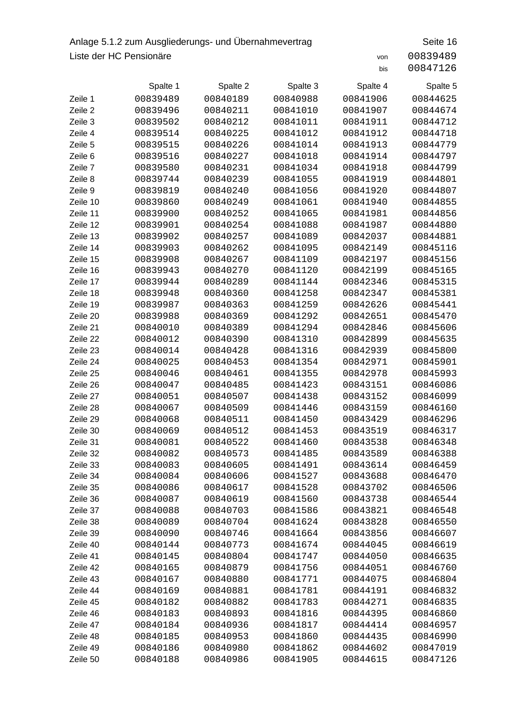## Anlage 5.1.2 zum Ausgliederungs- und Übernahmevertrag Seite 16 Liste der HC Pensionäre von 200839489

|          | Spalte 1 | Spalte 2 | Spalte 3 | Spalte 4 | Spalte 5 |
|----------|----------|----------|----------|----------|----------|
| Zeile 1  | 00839489 | 00840189 | 00840988 | 00841906 | 00844625 |
| Zeile 2  | 00839496 | 00840211 | 00841010 | 00841907 | 00844674 |
| Zeile 3  | 00839502 | 00840212 | 00841011 | 00841911 | 00844712 |
| Zeile 4  | 00839514 | 00840225 | 00841012 | 00841912 | 00844718 |
| Zeile 5  | 00839515 | 00840226 | 00841014 | 00841913 | 00844779 |
| Zeile 6  | 00839516 | 00840227 | 00841018 | 00841914 | 00844797 |
| Zeile 7  | 00839580 | 00840231 | 00841034 | 00841918 | 00844799 |
| Zeile 8  | 00839744 | 00840239 | 00841055 | 00841919 | 00844801 |
| Zeile 9  | 00839819 | 00840240 | 00841056 | 00841920 | 00844807 |
| Zeile 10 | 00839860 | 00840249 | 00841061 | 00841940 | 00844855 |
| Zeile 11 | 00839900 | 00840252 | 00841065 | 00841981 | 00844856 |
| Zeile 12 | 00839901 | 00840254 | 00841088 | 00841987 | 00844880 |
| Zeile 13 | 00839902 | 00840257 | 00841089 | 00842037 | 00844881 |
| Zeile 14 | 00839903 | 00840262 | 00841095 | 00842149 | 00845116 |
| Zeile 15 | 00839908 | 00840267 | 00841109 | 00842197 | 00845156 |
| Zeile 16 | 00839943 | 00840270 | 00841120 | 00842199 | 00845165 |
| Zeile 17 | 00839944 | 00840289 | 00841144 | 00842346 | 00845315 |
| Zeile 18 | 00839948 | 00840360 | 00841258 | 00842347 | 00845381 |
| Zeile 19 | 00839987 | 00840363 | 00841259 | 00842626 | 00845441 |
| Zeile 20 | 00839988 | 00840369 | 00841292 | 00842651 | 00845470 |
| Zeile 21 | 00840010 | 00840389 | 00841294 | 00842846 | 00845606 |
| Zeile 22 | 00840012 | 00840390 | 00841310 | 00842899 | 00845635 |
| Zeile 23 | 00840014 | 00840428 | 00841316 | 00842939 | 00845800 |
| Zeile 24 | 00840025 | 00840453 | 00841354 | 00842971 | 00845901 |
| Zeile 25 | 00840046 | 00840461 | 00841355 | 00842978 | 00845993 |
| Zeile 26 | 00840047 | 00840485 | 00841423 | 00843151 | 00846086 |
| Zeile 27 | 00840051 | 00840507 | 00841438 | 00843152 | 00846099 |
| Zeile 28 | 00840067 | 00840509 | 00841446 | 00843159 | 00846160 |
| Zeile 29 | 00840068 | 00840511 | 00841450 | 00843429 | 00846296 |
| Zeile 30 | 00840069 | 00840512 | 00841453 | 00843519 | 00846317 |
| Zeile 31 | 00840081 | 00840522 | 00841460 | 00843538 | 00846348 |
| Zeile 32 | 00840082 | 00840573 | 00841485 | 00843589 | 00846388 |
| Zeile 33 | 00840083 | 00840605 | 00841491 | 00843614 | 00846459 |
| Zeile 34 | 00840084 | 00840606 | 00841527 | 00843688 | 00846470 |
| Zeile 35 | 00840086 | 00840617 | 00841528 | 00843702 | 00846506 |
| Zeile 36 | 00840087 | 00840619 | 00841560 | 00843738 | 00846544 |
| Zeile 37 | 00840088 | 00840703 | 00841586 | 00843821 | 00846548 |
| Zeile 38 | 00840089 | 00840704 | 00841624 | 00843828 | 00846550 |
| Zeile 39 | 00840090 | 00840746 | 00841664 | 00843856 | 00846607 |
| Zeile 40 | 00840144 | 00840773 | 00841674 | 00844045 | 00846619 |
| Zeile 41 | 00840145 | 00840804 | 00841747 | 00844050 | 00846635 |
| Zeile 42 | 00840165 | 00840879 | 00841756 | 00844051 | 00846760 |
| Zeile 43 | 00840167 | 00840880 | 00841771 | 00844075 | 00846804 |
| Zeile 44 | 00840169 | 00840881 | 00841781 | 00844191 | 00846832 |
| Zeile 45 | 00840182 | 00840882 | 00841783 | 00844271 | 00846835 |
| Zeile 46 | 00840183 | 00840893 | 00841816 | 00844395 | 00846860 |
| Zeile 47 | 00840184 | 00840936 | 00841817 | 00844414 | 00846957 |
| Zeile 48 | 00840185 | 00840953 | 00841860 | 00844435 | 00846990 |
| Zeile 49 | 00840186 | 00840980 | 00841862 | 00844602 | 00847019 |
| Zeile 50 | 00840188 | 00840986 | 00841905 | 00844615 | 00847126 |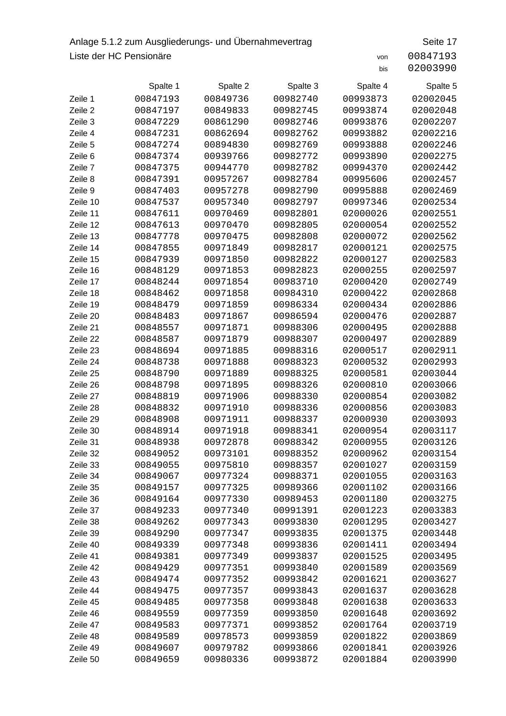## Anlage 5.1.2 zum Ausgliederungs- und Übernahmevertrag Seite 17 Liste der HC Pensionäre von 200847193

|          | Spalte 1 | Spalte 2 | Spalte 3 | Spalte 4 | Spalte 5 |
|----------|----------|----------|----------|----------|----------|
| Zeile 1  | 00847193 | 00849736 | 00982740 | 00993873 | 02002045 |
| Zeile 2  | 00847197 | 00849833 | 00982745 | 00993874 | 02002048 |
| Zeile 3  | 00847229 | 00861290 | 00982746 | 00993876 | 02002207 |
| Zeile 4  | 00847231 | 00862694 | 00982762 | 00993882 | 02002216 |
| Zeile 5  | 00847274 | 00894830 | 00982769 | 00993888 | 02002246 |
| Zeile 6  | 00847374 | 00939766 | 00982772 | 00993890 | 02002275 |
| Zeile 7  | 00847375 | 00944770 | 00982782 | 00994370 | 02002442 |
| Zeile 8  | 00847391 | 00957267 | 00982784 | 00995606 | 02002457 |
| Zeile 9  | 00847403 | 00957278 | 00982790 | 00995888 | 02002469 |
| Zeile 10 | 00847537 | 00957340 | 00982797 | 00997346 | 02002534 |
| Zeile 11 | 00847611 | 00970469 | 00982801 | 02000026 | 02002551 |
| Zeile 12 | 00847613 | 00970470 | 00982805 | 02000054 | 02002552 |
| Zeile 13 | 00847778 | 00970475 | 00982808 | 02000072 | 02002562 |
| Zeile 14 | 00847855 | 00971849 | 00982817 | 02000121 | 02002575 |
| Zeile 15 | 00847939 | 00971850 | 00982822 | 02000127 | 02002583 |
| Zeile 16 | 00848129 | 00971853 | 00982823 | 02000255 | 02002597 |
| Zeile 17 | 00848244 | 00971854 | 00983710 | 02000420 | 02002749 |
| Zeile 18 | 00848462 | 00971858 | 00984310 | 02000422 | 02002868 |
| Zeile 19 | 00848479 | 00971859 | 00986334 | 02000434 | 02002886 |
| Zeile 20 | 00848483 | 00971867 | 00986594 | 02000476 | 02002887 |
| Zeile 21 | 00848557 | 00971871 | 00988306 | 02000495 | 02002888 |
| Zeile 22 | 00848587 | 00971879 | 00988307 | 02000497 | 02002889 |
| Zeile 23 | 00848694 | 00971885 | 00988316 | 02000517 | 02002911 |
| Zeile 24 | 00848738 | 00971888 | 00988323 | 02000532 | 02002993 |
| Zeile 25 | 00848790 | 00971889 | 00988325 | 02000581 | 02003044 |
| Zeile 26 | 00848798 | 00971895 | 00988326 | 02000810 | 02003066 |
| Zeile 27 | 00848819 | 00971906 | 00988330 | 02000854 | 02003082 |
| Zeile 28 | 00848832 | 00971910 | 00988336 | 02000856 | 02003083 |
| Zeile 29 | 00848908 | 00971911 | 00988337 | 02000930 | 02003093 |
| Zeile 30 | 00848914 | 00971918 | 00988341 | 02000954 | 02003117 |
| Zeile 31 | 00848938 | 00972878 | 00988342 | 02000955 | 02003126 |
| Zeile 32 | 00849052 | 00973101 | 00988352 | 02000962 | 02003154 |
| Zeile 33 | 00849055 | 00975810 | 00988357 | 02001027 | 02003159 |
| Zeile 34 | 00849067 | 00977324 | 00988371 | 02001055 | 02003163 |
| Zeile 35 | 00849157 | 00977325 | 00989366 | 02001102 | 02003166 |
| Zeile 36 | 00849164 | 00977330 | 00989453 | 02001180 | 02003275 |
| Zeile 37 | 00849233 | 00977340 | 00991391 | 02001223 | 02003383 |
| Zeile 38 | 00849262 | 00977343 | 00993830 | 02001295 | 02003427 |
| Zeile 39 | 00849290 | 00977347 | 00993835 | 02001375 | 02003448 |
| Zeile 40 | 00849339 | 00977348 | 00993836 | 02001411 | 02003494 |
| Zeile 41 | 00849381 | 00977349 | 00993837 | 02001525 | 02003495 |
| Zeile 42 | 00849429 | 00977351 | 00993840 | 02001589 | 02003569 |
| Zeile 43 | 00849474 | 00977352 | 00993842 | 02001621 | 02003627 |
| Zeile 44 | 00849475 | 00977357 | 00993843 | 02001637 | 02003628 |
| Zeile 45 | 00849485 | 00977358 | 00993848 | 02001638 | 02003633 |
| Zeile 46 | 00849559 | 00977359 | 00993850 | 02001648 | 02003692 |
| Zeile 47 | 00849583 | 00977371 | 00993852 | 02001764 | 02003719 |
| Zeile 48 | 00849589 | 00978573 | 00993859 | 02001822 | 02003869 |
| Zeile 49 | 00849607 | 00979782 | 00993866 | 02001841 | 02003926 |
| Zeile 50 | 00849659 | 00980336 | 00993872 | 02001884 | 02003990 |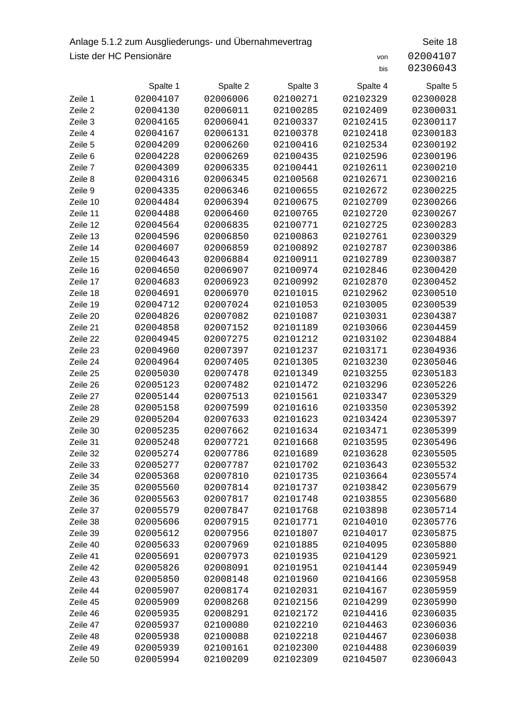## Anlage 5.1.2 zum Ausgliederungs- und Übernahmevertrag Seite 18 Liste der HC Pensionäre von 20004107

|                      | Spalte 1             | Spalte 2             | Spalte 3             | Spalte 4             | Spalte 5             |
|----------------------|----------------------|----------------------|----------------------|----------------------|----------------------|
| Zeile 1              | 02004107             | 02006006             | 02100271             | 02102329             | 02300028             |
| Zeile 2              | 02004130             | 02006011             | 02100285             | 02102409             | 02300031             |
| Zeile 3              | 02004165             | 02006041             | 02100337             | 02102415             | 02300117             |
| Zeile 4              | 02004167             | 02006131             | 02100378             | 02102418             | 02300183             |
| Zeile 5              | 02004209             | 02006260             | 02100416             | 02102534             | 02300192             |
| Zeile 6              | 02004228             | 02006269             | 02100435             | 02102596             | 02300196             |
| Zeile 7              | 02004309             | 02006335             | 02100441             | 02102611             | 02300210             |
| Zeile 8              | 02004316             | 02006345             | 02100568             | 02102671             | 02300216             |
| Zeile 9              | 02004335             | 02006346             | 02100655             | 02102672             | 02300225             |
| Zeile 10             | 02004484             | 02006394             | 02100675             | 02102709             | 02300266             |
| Zeile 11             | 02004488             | 02006460             | 02100765             | 02102720             | 02300267             |
| Zeile 12             | 02004564             | 02006835             | 02100771             | 02102725             | 02300283             |
| Zeile 13             | 02004596             | 02006850             | 02100863             | 02102761             | 02300329             |
| Zeile 14             | 02004607             | 02006859             | 02100892             | 02102787             | 02300386             |
| Zeile 15             | 02004643             | 02006884             | 02100911             | 02102789             | 02300387             |
| Zeile 16             | 02004650             | 02006907             | 02100974             | 02102846             | 02300420             |
| Zeile 17             | 02004683             | 02006923             | 02100992             | 02102870             | 02300452             |
| Zeile 18             | 02004691             | 02006970             | 02101015             | 02102962             | 02300510             |
| Zeile 19             | 02004712             | 02007024             | 02101053             | 02103005             | 02300539             |
| Zeile 20             | 02004826             | 02007082             | 02101087             | 02103031             | 02304387             |
| Zeile 21             | 02004858             | 02007152             | 02101189             | 02103066             | 02304459             |
| Zeile 22             | 02004945             | 02007275             | 02101212             | 02103102             | 02304884             |
| Zeile 23             | 02004960             | 02007397             | 02101237             | 02103171             | 02304936             |
| Zeile 24             | 02004964             | 02007405             | 02101305             | 02103230             | 02305046             |
| Zeile 25             | 02005030             | 02007478             | 02101349             | 02103255             | 02305183             |
| Zeile 26             | 02005123             | 02007482             | 02101472             | 02103296             | 02305226             |
| Zeile 27             | 02005144             | 02007513             | 02101561             | 02103347             | 02305329             |
| Zeile 28             | 02005158             | 02007599             | 02101616             | 02103350             | 02305392             |
| Zeile 29             | 02005204             | 02007633             | 02101623             | 02103424             | 02305397             |
| Zeile 30             | 02005235             | 02007662             | 02101634             | 02103471             | 02305399             |
| Zeile 31             | 02005248             | 02007721             | 02101668             | 02103595             | 02305496             |
| Zeile 32             | 02005274             | 02007786             | 02101689             | 02103628             | 02305505             |
| Zeile 33             | 02005277             | 02007787             | 02101702             | 02103643             | 02305532             |
| Zeile 34             | 02005368             | 02007810             | 02101735             | 02103664             | 02305574             |
| Zeile 35             | 02005560             | 02007814             | 02101737             | 02103842             | 02305679             |
| Zeile 36             | 02005563             | 02007817             | 02101748             | 02103855             | 02305680             |
| Zeile 37             | 02005579             | 02007847             | 02101768             | 02103898             | 02305714             |
| Zeile 38             | 02005606             | 02007915             | 02101771             | 02104010             | 02305776             |
| Zeile 39             | 02005612<br>02005633 | 02007956             | 02101807             | 02104017<br>02104095 | 02305875             |
| Zeile 40<br>Zeile 41 | 02005691             | 02007969<br>02007973 | 02101885             | 02104129             | 02305880<br>02305921 |
| Zeile 42             | 02005826             | 02008091             | 02101935<br>02101951 | 02104144             | 02305949             |
| Zeile 43             | 02005850             | 02008148             | 02101960             | 02104166             | 02305958             |
| Zeile 44             | 02005907             | 02008174             | 02102031             | 02104167             | 02305959             |
| Zeile 45             | 02005909             | 02008268             | 02102156             | 02104299             | 02305990             |
| Zeile 46             | 02005935             | 02008291             | 02102172             | 02104416             | 02306035             |
| Zeile 47             | 02005937             | 02100080             | 02102210             | 02104463             | 02306036             |
| Zeile 48             | 02005938             | 02100088             | 02102218             | 02104467             | 02306038             |
| Zeile 49             | 02005939             | 02100161             | 02102300             | 02104488             | 02306039             |
| Zeile 50             | 02005994             | 02100209             | 02102309             | 02104507             | 02306043             |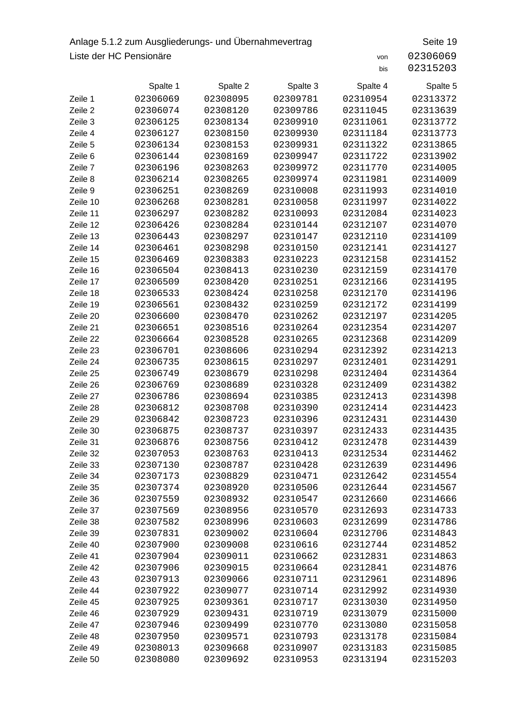## Anlage 5.1.2 zum Ausgliederungs- und Übernahmevertrag Seite 19 Liste der HC Pensionäre von 2306069

|          | Spalte 1 | Spalte 2 | Spalte 3 | Spalte 4 | Spalte 5 |
|----------|----------|----------|----------|----------|----------|
| Zeile 1  | 02306069 | 02308095 | 02309781 | 02310954 | 02313372 |
| Zeile 2  | 02306074 | 02308120 | 02309786 | 02311045 | 02313639 |
| Zeile 3  | 02306125 | 02308134 | 02309910 | 02311061 | 02313772 |
| Zeile 4  | 02306127 | 02308150 | 02309930 | 02311184 | 02313773 |
| Zeile 5  | 02306134 | 02308153 | 02309931 | 02311322 | 02313865 |
| Zeile 6  | 02306144 | 02308169 | 02309947 | 02311722 | 02313902 |
| Zeile 7  | 02306196 | 02308263 | 02309972 | 02311770 | 02314005 |
| Zeile 8  | 02306214 | 02308265 | 02309974 | 02311981 | 02314009 |
| Zeile 9  | 02306251 | 02308269 | 02310008 | 02311993 | 02314010 |
| Zeile 10 | 02306268 | 02308281 | 02310058 | 02311997 | 02314022 |
| Zeile 11 | 02306297 | 02308282 | 02310093 | 02312084 | 02314023 |
| Zeile 12 | 02306426 | 02308284 | 02310144 | 02312107 | 02314070 |
| Zeile 13 | 02306443 | 02308297 | 02310147 | 02312110 | 02314109 |
| Zeile 14 | 02306461 | 02308298 | 02310150 | 02312141 | 02314127 |
| Zeile 15 | 02306469 | 02308383 | 02310223 | 02312158 | 02314152 |
| Zeile 16 | 02306504 | 02308413 | 02310230 | 02312159 | 02314170 |
| Zeile 17 | 02306509 | 02308420 | 02310251 | 02312166 | 02314195 |
| Zeile 18 | 02306533 | 02308424 | 02310258 | 02312170 | 02314196 |
| Zeile 19 | 02306561 | 02308432 | 02310259 | 02312172 | 02314199 |
| Zeile 20 | 02306600 | 02308470 | 02310262 | 02312197 | 02314205 |
| Zeile 21 | 02306651 | 02308516 | 02310264 | 02312354 | 02314207 |
| Zeile 22 | 02306664 | 02308528 | 02310265 | 02312368 | 02314209 |
| Zeile 23 | 02306701 | 02308606 | 02310294 | 02312392 | 02314213 |
| Zeile 24 | 02306735 | 02308615 | 02310297 | 02312401 | 02314291 |
| Zeile 25 | 02306749 | 02308679 | 02310298 | 02312404 | 02314364 |
| Zeile 26 | 02306769 | 02308689 | 02310328 | 02312409 | 02314382 |
| Zeile 27 | 02306786 | 02308694 | 02310385 | 02312413 | 02314398 |
| Zeile 28 | 02306812 | 02308708 | 02310390 | 02312414 | 02314423 |
| Zeile 29 | 02306842 | 02308723 | 02310396 | 02312431 | 02314430 |
| Zeile 30 | 02306875 | 02308737 | 02310397 | 02312433 | 02314435 |
| Zeile 31 | 02306876 | 02308756 | 02310412 | 02312478 | 02314439 |
| Zeile 32 | 02307053 | 02308763 | 02310413 | 02312534 | 02314462 |
| Zeile 33 | 02307130 | 02308787 | 02310428 | 02312639 | 02314496 |
| Zeile 34 | 02307173 | 02308829 | 02310471 | 02312642 | 02314554 |
| Zeile 35 | 02307374 | 02308920 | 02310506 | 02312644 | 02314567 |
| Zeile 36 | 02307559 | 02308932 | 02310547 | 02312660 | 02314666 |
| Zeile 37 | 02307569 | 02308956 | 02310570 | 02312693 | 02314733 |
| Zeile 38 | 02307582 | 02308996 | 02310603 | 02312699 | 02314786 |
| Zeile 39 | 02307831 | 02309002 | 02310604 | 02312706 | 02314843 |
| Zeile 40 | 02307900 | 02309008 | 02310616 | 02312744 | 02314852 |
| Zeile 41 | 02307904 | 02309011 | 02310662 | 02312831 | 02314863 |
| Zeile 42 | 02307906 | 02309015 | 02310664 | 02312841 | 02314876 |
| Zeile 43 | 02307913 | 02309066 | 02310711 | 02312961 | 02314896 |
| Zeile 44 | 02307922 | 02309077 | 02310714 | 02312992 | 02314930 |
| Zeile 45 | 02307925 | 02309361 | 02310717 | 02313030 | 02314950 |
| Zeile 46 | 02307929 | 02309431 | 02310719 | 02313079 | 02315000 |
| Zeile 47 | 02307946 | 02309499 | 02310770 | 02313080 | 02315058 |
| Zeile 48 | 02307950 | 02309571 | 02310793 | 02313178 | 02315084 |
| Zeile 49 | 02308013 | 02309668 | 02310907 | 02313183 | 02315085 |
| Zeile 50 | 02308080 | 02309692 | 02310953 | 02313194 | 02315203 |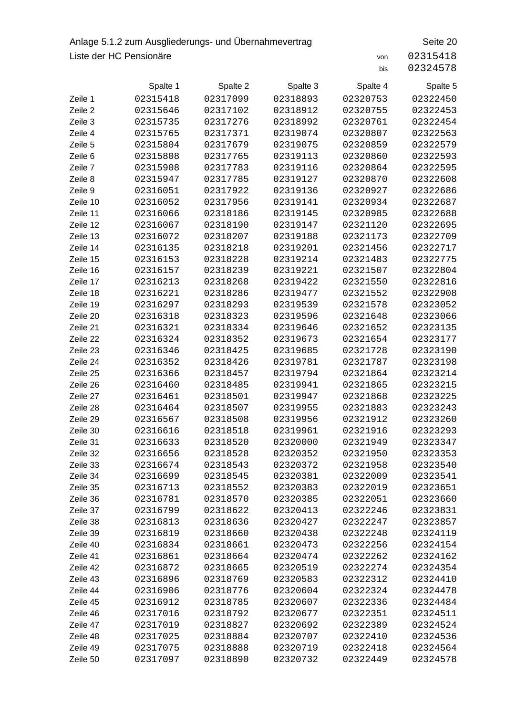## Anlage 5.1.2 zum Ausgliederungs- und Übernahmevertrag Seite 20 Liste der HC Pensionäre von 2315418

|          | Spalte 1 | Spalte 2 | Spalte 3 | Spalte 4 | Spalte 5 |
|----------|----------|----------|----------|----------|----------|
| Zeile 1  | 02315418 | 02317099 | 02318893 | 02320753 | 02322450 |
| Zeile 2  | 02315646 | 02317102 | 02318912 | 02320755 | 02322453 |
| Zeile 3  | 02315735 | 02317276 | 02318992 | 02320761 | 02322454 |
| Zeile 4  | 02315765 | 02317371 | 02319074 | 02320807 | 02322563 |
| Zeile 5  | 02315804 | 02317679 | 02319075 | 02320859 | 02322579 |
| Zeile 6  | 02315808 | 02317765 | 02319113 | 02320860 | 02322593 |
| Zeile 7  | 02315908 | 02317783 | 02319116 | 02320864 | 02322595 |
| Zeile 8  | 02315947 | 02317785 | 02319127 | 02320870 | 02322608 |
| Zeile 9  | 02316051 | 02317922 | 02319136 | 02320927 | 02322686 |
| Zeile 10 | 02316052 | 02317956 | 02319141 | 02320934 | 02322687 |
| Zeile 11 | 02316066 | 02318186 | 02319145 | 02320985 | 02322688 |
| Zeile 12 | 02316067 | 02318190 | 02319147 | 02321120 | 02322695 |
| Zeile 13 | 02316072 | 02318207 | 02319188 | 02321173 | 02322709 |
| Zeile 14 | 02316135 | 02318218 | 02319201 | 02321456 | 02322717 |
| Zeile 15 | 02316153 | 02318228 | 02319214 | 02321483 | 02322775 |
| Zeile 16 | 02316157 | 02318239 | 02319221 | 02321507 | 02322804 |
| Zeile 17 | 02316213 | 02318268 | 02319422 | 02321550 | 02322816 |
| Zeile 18 | 02316221 | 02318286 | 02319477 | 02321552 | 02322908 |
| Zeile 19 | 02316297 | 02318293 | 02319539 | 02321578 | 02323052 |
| Zeile 20 | 02316318 | 02318323 | 02319596 | 02321648 | 02323066 |
| Zeile 21 | 02316321 | 02318334 | 02319646 | 02321652 | 02323135 |
| Zeile 22 | 02316324 | 02318352 | 02319673 | 02321654 | 02323177 |
| Zeile 23 | 02316346 | 02318425 | 02319685 | 02321728 | 02323190 |
| Zeile 24 | 02316352 | 02318426 | 02319781 | 02321787 | 02323198 |
| Zeile 25 | 02316366 | 02318457 | 02319794 | 02321864 | 02323214 |
| Zeile 26 | 02316460 | 02318485 | 02319941 | 02321865 | 02323215 |
| Zeile 27 | 02316461 | 02318501 | 02319947 | 02321868 | 02323225 |
| Zeile 28 | 02316464 | 02318507 | 02319955 | 02321883 | 02323243 |
| Zeile 29 | 02316567 | 02318508 | 02319956 | 02321912 | 02323260 |
| Zeile 30 | 02316616 | 02318518 | 02319961 | 02321916 | 02323293 |
| Zeile 31 | 02316633 | 02318520 | 02320000 | 02321949 | 02323347 |
| Zeile 32 | 02316656 | 02318528 | 02320352 | 02321950 | 02323353 |
| Zeile 33 | 02316674 | 02318543 | 02320372 | 02321958 | 02323540 |
| Zeile 34 | 02316699 | 02318545 | 02320381 | 02322009 | 02323541 |
| Zeile 35 | 02316713 | 02318552 | 02320383 | 02322019 | 02323651 |
| Zeile 36 | 02316781 | 02318570 | 02320385 | 02322051 | 02323660 |
| Zeile 37 | 02316799 | 02318622 | 02320413 | 02322246 | 02323831 |
| Zeile 38 | 02316813 | 02318636 | 02320427 | 02322247 | 02323857 |
| Zeile 39 | 02316819 | 02318660 | 02320438 | 02322248 | 02324119 |
| Zeile 40 | 02316834 | 02318661 | 02320473 | 02322256 | 02324154 |
| Zeile 41 | 02316861 | 02318664 | 02320474 | 02322262 | 02324162 |
| Zeile 42 | 02316872 | 02318665 | 02320519 | 02322274 | 02324354 |
| Zeile 43 | 02316896 | 02318769 | 02320583 | 02322312 | 02324410 |
| Zeile 44 | 02316906 | 02318776 | 02320604 | 02322324 | 02324478 |
| Zeile 45 | 02316912 | 02318785 | 02320607 | 02322336 | 02324484 |
| Zeile 46 | 02317016 | 02318792 | 02320677 | 02322351 | 02324511 |
| Zeile 47 | 02317019 | 02318827 | 02320692 | 02322389 | 02324524 |
| Zeile 48 | 02317025 | 02318884 | 02320707 | 02322410 | 02324536 |
| Zeile 49 | 02317075 | 02318888 | 02320719 | 02322418 | 02324564 |
| Zeile 50 | 02317097 | 02318890 | 02320732 | 02322449 | 02324578 |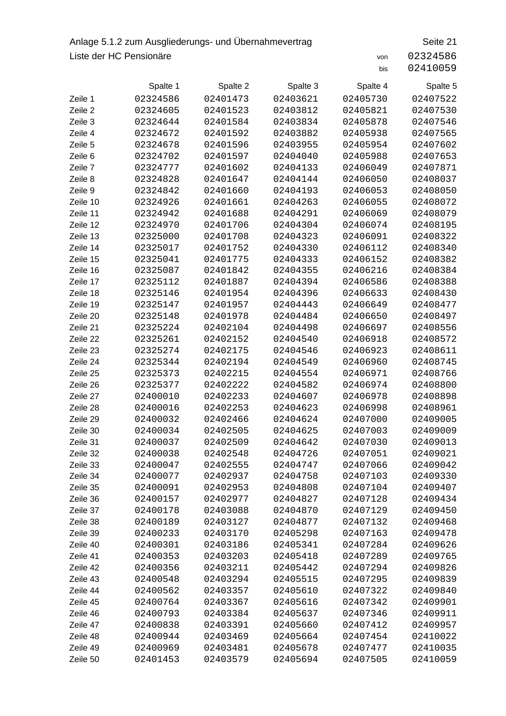## Anlage 5.1.2 zum Ausgliederungs- und Übernahmevertrag Seite 21 Liste der HC Pensionäre von 2324586

|          | Spalte 1 | Spalte 2 | Spalte 3 | Spalte 4 | Spalte 5 |
|----------|----------|----------|----------|----------|----------|
| Zeile 1  | 02324586 | 02401473 | 02403621 | 02405730 | 02407522 |
| Zeile 2  | 02324605 | 02401523 | 02403812 | 02405821 | 02407530 |
| Zeile 3  | 02324644 | 02401584 | 02403834 | 02405878 | 02407546 |
| Zeile 4  | 02324672 | 02401592 | 02403882 | 02405938 | 02407565 |
| Zeile 5  | 02324678 | 02401596 | 02403955 | 02405954 | 02407602 |
| Zeile 6  | 02324702 | 02401597 | 02404040 | 02405988 | 02407653 |
| Zeile 7  | 02324777 | 02401602 | 02404133 | 02406049 | 02407871 |
| Zeile 8  | 02324828 | 02401647 | 02404144 | 02406050 | 02408037 |
| Zeile 9  | 02324842 | 02401660 | 02404193 | 02406053 | 02408050 |
| Zeile 10 | 02324926 | 02401661 | 02404263 | 02406055 | 02408072 |
| Zeile 11 | 02324942 | 02401688 | 02404291 | 02406069 | 02408079 |
| Zeile 12 | 02324970 | 02401706 | 02404304 | 02406074 | 02408195 |
| Zeile 13 | 02325000 | 02401708 | 02404323 | 02406091 | 02408322 |
| Zeile 14 | 02325017 | 02401752 | 02404330 | 02406112 | 02408340 |
| Zeile 15 | 02325041 | 02401775 | 02404333 | 02406152 | 02408382 |
| Zeile 16 | 02325087 | 02401842 | 02404355 | 02406216 | 02408384 |
| Zeile 17 | 02325112 | 02401887 | 02404394 | 02406586 | 02408388 |
| Zeile 18 | 02325146 | 02401954 | 02404396 | 02406633 | 02408430 |
| Zeile 19 | 02325147 | 02401957 | 02404443 | 02406649 | 02408477 |
| Zeile 20 | 02325148 | 02401978 | 02404484 | 02406650 | 02408497 |
| Zeile 21 | 02325224 | 02402104 | 02404498 | 02406697 | 02408556 |
| Zeile 22 | 02325261 | 02402152 | 02404540 | 02406918 | 02408572 |
| Zeile 23 | 02325274 | 02402175 | 02404546 | 02406923 | 02408611 |
| Zeile 24 | 02325344 | 02402194 | 02404549 | 02406960 | 02408745 |
| Zeile 25 | 02325373 | 02402215 | 02404554 | 02406971 | 02408766 |
| Zeile 26 | 02325377 | 02402222 | 02404582 | 02406974 | 02408800 |
| Zeile 27 | 02400010 | 02402233 | 02404607 | 02406978 | 02408898 |
| Zeile 28 | 02400016 | 02402253 | 02404623 | 02406998 | 02408961 |
| Zeile 29 | 02400032 | 02402466 | 02404624 | 02407000 | 02409005 |
| Zeile 30 | 02400034 | 02402505 | 02404625 | 02407003 | 02409009 |
| Zeile 31 | 02400037 | 02402509 | 02404642 | 02407030 | 02409013 |
| Zeile 32 | 02400038 | 02402548 | 02404726 | 02407051 | 02409021 |
| Zeile 33 | 02400047 | 02402555 | 02404747 | 02407066 | 02409042 |
| Zeile 34 | 02400077 | 02402937 | 02404758 | 02407103 | 02409330 |
| Zeile 35 | 02400091 | 02402953 | 02404808 | 02407104 | 02409407 |
| Zeile 36 | 02400157 | 02402977 | 02404827 | 02407128 | 02409434 |
| Zeile 37 | 02400178 | 02403088 | 02404870 | 02407129 | 02409450 |
| Zeile 38 | 02400189 | 02403127 | 02404877 | 02407132 | 02409468 |
| Zeile 39 | 02400233 | 02403170 | 02405298 | 02407163 | 02409478 |
| Zeile 40 | 02400301 | 02403186 | 02405341 | 02407284 | 02409626 |
| Zeile 41 | 02400353 | 02403203 | 02405418 | 02407289 | 02409765 |
| Zeile 42 | 02400356 | 02403211 | 02405442 | 02407294 | 02409826 |
| Zeile 43 | 02400548 | 02403294 | 02405515 | 02407295 | 02409839 |
| Zeile 44 | 02400562 | 02403357 | 02405610 | 02407322 | 02409840 |
| Zeile 45 | 02400764 | 02403367 | 02405616 | 02407342 | 02409901 |
| Zeile 46 | 02400793 | 02403384 | 02405637 | 02407346 | 02409911 |
| Zeile 47 | 02400838 | 02403391 | 02405660 | 02407412 | 02409957 |
| Zeile 48 | 02400944 | 02403469 | 02405664 | 02407454 | 02410022 |
| Zeile 49 | 02400969 | 02403481 | 02405678 | 02407477 | 02410035 |
| Zeile 50 | 02401453 | 02403579 | 02405694 | 02407505 | 02410059 |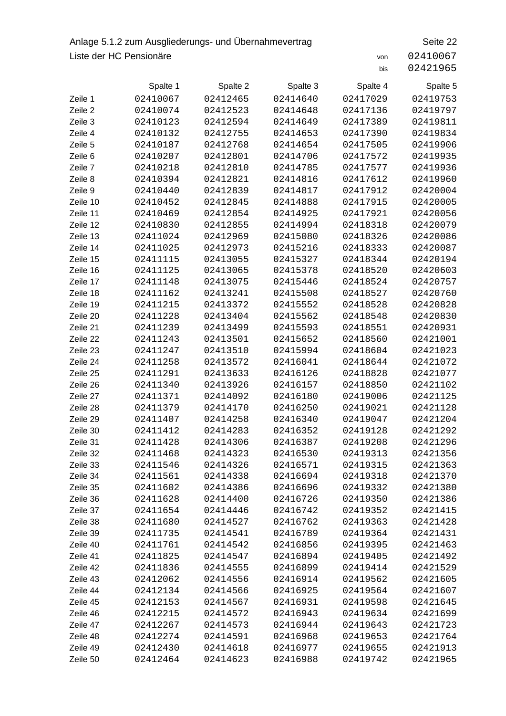## Anlage 5.1.2 zum Ausgliederungs- und Übernahmevertrag Seite 22 Liste der HC Pensionäre von 2410067

|          | Spalte 1 | Spalte 2 | Spalte 3 | Spalte 4 | Spalte 5 |
|----------|----------|----------|----------|----------|----------|
| Zeile 1  | 02410067 | 02412465 | 02414640 | 02417029 | 02419753 |
| Zeile 2  | 02410074 | 02412523 | 02414648 | 02417136 | 02419797 |
| Zeile 3  | 02410123 | 02412594 | 02414649 | 02417389 | 02419811 |
| Zeile 4  | 02410132 | 02412755 | 02414653 | 02417390 | 02419834 |
| Zeile 5  | 02410187 | 02412768 | 02414654 | 02417505 | 02419906 |
| Zeile 6  | 02410207 | 02412801 | 02414706 | 02417572 | 02419935 |
| Zeile 7  | 02410218 | 02412810 | 02414785 | 02417577 | 02419936 |
| Zeile 8  | 02410394 | 02412821 | 02414816 | 02417612 | 02419960 |
| Zeile 9  | 02410440 | 02412839 | 02414817 | 02417912 | 02420004 |
| Zeile 10 | 02410452 | 02412845 | 02414888 | 02417915 | 02420005 |
| Zeile 11 | 02410469 | 02412854 | 02414925 | 02417921 | 02420056 |
| Zeile 12 | 02410830 | 02412855 | 02414994 | 02418318 | 02420079 |
| Zeile 13 | 02411024 | 02412969 | 02415080 | 02418326 | 02420086 |
| Zeile 14 | 02411025 | 02412973 | 02415216 | 02418333 | 02420087 |
| Zeile 15 | 02411115 | 02413055 | 02415327 | 02418344 | 02420194 |
| Zeile 16 | 02411125 | 02413065 | 02415378 | 02418520 | 02420603 |
| Zeile 17 | 02411148 | 02413075 | 02415446 | 02418524 | 02420757 |
| Zeile 18 | 02411162 | 02413241 | 02415508 | 02418527 | 02420760 |
| Zeile 19 | 02411215 | 02413372 | 02415552 | 02418528 | 02420828 |
| Zeile 20 | 02411228 | 02413404 | 02415562 | 02418548 | 02420830 |
| Zeile 21 | 02411239 | 02413499 | 02415593 | 02418551 | 02420931 |
| Zeile 22 | 02411243 | 02413501 | 02415652 | 02418560 | 02421001 |
| Zeile 23 | 02411247 | 02413510 | 02415994 | 02418604 | 02421023 |
| Zeile 24 | 02411258 | 02413572 | 02416041 | 02418644 | 02421072 |
| Zeile 25 | 02411291 | 02413633 | 02416126 | 02418828 | 02421077 |
| Zeile 26 | 02411340 | 02413926 | 02416157 | 02418850 | 02421102 |
| Zeile 27 | 02411371 | 02414092 | 02416180 | 02419006 | 02421125 |
| Zeile 28 | 02411379 | 02414170 | 02416250 | 02419021 | 02421128 |
| Zeile 29 | 02411407 | 02414258 | 02416340 | 02419047 | 02421204 |
| Zeile 30 | 02411412 | 02414283 | 02416352 | 02419128 | 02421292 |
| Zeile 31 | 02411428 | 02414306 | 02416387 | 02419208 | 02421296 |
| Zeile 32 | 02411468 | 02414323 | 02416530 | 02419313 | 02421356 |
| Zeile 33 | 02411546 | 02414326 | 02416571 | 02419315 | 02421363 |
| Zeile 34 | 02411561 | 02414338 | 02416694 | 02419318 | 02421370 |
| Zeile 35 | 02411602 | 02414386 | 02416696 | 02419332 | 02421380 |
| Zeile 36 | 02411628 | 02414400 | 02416726 | 02419350 | 02421386 |
| Zeile 37 | 02411654 | 02414446 | 02416742 | 02419352 | 02421415 |
| Zeile 38 | 02411680 | 02414527 | 02416762 | 02419363 | 02421428 |
| Zeile 39 | 02411735 | 02414541 | 02416789 | 02419364 | 02421431 |
| Zeile 40 | 02411761 | 02414542 | 02416856 | 02419395 | 02421463 |
| Zeile 41 | 02411825 | 02414547 | 02416894 | 02419405 | 02421492 |
| Zeile 42 | 02411836 | 02414555 | 02416899 | 02419414 | 02421529 |
| Zeile 43 | 02412062 | 02414556 | 02416914 | 02419562 | 02421605 |
| Zeile 44 | 02412134 | 02414566 | 02416925 | 02419564 | 02421607 |
| Zeile 45 | 02412153 | 02414567 | 02416931 | 02419598 | 02421645 |
| Zeile 46 | 02412215 | 02414572 | 02416943 | 02419634 | 02421699 |
| Zeile 47 | 02412267 | 02414573 | 02416944 | 02419643 | 02421723 |
| Zeile 48 | 02412274 | 02414591 | 02416968 | 02419653 | 02421764 |
| Zeile 49 | 02412430 | 02414618 | 02416977 | 02419655 | 02421913 |
| Zeile 50 | 02412464 | 02414623 | 02416988 | 02419742 | 02421965 |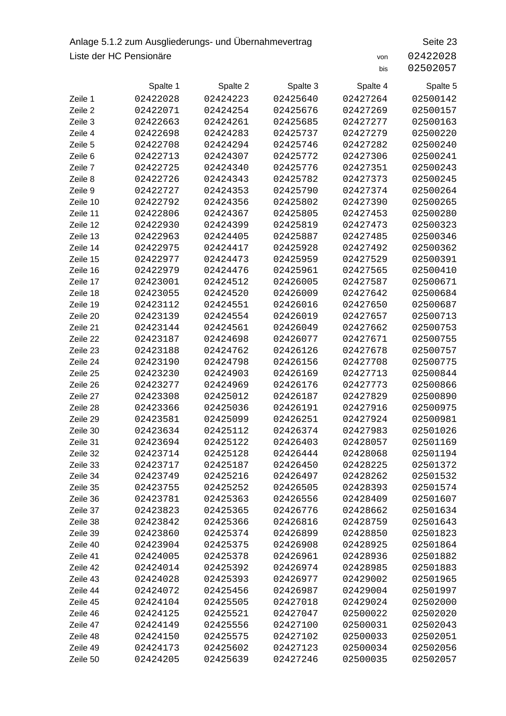## Anlage 5.1.2 zum Ausgliederungs- und Übernahmevertrag Seite 23 Liste der HC Pensionäre von 2422028

|          | Spalte 1 | Spalte 2 | Spalte 3 | Spalte 4 | Spalte 5 |
|----------|----------|----------|----------|----------|----------|
| Zeile 1  | 02422028 | 02424223 | 02425640 | 02427264 | 02500142 |
| Zeile 2  | 02422071 | 02424254 | 02425676 | 02427269 | 02500157 |
| Zeile 3  | 02422663 | 02424261 | 02425685 | 02427277 | 02500163 |
| Zeile 4  | 02422698 | 02424283 | 02425737 | 02427279 | 02500220 |
| Zeile 5  | 02422708 | 02424294 | 02425746 | 02427282 | 02500240 |
| Zeile 6  | 02422713 | 02424307 | 02425772 | 02427306 | 02500241 |
| Zeile 7  | 02422725 | 02424340 | 02425776 | 02427351 | 02500243 |
| Zeile 8  | 02422726 | 02424343 | 02425782 | 02427373 | 02500245 |
| Zeile 9  | 02422727 | 02424353 | 02425790 | 02427374 | 02500264 |
| Zeile 10 | 02422792 | 02424356 | 02425802 | 02427390 | 02500265 |
| Zeile 11 | 02422806 | 02424367 | 02425805 | 02427453 | 02500280 |
| Zeile 12 | 02422930 | 02424399 | 02425819 | 02427473 | 02500323 |
| Zeile 13 | 02422963 | 02424405 | 02425887 | 02427485 | 02500346 |
| Zeile 14 | 02422975 | 02424417 | 02425928 | 02427492 | 02500362 |
| Zeile 15 | 02422977 | 02424473 | 02425959 | 02427529 | 02500391 |
| Zeile 16 | 02422979 | 02424476 | 02425961 | 02427565 | 02500410 |
| Zeile 17 | 02423001 | 02424512 | 02426005 | 02427587 | 02500671 |
| Zeile 18 | 02423055 | 02424520 | 02426009 | 02427642 | 02500684 |
| Zeile 19 | 02423112 | 02424551 | 02426016 | 02427650 | 02500687 |
| Zeile 20 | 02423139 | 02424554 | 02426019 | 02427657 | 02500713 |
| Zeile 21 | 02423144 | 02424561 | 02426049 | 02427662 | 02500753 |
| Zeile 22 | 02423187 | 02424698 | 02426077 | 02427671 | 02500755 |
| Zeile 23 | 02423188 | 02424762 | 02426126 | 02427678 | 02500757 |
| Zeile 24 | 02423190 | 02424798 | 02426156 | 02427708 | 02500775 |
| Zeile 25 | 02423230 | 02424903 | 02426169 | 02427713 | 02500844 |
| Zeile 26 | 02423277 | 02424969 | 02426176 | 02427773 | 02500866 |
| Zeile 27 | 02423308 | 02425012 | 02426187 | 02427829 | 02500890 |
| Zeile 28 | 02423366 | 02425036 | 02426191 | 02427916 | 02500975 |
| Zeile 29 | 02423581 | 02425099 | 02426251 | 02427924 | 02500981 |
| Zeile 30 | 02423634 | 02425112 | 02426374 | 02427983 | 02501026 |
| Zeile 31 | 02423694 | 02425122 | 02426403 | 02428057 | 02501169 |
| Zeile 32 | 02423714 | 02425128 | 02426444 | 02428068 | 02501194 |
| Zeile 33 | 02423717 | 02425187 | 02426450 | 02428225 | 02501372 |
| Zeile 34 | 02423749 | 02425216 | 02426497 | 02428262 | 02501532 |
| Zeile 35 | 02423755 | 02425252 | 02426505 | 02428393 | 02501574 |
| Zeile 36 | 02423781 | 02425363 | 02426556 | 02428409 | 02501607 |
| Zeile 37 | 02423823 | 02425365 | 02426776 | 02428662 | 02501634 |
| Zeile 38 | 02423842 | 02425366 | 02426816 | 02428759 | 02501643 |
| Zeile 39 | 02423860 | 02425374 | 02426899 | 02428850 | 02501823 |
| Zeile 40 | 02423904 | 02425375 | 02426908 | 02428925 | 02501864 |
| Zeile 41 | 02424005 | 02425378 | 02426961 | 02428936 | 02501882 |
| Zeile 42 | 02424014 | 02425392 | 02426974 | 02428985 | 02501883 |
| Zeile 43 | 02424028 | 02425393 | 02426977 | 02429002 | 02501965 |
| Zeile 44 | 02424072 | 02425456 | 02426987 | 02429004 | 02501997 |
| Zeile 45 | 02424104 | 02425505 | 02427018 | 02429024 | 02502000 |
| Zeile 46 | 02424125 | 02425521 | 02427047 | 02500022 | 02502020 |
| Zeile 47 | 02424149 | 02425556 | 02427100 | 02500031 | 02502043 |
| Zeile 48 | 02424150 | 02425575 | 02427102 | 02500033 | 02502051 |
| Zeile 49 | 02424173 | 02425602 | 02427123 | 02500034 | 02502056 |
| Zeile 50 | 02424205 | 02425639 | 02427246 | 02500035 | 02502057 |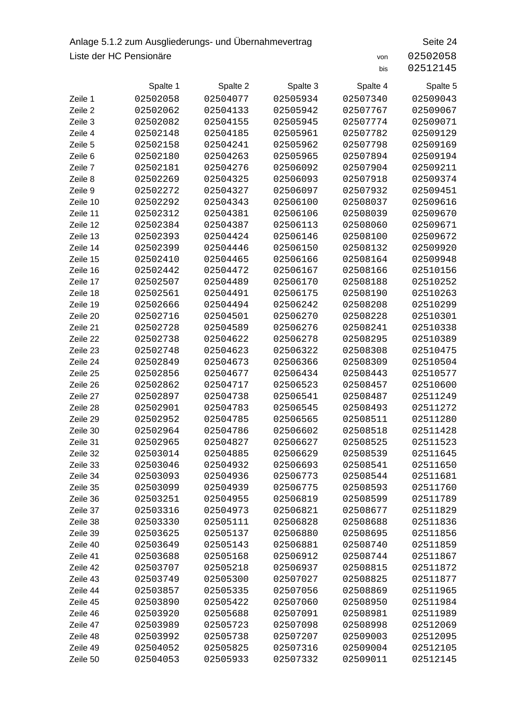## Anlage 5.1.2 zum Ausgliederungs- und Übernahmevertrag Seite 24 Liste der HC Pensionäre von 2502058

|          | Spalte 1 | Spalte 2 | Spalte 3 | Spalte 4 | Spalte 5 |
|----------|----------|----------|----------|----------|----------|
| Zeile 1  | 02502058 | 02504077 | 02505934 | 02507340 | 02509043 |
| Zeile 2  | 02502062 | 02504133 | 02505942 | 02507767 | 02509067 |
| Zeile 3  | 02502082 | 02504155 | 02505945 | 02507774 | 02509071 |
| Zeile 4  | 02502148 | 02504185 | 02505961 | 02507782 | 02509129 |
| Zeile 5  | 02502158 | 02504241 | 02505962 | 02507798 | 02509169 |
| Zeile 6  | 02502180 | 02504263 | 02505965 | 02507894 | 02509194 |
| Zeile 7  | 02502181 | 02504276 | 02506092 | 02507904 | 02509211 |
| Zeile 8  | 02502269 | 02504325 | 02506093 | 02507918 | 02509374 |
| Zeile 9  | 02502272 | 02504327 | 02506097 | 02507932 | 02509451 |
| Zeile 10 | 02502292 | 02504343 | 02506100 | 02508037 | 02509616 |
| Zeile 11 | 02502312 | 02504381 | 02506106 | 02508039 | 02509670 |
| Zeile 12 | 02502384 | 02504387 | 02506113 | 02508060 | 02509671 |
| Zeile 13 | 02502393 | 02504424 | 02506146 | 02508100 | 02509672 |
| Zeile 14 | 02502399 | 02504446 | 02506150 | 02508132 | 02509920 |
| Zeile 15 | 02502410 | 02504465 | 02506166 | 02508164 | 02509948 |
| Zeile 16 | 02502442 | 02504472 | 02506167 | 02508166 | 02510156 |
| Zeile 17 | 02502507 | 02504489 | 02506170 | 02508188 | 02510252 |
| Zeile 18 | 02502561 | 02504491 | 02506175 | 02508190 | 02510263 |
| Zeile 19 | 02502666 | 02504494 | 02506242 | 02508208 | 02510299 |
| Zeile 20 | 02502716 | 02504501 | 02506270 | 02508228 | 02510301 |
| Zeile 21 | 02502728 | 02504589 | 02506276 | 02508241 | 02510338 |
| Zeile 22 | 02502738 | 02504622 | 02506278 | 02508295 | 02510389 |
| Zeile 23 | 02502748 | 02504623 | 02506322 | 02508308 | 02510475 |
| Zeile 24 | 02502849 | 02504673 | 02506366 | 02508309 | 02510504 |
| Zeile 25 | 02502856 | 02504677 | 02506434 | 02508443 | 02510577 |
| Zeile 26 | 02502862 | 02504717 | 02506523 | 02508457 | 02510600 |
| Zeile 27 | 02502897 | 02504738 | 02506541 | 02508487 | 02511249 |
| Zeile 28 | 02502901 | 02504783 | 02506545 | 02508493 | 02511272 |
| Zeile 29 | 02502952 | 02504785 | 02506565 | 02508511 | 02511280 |
| Zeile 30 | 02502964 | 02504786 | 02506602 | 02508518 | 02511428 |
| Zeile 31 | 02502965 | 02504827 | 02506627 | 02508525 | 02511523 |
| Zeile 32 | 02503014 | 02504885 | 02506629 | 02508539 | 02511645 |
| Zeile 33 | 02503046 | 02504932 | 02506693 | 02508541 | 02511650 |
| Zeile 34 | 02503093 | 02504936 | 02506773 | 02508544 | 02511681 |
| Zeile 35 | 02503099 | 02504939 | 02506775 | 02508593 | 02511760 |
| Zeile 36 | 02503251 | 02504955 | 02506819 | 02508599 | 02511789 |
| Zeile 37 | 02503316 | 02504973 | 02506821 | 02508677 | 02511829 |
| Zeile 38 | 02503330 | 02505111 | 02506828 | 02508688 | 02511836 |
| Zeile 39 | 02503625 | 02505137 | 02506880 | 02508695 | 02511856 |
| Zeile 40 | 02503649 | 02505143 | 02506881 | 02508740 | 02511859 |
| Zeile 41 | 02503688 | 02505168 | 02506912 | 02508744 | 02511867 |
| Zeile 42 | 02503707 | 02505218 | 02506937 | 02508815 | 02511872 |
| Zeile 43 | 02503749 | 02505300 | 02507027 | 02508825 | 02511877 |
| Zeile 44 | 02503857 | 02505335 | 02507056 | 02508869 | 02511965 |
| Zeile 45 | 02503890 | 02505422 | 02507060 | 02508950 | 02511984 |
| Zeile 46 | 02503920 | 02505688 | 02507091 | 02508981 | 02511989 |
| Zeile 47 | 02503989 | 02505723 | 02507098 | 02508998 | 02512069 |
| Zeile 48 | 02503992 | 02505738 | 02507207 | 02509003 | 02512095 |
| Zeile 49 | 02504052 | 02505825 | 02507316 | 02509004 | 02512105 |
| Zeile 50 | 02504053 | 02505933 | 02507332 | 02509011 | 02512145 |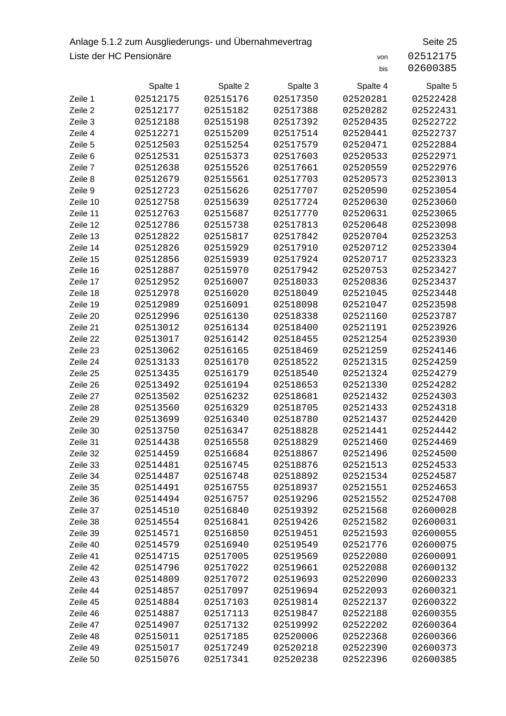### Anlage 5.1.2 zum Ausgliederungs- und Übernahmevertrag Seite 25 Liste der HC Pensionäre von 251217575 von 1251217575 von 1251217575 von 1251217575 von 12512175757575757575757

| 02512175 |  |  |
|----------|--|--|
| 02600385 |  |  |

|          | Spalte 1 | Spalte 2 | Spalte 3 | Spalte 4 | Spalte 5 |
|----------|----------|----------|----------|----------|----------|
| Zeile 1  | 02512175 | 02515176 | 02517350 | 02520281 | 02522428 |
| Zeile 2  | 02512177 | 02515182 | 02517388 | 02520282 | 02522431 |
| Zeile 3  | 02512188 | 02515198 | 02517392 | 02520435 | 02522722 |
| Zeile 4  | 02512271 | 02515209 | 02517514 | 02520441 | 02522737 |
| Zeile 5  | 02512503 | 02515254 | 02517579 | 02520471 | 02522884 |
| Zeile 6  | 02512531 | 02515373 | 02517603 | 02520533 | 02522971 |
| Zeile 7  | 02512638 | 02515526 | 02517661 | 02520559 | 02522976 |
| Zeile 8  | 02512679 | 02515561 | 02517703 | 02520573 | 02523013 |
| Zeile 9  | 02512723 | 02515626 | 02517707 | 02520590 | 02523054 |
| Zeile 10 | 02512758 | 02515639 | 02517724 | 02520630 | 02523060 |
| Zeile 11 | 02512763 | 02515687 | 02517770 | 02520631 | 02523065 |
| Zeile 12 | 02512786 | 02515738 | 02517813 | 02520648 | 02523098 |
| Zeile 13 | 02512822 | 02515817 | 02517842 | 02520704 | 02523253 |
| Zeile 14 | 02512826 | 02515929 | 02517910 | 02520712 | 02523304 |
| Zeile 15 | 02512856 | 02515939 | 02517924 | 02520717 | 02523323 |
| Zeile 16 | 02512887 | 02515970 | 02517942 | 02520753 | 02523427 |
| Zeile 17 | 02512952 | 02516007 | 02518033 | 02520836 | 02523437 |
| Zeile 18 | 02512978 | 02516020 | 02518049 | 02521045 | 02523448 |
| Zeile 19 | 02512989 | 02516091 | 02518098 | 02521047 | 02523598 |
| Zeile 20 | 02512996 | 02516130 | 02518338 | 02521160 | 02523787 |
| Zeile 21 | 02513012 | 02516134 | 02518400 | 02521191 | 02523926 |
| Zeile 22 | 02513017 | 02516142 | 02518455 | 02521254 | 02523930 |
| Zeile 23 | 02513062 | 02516165 | 02518469 | 02521259 | 02524146 |
| Zeile 24 | 02513133 | 02516170 | 02518522 | 02521315 | 02524259 |
| Zeile 25 | 02513435 | 02516179 | 02518540 | 02521324 | 02524279 |
| Zeile 26 | 02513492 | 02516194 | 02518653 | 02521330 | 02524282 |
| Zeile 27 | 02513502 | 02516232 | 02518681 | 02521432 | 02524303 |
| Zeile 28 | 02513560 | 02516329 | 02518705 | 02521433 | 02524318 |
| Zeile 29 | 02513699 | 02516340 | 02518780 | 02521437 | 02524420 |
| Zeile 30 | 02513750 | 02516347 | 02518828 | 02521441 | 02524442 |
| Zeile 31 | 02514438 | 02516558 | 02518829 | 02521460 | 02524469 |
| Zeile 32 | 02514459 | 02516684 | 02518867 | 02521496 | 02524500 |
| Zeile 33 | 02514481 | 02516745 | 02518876 | 02521513 | 02524533 |
| Zeile 34 | 02514487 | 02516748 | 02518892 | 02521534 | 02524587 |
| Zeile 35 | 02514491 | 02516755 | 02518937 | 02521551 | 02524653 |
| Zeile 36 | 02514494 | 02516757 | 02519296 | 02521552 | 02524708 |
| Zeile 37 | 02514510 | 02516840 | 02519392 | 02521568 | 02600028 |
| Zeile 38 | 02514554 | 02516841 | 02519426 | 02521582 | 02600031 |
| Zeile 39 | 02514571 | 02516850 | 02519451 | 02521593 | 02600055 |
| Zeile 40 | 02514579 | 02516940 | 02519549 | 02521776 | 02600075 |
| Zeile 41 | 02514715 | 02517005 | 02519569 | 02522080 | 02600091 |
| Zeile 42 | 02514796 | 02517022 | 02519661 | 02522088 | 02600132 |
| Zeile 43 | 02514809 | 02517072 | 02519693 | 02522090 | 02600233 |
| Zeile 44 | 02514857 | 02517097 | 02519694 | 02522093 | 02600321 |
| Zeile 45 | 02514884 | 02517103 | 02519814 | 02522137 | 02600322 |
| Zeile 46 | 02514887 | 02517113 | 02519847 | 02522188 | 02600355 |
| Zeile 47 | 02514907 | 02517132 | 02519992 | 02522202 | 02600364 |
| Zeile 48 | 02515011 | 02517185 | 02520006 | 02522368 | 02600366 |
| Zeile 49 | 02515017 | 02517249 | 02520218 | 02522390 | 02600373 |
| Zeile 50 | 02515076 | 02517341 | 02520238 | 02522396 | 02600385 |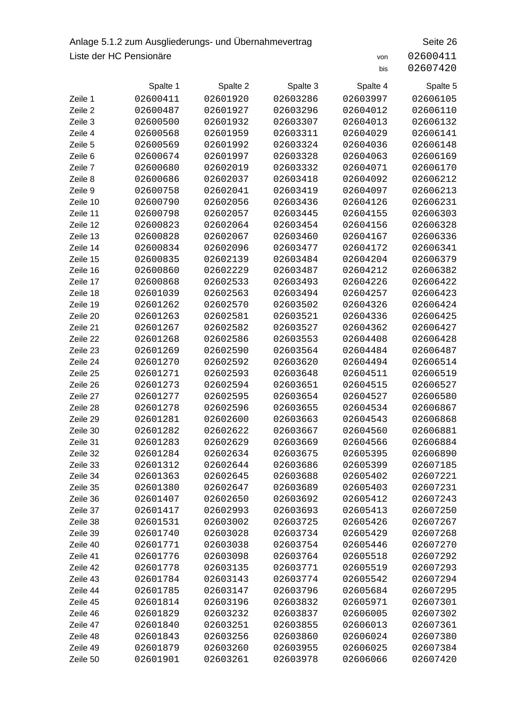## Anlage 5.1.2 zum Ausgliederungs- und Übernahmevertrag Seite 26 Liste der HC Pensionäre von 2600411

|          | Spalte 1 | Spalte 2 | Spalte 3 | Spalte 4 | Spalte 5 |
|----------|----------|----------|----------|----------|----------|
| Zeile 1  | 02600411 | 02601920 | 02603286 | 02603997 | 02606105 |
| Zeile 2  | 02600487 | 02601927 | 02603296 | 02604012 | 02606110 |
| Zeile 3  | 02600500 | 02601932 | 02603307 | 02604013 | 02606132 |
| Zeile 4  | 02600568 | 02601959 | 02603311 | 02604029 | 02606141 |
| Zeile 5  | 02600569 | 02601992 | 02603324 | 02604036 | 02606148 |
| Zeile 6  | 02600674 | 02601997 | 02603328 | 02604063 | 02606169 |
| Zeile 7  | 02600680 | 02602019 | 02603332 | 02604071 | 02606170 |
| Zeile 8  | 02600686 | 02602037 | 02603418 | 02604092 | 02606212 |
| Zeile 9  | 02600758 | 02602041 | 02603419 | 02604097 | 02606213 |
| Zeile 10 | 02600790 | 02602056 | 02603436 | 02604126 | 02606231 |
| Zeile 11 | 02600798 | 02602057 | 02603445 | 02604155 | 02606303 |
| Zeile 12 | 02600823 | 02602064 | 02603454 | 02604156 | 02606328 |
| Zeile 13 | 02600828 | 02602067 | 02603460 | 02604167 | 02606336 |
| Zeile 14 | 02600834 | 02602096 | 02603477 | 02604172 | 02606341 |
| Zeile 15 | 02600835 | 02602139 | 02603484 | 02604204 | 02606379 |
| Zeile 16 | 02600860 | 02602229 | 02603487 | 02604212 | 02606382 |
| Zeile 17 | 02600868 | 02602533 | 02603493 | 02604226 | 02606422 |
| Zeile 18 | 02601039 | 02602563 | 02603494 | 02604257 | 02606423 |
| Zeile 19 | 02601262 | 02602570 | 02603502 | 02604326 | 02606424 |
| Zeile 20 | 02601263 | 02602581 | 02603521 | 02604336 | 02606425 |
| Zeile 21 | 02601267 | 02602582 | 02603527 | 02604362 | 02606427 |
| Zeile 22 | 02601268 | 02602586 | 02603553 | 02604408 | 02606428 |
| Zeile 23 | 02601269 | 02602590 | 02603564 | 02604484 | 02606487 |
| Zeile 24 | 02601270 | 02602592 | 02603620 | 02604494 | 02606514 |
| Zeile 25 | 02601271 | 02602593 | 02603648 | 02604511 | 02606519 |
| Zeile 26 | 02601273 | 02602594 | 02603651 | 02604515 | 02606527 |
| Zeile 27 | 02601277 | 02602595 | 02603654 | 02604527 | 02606580 |
| Zeile 28 | 02601278 | 02602596 | 02603655 | 02604534 | 02606867 |
| Zeile 29 | 02601281 | 02602600 | 02603663 | 02604543 | 02606868 |
| Zeile 30 | 02601282 | 02602622 | 02603667 | 02604560 | 02606881 |
| Zeile 31 | 02601283 | 02602629 | 02603669 | 02604566 | 02606884 |
| Zeile 32 | 02601284 | 02602634 | 02603675 | 02605395 | 02606890 |
| Zeile 33 | 02601312 | 02602644 | 02603686 | 02605399 | 02607185 |
| Zeile 34 | 02601363 | 02602645 | 02603688 | 02605402 | 02607221 |
| Zeile 35 | 02601380 | 02602647 | 02603689 | 02605403 | 02607231 |
| Zeile 36 | 02601407 | 02602650 | 02603692 | 02605412 | 02607243 |
| Zeile 37 | 02601417 | 02602993 | 02603693 | 02605413 | 02607250 |
| Zeile 38 | 02601531 | 02603002 | 02603725 | 02605426 | 02607267 |
| Zeile 39 | 02601740 | 02603028 | 02603734 | 02605429 | 02607268 |
| Zeile 40 | 02601771 | 02603038 | 02603754 | 02605446 | 02607270 |
| Zeile 41 | 02601776 | 02603098 | 02603764 | 02605518 | 02607292 |
| Zeile 42 | 02601778 | 02603135 | 02603771 | 02605519 | 02607293 |
| Zeile 43 | 02601784 | 02603143 | 02603774 | 02605542 | 02607294 |
| Zeile 44 | 02601785 | 02603147 | 02603796 | 02605684 | 02607295 |
| Zeile 45 | 02601814 | 02603196 | 02603832 | 02605971 | 02607301 |
| Zeile 46 | 02601829 | 02603232 | 02603837 | 02606005 | 02607302 |
| Zeile 47 | 02601840 | 02603251 | 02603855 | 02606013 | 02607361 |
| Zeile 48 | 02601843 | 02603256 | 02603860 | 02606024 | 02607380 |
| Zeile 49 | 02601879 | 02603260 | 02603955 | 02606025 | 02607384 |
| Zeile 50 | 02601901 | 02603261 | 02603978 | 02606066 | 02607420 |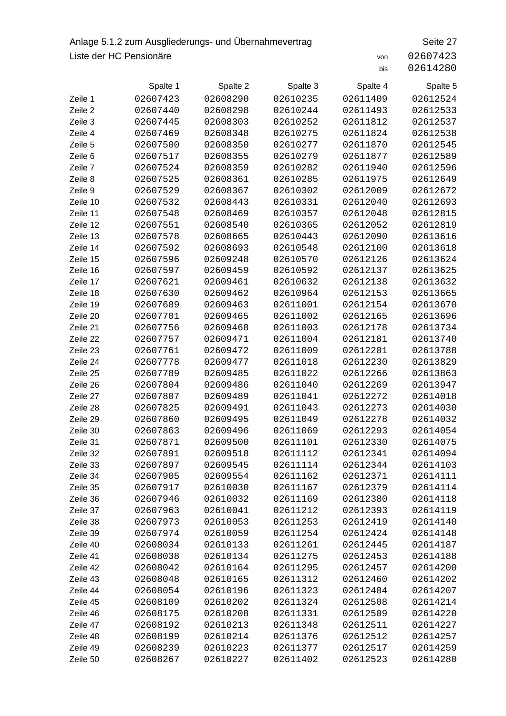## Anlage 5.1.2 zum Ausgliederungs- und Übernahmevertrag Seite 27 Liste der HC Pensionäre von 2607423

|          | Spalte 1 | Spalte 2 | Spalte 3 | Spalte 4 | Spalte 5 |
|----------|----------|----------|----------|----------|----------|
| Zeile 1  | 02607423 | 02608290 | 02610235 | 02611409 | 02612524 |
| Zeile 2  | 02607440 | 02608298 | 02610244 | 02611493 | 02612533 |
| Zeile 3  | 02607445 | 02608303 | 02610252 | 02611812 | 02612537 |
| Zeile 4  | 02607469 | 02608348 | 02610275 | 02611824 | 02612538 |
| Zeile 5  | 02607500 | 02608350 | 02610277 | 02611870 | 02612545 |
| Zeile 6  | 02607517 | 02608355 | 02610279 | 02611877 | 02612589 |
| Zeile 7  | 02607524 | 02608359 | 02610282 | 02611940 | 02612596 |
| Zeile 8  | 02607525 | 02608361 | 02610285 | 02611975 | 02612649 |
| Zeile 9  | 02607529 | 02608367 | 02610302 | 02612009 | 02612672 |
| Zeile 10 | 02607532 | 02608443 | 02610331 | 02612040 | 02612693 |
| Zeile 11 | 02607548 | 02608469 | 02610357 | 02612048 | 02612815 |
| Zeile 12 | 02607551 | 02608540 | 02610365 | 02612052 | 02612819 |
| Zeile 13 | 02607578 | 02608665 | 02610443 | 02612090 | 02613616 |
| Zeile 14 | 02607592 | 02608693 | 02610548 | 02612100 | 02613618 |
| Zeile 15 | 02607596 | 02609248 | 02610570 | 02612126 | 02613624 |
| Zeile 16 | 02607597 | 02609459 | 02610592 | 02612137 | 02613625 |
| Zeile 17 | 02607621 | 02609461 | 02610632 | 02612138 | 02613632 |
| Zeile 18 | 02607630 | 02609462 | 02610964 | 02612153 | 02613665 |
| Zeile 19 | 02607689 | 02609463 | 02611001 | 02612154 | 02613670 |
| Zeile 20 | 02607701 | 02609465 | 02611002 | 02612165 | 02613696 |
| Zeile 21 | 02607756 | 02609468 | 02611003 | 02612178 | 02613734 |
| Zeile 22 | 02607757 | 02609471 | 02611004 | 02612181 | 02613740 |
| Zeile 23 | 02607761 | 02609472 | 02611009 | 02612201 | 02613788 |
| Zeile 24 | 02607778 | 02609477 | 02611018 | 02612230 | 02613829 |
| Zeile 25 | 02607789 | 02609485 | 02611022 | 02612266 | 02613863 |
| Zeile 26 | 02607804 | 02609486 | 02611040 | 02612269 | 02613947 |
| Zeile 27 | 02607807 | 02609489 | 02611041 | 02612272 | 02614018 |
| Zeile 28 | 02607825 | 02609491 | 02611043 | 02612273 | 02614030 |
| Zeile 29 | 02607860 | 02609495 | 02611049 | 02612278 | 02614032 |
| Zeile 30 | 02607863 | 02609496 | 02611069 | 02612293 | 02614054 |
| Zeile 31 | 02607871 | 02609500 | 02611101 | 02612330 | 02614075 |
| Zeile 32 | 02607891 | 02609518 | 02611112 | 02612341 | 02614094 |
| Zeile 33 | 02607897 | 02609545 | 02611114 | 02612344 | 02614103 |
| Zeile 34 | 02607905 | 02609554 | 02611162 | 02612371 | 02614111 |
| Zeile 35 | 02607917 | 02610030 | 02611167 | 02612379 | 02614114 |
| Zeile 36 | 02607946 | 02610032 | 02611169 | 02612380 | 02614118 |
| Zeile 37 | 02607963 | 02610041 | 02611212 | 02612393 | 02614119 |
| Zeile 38 | 02607973 | 02610053 | 02611253 | 02612419 | 02614140 |
| Zeile 39 | 02607974 | 02610059 | 02611254 | 02612424 | 02614148 |
| Zeile 40 | 02608034 | 02610133 | 02611261 | 02612445 | 02614187 |
| Zeile 41 | 02608038 | 02610134 | 02611275 | 02612453 | 02614188 |
| Zeile 42 | 02608042 | 02610164 | 02611295 | 02612457 | 02614200 |
| Zeile 43 | 02608048 | 02610165 | 02611312 | 02612460 | 02614202 |
| Zeile 44 | 02608054 | 02610196 | 02611323 | 02612484 | 02614207 |
| Zeile 45 | 02608109 | 02610202 | 02611324 | 02612508 | 02614214 |
| Zeile 46 | 02608175 | 02610208 | 02611331 | 02612509 | 02614220 |
| Zeile 47 | 02608192 | 02610213 | 02611348 | 02612511 | 02614227 |
| Zeile 48 | 02608199 | 02610214 | 02611376 | 02612512 | 02614257 |
| Zeile 49 | 02608239 | 02610223 | 02611377 | 02612517 | 02614259 |
| Zeile 50 | 02608267 | 02610227 | 02611402 | 02612523 | 02614280 |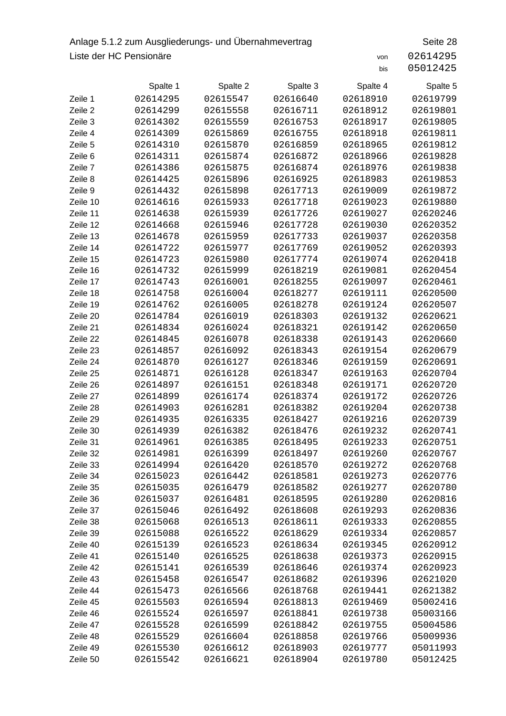## Anlage 5.1.2 zum Ausgliederungs- und Übernahmevertrag Seite 28 Liste der HC Pensionäre von 2614295

|                      | Spalte 1             | Spalte 2             | Spalte 3             | Spalte 4             | Spalte 5             |
|----------------------|----------------------|----------------------|----------------------|----------------------|----------------------|
| Zeile 1              | 02614295             | 02615547             | 02616640             | 02618910             | 02619799             |
| Zeile 2              | 02614299             | 02615558             | 02616711             | 02618912             | 02619801             |
| Zeile 3              | 02614302             | 02615559             | 02616753             | 02618917             | 02619805             |
| Zeile 4              | 02614309             | 02615869             | 02616755             | 02618918             | 02619811             |
| Zeile 5              | 02614310             | 02615870             | 02616859             | 02618965             | 02619812             |
| Zeile 6              | 02614311             | 02615874             | 02616872             | 02618966             | 02619828             |
| Zeile 7              | 02614386             | 02615875             | 02616874             | 02618976             | 02619838             |
| Zeile 8              | 02614425             | 02615896             | 02616925             | 02618983             | 02619853             |
| Zeile 9              | 02614432             | 02615898             | 02617713             | 02619009             | 02619872             |
| Zeile 10             | 02614616             | 02615933             | 02617718             | 02619023             | 02619880             |
| Zeile 11             | 02614638             | 02615939             | 02617726             | 02619027             | 02620246             |
| Zeile 12             | 02614668             | 02615946             | 02617728             | 02619030             | 02620352             |
| Zeile 13             | 02614678             | 02615959             | 02617733             | 02619037             | 02620358             |
| Zeile 14             | 02614722             | 02615977             | 02617769             | 02619052             | 02620393             |
| Zeile 15             | 02614723             | 02615980             | 02617774             | 02619074             | 02620418             |
| Zeile 16             | 02614732             | 02615999             | 02618219             | 02619081             | 02620454             |
| Zeile 17             | 02614743             | 02616001             | 02618255             | 02619097             | 02620461             |
| Zeile 18             | 02614758             | 02616004             | 02618277             | 02619111             | 02620500             |
| Zeile 19             | 02614762             | 02616005             | 02618278             | 02619124             | 02620507             |
| Zeile 20             | 02614784             | 02616019             | 02618303             | 02619132             | 02620621             |
| Zeile 21             | 02614834             | 02616024             | 02618321             | 02619142             | 02620650             |
| Zeile 22             | 02614845             | 02616078             | 02618338             | 02619143             | 02620660             |
| Zeile 23             | 02614857             | 02616092             | 02618343             | 02619154             | 02620679             |
| Zeile 24             | 02614870             | 02616127             | 02618346             | 02619159             | 02620691             |
| Zeile 25             | 02614871             | 02616128             | 02618347             | 02619163             | 02620704             |
| Zeile 26             | 02614897             | 02616151             | 02618348             | 02619171             | 02620720             |
| Zeile 27             | 02614899             | 02616174             | 02618374             | 02619172             | 02620726             |
| Zeile 28             | 02614903             | 02616281             | 02618382             | 02619204             | 02620738             |
| Zeile 29             | 02614935             | 02616335             | 02618427             | 02619216             | 02620739             |
| Zeile 30             | 02614939             | 02616382             | 02618476             | 02619232             | 02620741             |
| Zeile 31             | 02614961             | 02616385             | 02618495             | 02619233             | 02620751             |
| Zeile 32             | 02614981             | 02616399             | 02618497             | 02619260             | 02620767             |
| Zeile 33             | 02614994             | 02616420             | 02618570             | 02619272             | 02620768             |
| Zeile 34             | 02615023             | 02616442             | 02618581             | 02619273             | 02620776             |
| Zeile 35             | 02615035             | 02616479             | 02618582             | 02619277             | 02620780             |
| Zeile 36             | 02615037             | 02616481             | 02618595             | 02619280             | 02620816<br>02620836 |
| Zeile 37<br>Zeile 38 | 02615046             | 02616492             | 02618608             | 02619293             |                      |
|                      | 02615068             | 02616513             | 02618611             | 02619333             | 02620855             |
| Zeile 39<br>Zeile 40 | 02615088<br>02615139 | 02616522<br>02616523 | 02618629             | 02619334<br>02619345 | 02620857<br>02620912 |
| Zeile 41             | 02615140             | 02616525             | 02618634<br>02618638 | 02619373             | 02620915             |
| Zeile 42             | 02615141             | 02616539             | 02618646             | 02619374             | 02620923             |
| Zeile 43             | 02615458             | 02616547             | 02618682             | 02619396             | 02621020             |
| Zeile 44             | 02615473             | 02616566             | 02618768             | 02619441             | 02621382             |
| Zeile 45             | 02615503             | 02616594             | 02618813             | 02619469             | 05002416             |
| Zeile 46             | 02615524             | 02616597             | 02618841             | 02619738             | 05003166             |
| Zeile 47             | 02615528             | 02616599             | 02618842             | 02619755             | 05004586             |
| Zeile 48             | 02615529             | 02616604             | 02618858             | 02619766             | 05009936             |
| Zeile 49             | 02615530             | 02616612             | 02618903             | 02619777             | 05011993             |
| Zeile 50             | 02615542             | 02616621             | 02618904             | 02619780             | 05012425             |
|                      |                      |                      |                      |                      |                      |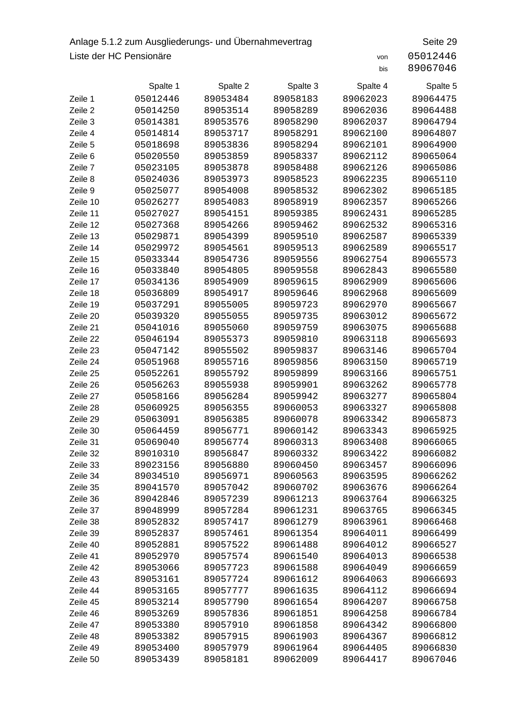## Anlage 5.1.2 zum Ausgliederungs- und Übernahmevertrag Seite 29 Liste der HC Pensionäre von 25012446

|          | Spalte 1 | Spalte 2 | Spalte 3 | Spalte 4 | Spalte 5 |
|----------|----------|----------|----------|----------|----------|
| Zeile 1  | 05012446 | 89053484 | 89058183 | 89062023 | 89064475 |
| Zeile 2  | 05014250 | 89053514 | 89058289 | 89062036 | 89064488 |
| Zeile 3  | 05014381 | 89053576 | 89058290 | 89062037 | 89064794 |
| Zeile 4  | 05014814 | 89053717 | 89058291 | 89062100 | 89064807 |
| Zeile 5  | 05018698 | 89053836 | 89058294 | 89062101 | 89064900 |
| Zeile 6  | 05020550 | 89053859 | 89058337 | 89062112 | 89065064 |
| Zeile 7  | 05023105 | 89053878 | 89058488 | 89062126 | 89065086 |
| Zeile 8  | 05024036 | 89053973 | 89058523 | 89062235 | 89065110 |
| Zeile 9  | 05025077 | 89054008 | 89058532 | 89062302 | 89065185 |
| Zeile 10 | 05026277 | 89054083 | 89058919 | 89062357 | 89065266 |
| Zeile 11 | 05027027 | 89054151 | 89059385 | 89062431 | 89065285 |
| Zeile 12 | 05027368 | 89054266 | 89059462 | 89062532 | 89065316 |
| Zeile 13 | 05029871 | 89054399 | 89059510 | 89062587 | 89065339 |
| Zeile 14 | 05029972 | 89054561 | 89059513 | 89062589 | 89065517 |
| Zeile 15 | 05033344 | 89054736 | 89059556 | 89062754 | 89065573 |
| Zeile 16 | 05033840 | 89054805 | 89059558 | 89062843 | 89065580 |
| Zeile 17 | 05034136 | 89054909 | 89059615 | 89062909 | 89065606 |
| Zeile 18 | 05036809 | 89054917 | 89059646 | 89062968 | 89065609 |
| Zeile 19 | 05037291 | 89055005 | 89059723 | 89062970 | 89065667 |
| Zeile 20 | 05039320 | 89055055 | 89059735 | 89063012 | 89065672 |
| Zeile 21 | 05041016 | 89055060 | 89059759 | 89063075 | 89065688 |
| Zeile 22 | 05046194 | 89055373 | 89059810 | 89063118 | 89065693 |
| Zeile 23 | 05047142 | 89055502 | 89059837 | 89063146 | 89065704 |
| Zeile 24 | 05051968 | 89055716 | 89059856 | 89063150 | 89065719 |
| Zeile 25 | 05052261 | 89055792 | 89059899 | 89063166 | 89065751 |
| Zeile 26 | 05056263 | 89055938 | 89059901 | 89063262 | 89065778 |
| Zeile 27 | 05058166 | 89056284 | 89059942 | 89063277 | 89065804 |
| Zeile 28 | 05060925 | 89056355 | 89060053 | 89063327 | 89065808 |
| Zeile 29 | 05063091 | 89056385 | 89060078 | 89063342 | 89065873 |
| Zeile 30 | 05064459 | 89056771 | 89060142 | 89063343 | 89065925 |
| Zeile 31 | 05069040 | 89056774 | 89060313 | 89063408 | 89066065 |
| Zeile 32 | 89010310 | 89056847 | 89060332 | 89063422 | 89066082 |
| Zeile 33 | 89023156 | 89056880 | 89060450 | 89063457 | 89066096 |
| Zeile 34 | 89034510 | 89056971 | 89060563 | 89063595 | 89066262 |
| Zeile 35 | 89041570 | 89057042 | 89060702 | 89063676 | 89066264 |
| Zeile 36 | 89042846 | 89057239 | 89061213 | 89063764 | 89066325 |
| Zeile 37 | 89048999 | 89057284 | 89061231 | 89063765 | 89066345 |
| Zeile 38 | 89052832 | 89057417 | 89061279 | 89063961 | 89066468 |
| Zeile 39 | 89052837 | 89057461 | 89061354 | 89064011 | 89066499 |
| Zeile 40 | 89052881 | 89057522 | 89061488 | 89064012 | 89066527 |
| Zeile 41 | 89052970 | 89057574 | 89061540 | 89064013 | 89066538 |
| Zeile 42 | 89053066 | 89057723 | 89061588 | 89064049 | 89066659 |
| Zeile 43 | 89053161 | 89057724 | 89061612 | 89064063 | 89066693 |
| Zeile 44 | 89053165 | 89057777 | 89061635 | 89064112 | 89066694 |
| Zeile 45 | 89053214 | 89057790 | 89061654 | 89064207 | 89066758 |
| Zeile 46 | 89053269 | 89057836 | 89061851 | 89064258 | 89066784 |
| Zeile 47 | 89053380 | 89057910 | 89061858 | 89064342 | 89066800 |
| Zeile 48 | 89053382 | 89057915 | 89061903 | 89064367 | 89066812 |
| Zeile 49 | 89053400 | 89057979 | 89061964 | 89064405 | 89066830 |
| Zeile 50 | 89053439 | 89058181 | 89062009 | 89064417 | 89067046 |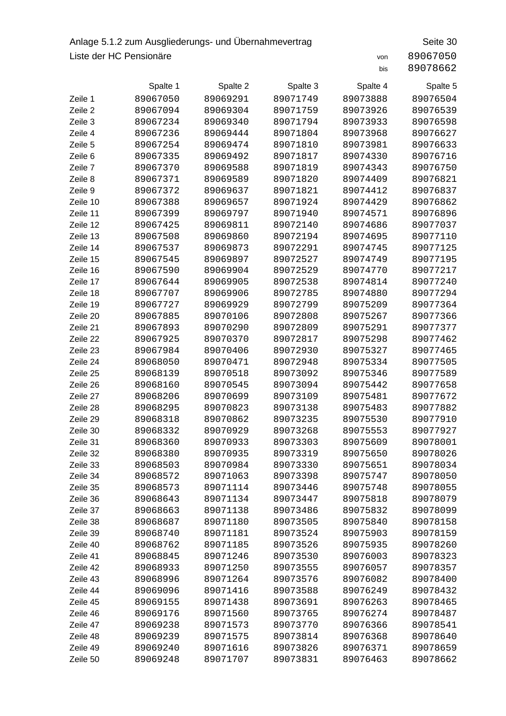## Anlage 5.1.2 zum Ausgliederungs- und Übernahmevertrag Seite 30 Liste der HC Pensionäre von 89067050

|          | Spalte 1 | Spalte 2 | Spalte 3 | Spalte 4 | Spalte 5 |
|----------|----------|----------|----------|----------|----------|
| Zeile 1  | 89067050 | 89069291 | 89071749 | 89073888 | 89076504 |
| Zeile 2  | 89067094 | 89069304 | 89071759 | 89073926 | 89076539 |
| Zeile 3  | 89067234 | 89069340 | 89071794 | 89073933 | 89076598 |
| Zeile 4  | 89067236 | 89069444 | 89071804 | 89073968 | 89076627 |
| Zeile 5  | 89067254 | 89069474 | 89071810 | 89073981 | 89076633 |
| Zeile 6  | 89067335 | 89069492 | 89071817 | 89074330 | 89076716 |
| Zeile 7  | 89067370 | 89069588 | 89071819 | 89074343 | 89076750 |
| Zeile 8  | 89067371 | 89069589 | 89071820 | 89074409 | 89076821 |
| Zeile 9  | 89067372 | 89069637 | 89071821 | 89074412 | 89076837 |
| Zeile 10 | 89067388 | 89069657 | 89071924 | 89074429 | 89076862 |
| Zeile 11 | 89067399 | 89069797 | 89071940 | 89074571 | 89076896 |
| Zeile 12 | 89067425 | 89069811 | 89072140 | 89074686 | 89077037 |
| Zeile 13 | 89067508 | 89069860 | 89072194 | 89074695 | 89077110 |
| Zeile 14 | 89067537 | 89069873 | 89072291 | 89074745 | 89077125 |
| Zeile 15 | 89067545 | 89069897 | 89072527 | 89074749 | 89077195 |
| Zeile 16 | 89067590 | 89069904 | 89072529 | 89074770 | 89077217 |
| Zeile 17 | 89067644 | 89069905 | 89072538 | 89074814 | 89077240 |
| Zeile 18 | 89067707 | 89069906 | 89072785 | 89074880 | 89077294 |
| Zeile 19 | 89067727 | 89069929 | 89072799 | 89075209 | 89077364 |
| Zeile 20 | 89067885 | 89070106 | 89072808 | 89075267 | 89077366 |
| Zeile 21 | 89067893 | 89070290 | 89072809 | 89075291 | 89077377 |
| Zeile 22 | 89067925 | 89070370 | 89072817 | 89075298 | 89077462 |
| Zeile 23 | 89067984 | 89070406 | 89072930 | 89075327 | 89077465 |
| Zeile 24 | 89068050 | 89070471 | 89072948 | 89075334 | 89077505 |
| Zeile 25 | 89068139 | 89070518 | 89073092 | 89075346 | 89077589 |
| Zeile 26 | 89068160 | 89070545 | 89073094 | 89075442 | 89077658 |
| Zeile 27 | 89068206 | 89070699 | 89073109 | 89075481 | 89077672 |
| Zeile 28 | 89068295 | 89070823 | 89073138 | 89075483 | 89077882 |
| Zeile 29 | 89068318 | 89070862 | 89073235 | 89075530 | 89077910 |
| Zeile 30 | 89068332 | 89070929 | 89073268 | 89075553 | 89077927 |
| Zeile 31 | 89068360 | 89070933 | 89073303 | 89075609 | 89078001 |
| Zeile 32 | 89068380 | 89070935 | 89073319 | 89075650 | 89078026 |
| Zeile 33 | 89068503 | 89070984 | 89073330 | 89075651 | 89078034 |
| Zeile 34 | 89068572 | 89071063 | 89073398 | 89075747 | 89078050 |
| Zeile 35 | 89068573 | 89071114 | 89073446 | 89075748 | 89078055 |
| Zeile 36 | 89068643 | 89071134 | 89073447 | 89075818 | 89078079 |
| Zeile 37 | 89068663 | 89071138 | 89073486 | 89075832 | 89078099 |
| Zeile 38 | 89068687 | 89071180 | 89073505 | 89075840 | 89078158 |
| Zeile 39 | 89068740 | 89071181 | 89073524 | 89075903 | 89078159 |
| Zeile 40 | 89068762 | 89071185 | 89073526 | 89075935 | 89078260 |
| Zeile 41 | 89068845 | 89071246 | 89073530 | 89076003 | 89078323 |
| Zeile 42 | 89068933 | 89071250 | 89073555 | 89076057 | 89078357 |
| Zeile 43 | 89068996 | 89071264 | 89073576 | 89076082 | 89078400 |
| Zeile 44 | 89069096 | 89071416 | 89073588 | 89076249 | 89078432 |
| Zeile 45 | 89069155 | 89071438 | 89073691 | 89076263 | 89078465 |
| Zeile 46 | 89069176 | 89071560 | 89073765 | 89076274 | 89078487 |
| Zeile 47 | 89069238 | 89071573 | 89073770 | 89076366 | 89078541 |
| Zeile 48 | 89069239 | 89071575 | 89073814 | 89076368 | 89078640 |
| Zeile 49 | 89069240 | 89071616 | 89073826 | 89076371 | 89078659 |
| Zeile 50 | 89069248 | 89071707 | 89073831 | 89076463 | 89078662 |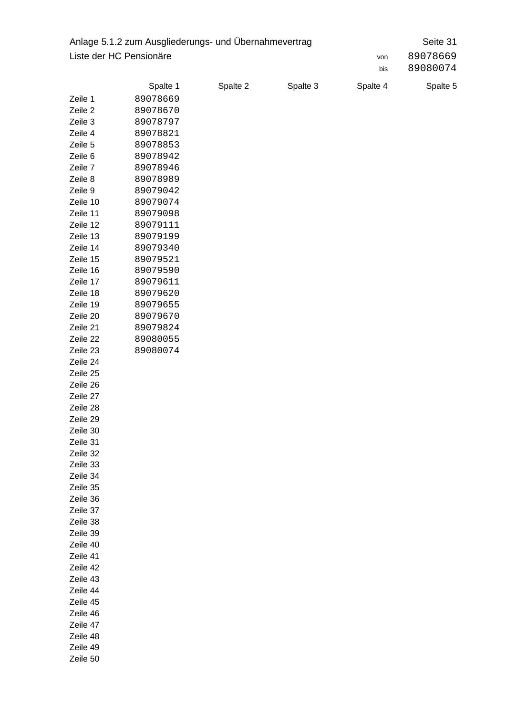|                         | Anlage 5.1.2 zum Ausgliederungs- und Übernahmevertrag |          |          |          | Seite 31 |
|-------------------------|-------------------------------------------------------|----------|----------|----------|----------|
| Liste der HC Pensionäre |                                                       |          |          | von      | 89078669 |
|                         |                                                       |          |          | bis      | 89080074 |
|                         | Spalte 1                                              | Spalte 2 | Spalte 3 | Spalte 4 | Spalte 5 |
| Zeile 1                 | 89078669                                              |          |          |          |          |
| Zeile 2                 | 89078670                                              |          |          |          |          |
| Zeile 3                 | 89078797                                              |          |          |          |          |
| Zeile 4                 | 89078821                                              |          |          |          |          |
| Zeile 5                 | 89078853                                              |          |          |          |          |
| Zeile 6                 | 89078942                                              |          |          |          |          |
| Zeile 7                 | 89078946                                              |          |          |          |          |
| Zeile 8                 | 89078989                                              |          |          |          |          |
| Zeile 9                 | 89079042                                              |          |          |          |          |
| Zeile 10                | 89079074                                              |          |          |          |          |
| Zeile 11                | 89079098                                              |          |          |          |          |
| Zeile 12                | 89079111                                              |          |          |          |          |
| Zeile 13                | 89079199                                              |          |          |          |          |
| Zeile 14                | 89079340                                              |          |          |          |          |
| Zeile 15                | 89079521                                              |          |          |          |          |
| Zeile 16                | 89079590                                              |          |          |          |          |
| Zeile 17                | 89079611                                              |          |          |          |          |
| Zeile 18                | 89079620                                              |          |          |          |          |
| Zeile 19                | 89079655                                              |          |          |          |          |
| Zeile 20                | 89079670                                              |          |          |          |          |
| Zeile 21                | 89079824                                              |          |          |          |          |
| Zeile 22                | 89080055                                              |          |          |          |          |
| Zeile 23                | 89080074                                              |          |          |          |          |
| Zeile 24                |                                                       |          |          |          |          |
| Zeile 25                |                                                       |          |          |          |          |
| Zeile 26                |                                                       |          |          |          |          |
| Zeile 27                |                                                       |          |          |          |          |
| Zeile 28                |                                                       |          |          |          |          |
| Zeile 29                |                                                       |          |          |          |          |
| Zeile 30                |                                                       |          |          |          |          |
| Zeile 31                |                                                       |          |          |          |          |
| Zeile 32                |                                                       |          |          |          |          |
| Zeile 33                |                                                       |          |          |          |          |
| Zeile 34                |                                                       |          |          |          |          |
| Zeile 35                |                                                       |          |          |          |          |
| Zeile 36                |                                                       |          |          |          |          |
| Zeile 37                |                                                       |          |          |          |          |
| Zeile 38                |                                                       |          |          |          |          |
| Zeile 39                |                                                       |          |          |          |          |
| Zeile 40                |                                                       |          |          |          |          |
| Zeile 41                |                                                       |          |          |          |          |
| Zeile 42                |                                                       |          |          |          |          |
| Zeile 43                |                                                       |          |          |          |          |
| Zeile 44                |                                                       |          |          |          |          |
| Zeile 45                |                                                       |          |          |          |          |
| Zeile 46                |                                                       |          |          |          |          |
| Zeile 47                |                                                       |          |          |          |          |
| Zeile 48                |                                                       |          |          |          |          |
| Zeile 49                |                                                       |          |          |          |          |
| Zeile 50                |                                                       |          |          |          |          |